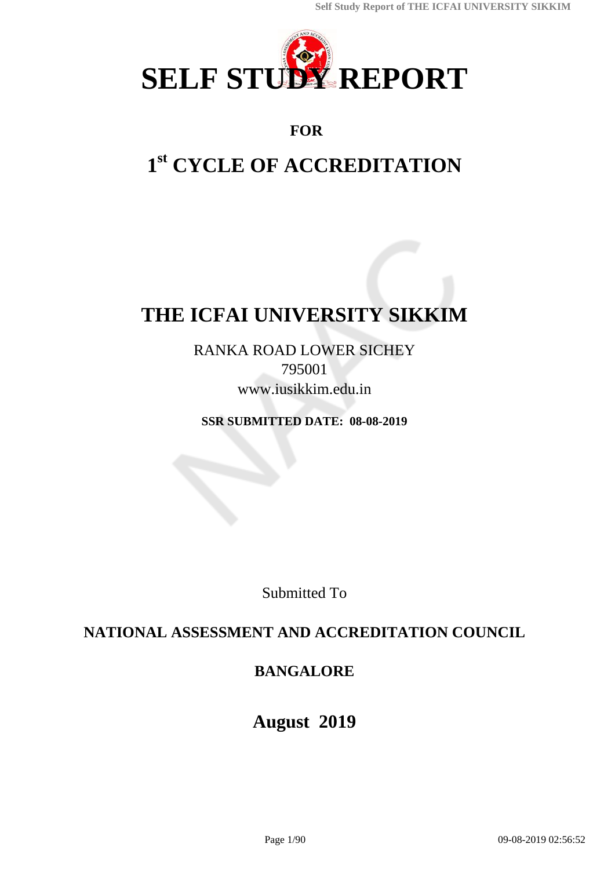

## **FOR**

# **1 st CYCLE OF ACCREDITATION**

# **THE ICFAI UNIVERSITY SIKKIM**

RANKA ROAD LOWER SICHEY 795001 www.iusikkim.edu.in

**SSR SUBMITTED DATE: 08-08-2019**

Submitted To

## **NATIONAL ASSESSMENT AND ACCREDITATION COUNCIL**

## **BANGALORE**

## **August 2019**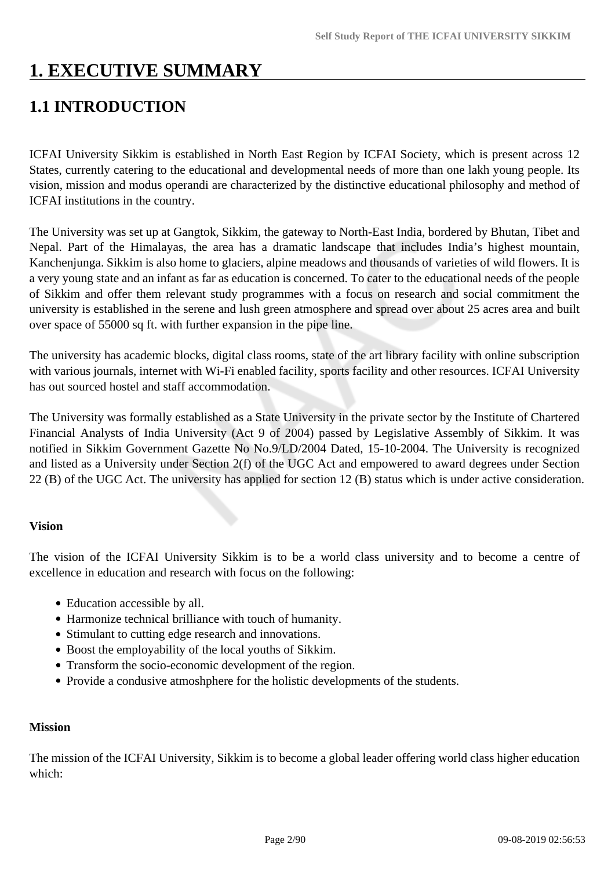# **1. EXECUTIVE SUMMARY**

## **1.1 INTRODUCTION**

ICFAI University Sikkim is established in North East Region by ICFAI Society, which is present across 12 States, currently catering to the educational and developmental needs of more than one lakh young people. Its vision, mission and modus operandi are characterized by the distinctive educational philosophy and method of ICFAI institutions in the country.

The University was set up at Gangtok, Sikkim, the gateway to North-East India, bordered by Bhutan, Tibet and Nepal. Part of the Himalayas, the area has a dramatic landscape that includes India's highest mountain, Kanchenjunga. Sikkim is also home to glaciers, alpine meadows and thousands of varieties of wild flowers. It is a very young state and an infant as far as education is concerned. To cater to the educational needs of the people of Sikkim and offer them relevant study programmes with a focus on research and social commitment the university is established in the serene and lush green atmosphere and spread over about 25 acres area and built over space of 55000 sq ft. with further expansion in the pipe line.

The university has academic blocks, digital class rooms, state of the art library facility with online subscription with various journals, internet with Wi-Fi enabled facility, sports facility and other resources. ICFAI University has out sourced hostel and staff accommodation.

The University was formally established as a State University in the private sector by the Institute of Chartered Financial Analysts of India University (Act 9 of 2004) passed by Legislative Assembly of Sikkim. It was notified in Sikkim Government Gazette No No.9/LD/2004 Dated, 15-10-2004. The University is recognized and listed as a University under Section 2(f) of the UGC Act and empowered to award degrees under Section 22 (B) of the UGC Act. The university has applied for section 12 (B) status which is under active consideration.

#### **Vision**

The vision of the ICFAI University Sikkim is to be a world class university and to become a centre of excellence in education and research with focus on the following:

- Education accessible by all.
- Harmonize technical brilliance with touch of humanity.
- Stimulant to cutting edge research and innovations.
- Boost the employability of the local youths of Sikkim.
- Transform the socio-economic development of the region.
- Provide a condusive atmoshphere for the holistic developments of the students.

#### **Mission**

The mission of the ICFAI University, Sikkim is to become a global leader offering world class higher education which: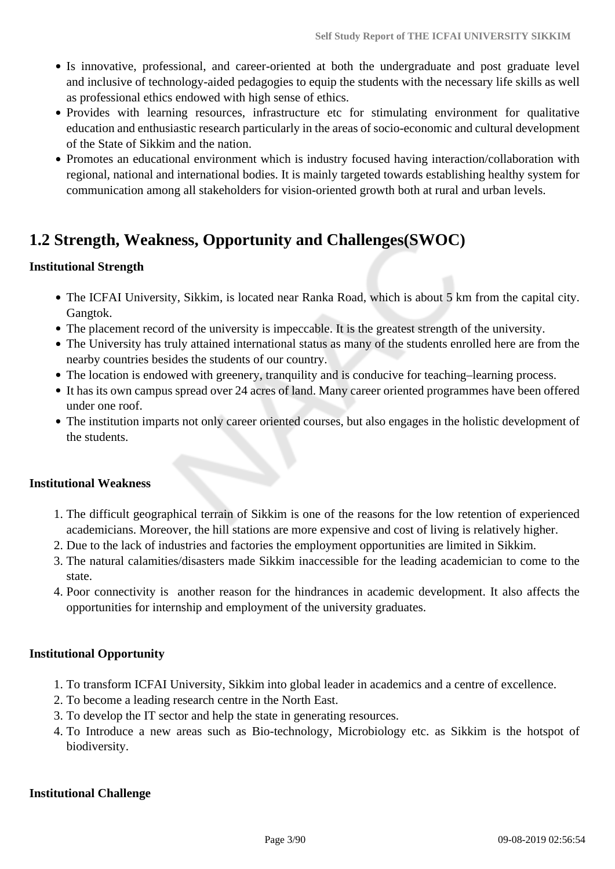- Is innovative, professional, and career-oriented at both the undergraduate and post graduate level and inclusive of technology-aided pedagogies to equip the students with the necessary life skills as well as professional ethics endowed with high sense of ethics.
- Provides with learning resources, infrastructure etc for stimulating environment for qualitative education and enthusiastic research particularly in the areas of socio-economic and cultural development of the State of Sikkim and the nation.
- Promotes an educational environment which is industry focused having interaction/collaboration with regional, national and international bodies. It is mainly targeted towards establishing healthy system for communication among all stakeholders for vision-oriented growth both at rural and urban levels.

## **1.2 Strength, Weakness, Opportunity and Challenges(SWOC)**

#### **Institutional Strength**

- The ICFAI University, Sikkim, is located near Ranka Road, which is about 5 km from the capital city. Gangtok.
- The placement record of the university is impeccable. It is the greatest strength of the university.
- The University has truly attained international status as many of the students enrolled here are from the nearby countries besides the students of our country.
- The location is endowed with greenery, tranquility and is conducive for teaching–learning process.
- It has its own campus spread over 24 acres of land. Many career oriented programmes have been offered under one roof.
- The institution imparts not only career oriented courses, but also engages in the holistic development of the students.

#### **Institutional Weakness**

- 1. The difficult geographical terrain of Sikkim is one of the reasons for the low retention of experienced academicians. Moreover, the hill stations are more expensive and cost of living is relatively higher.
- 2. Due to the lack of industries and factories the employment opportunities are limited in Sikkim.
- 3. The natural calamities/disasters made Sikkim inaccessible for the leading academician to come to the state.
- 4. Poor connectivity is another reason for the hindrances in academic development. It also affects the opportunities for internship and employment of the university graduates.

#### **Institutional Opportunity**

- 1. To transform ICFAI University, Sikkim into global leader in academics and a centre of excellence.
- 2. To become a leading research centre in the North East.
- 3. To develop the IT sector and help the state in generating resources.
- 4. To Introduce a new areas such as Bio-technology, Microbiology etc. as Sikkim is the hotspot of biodiversity.

#### **Institutional Challenge**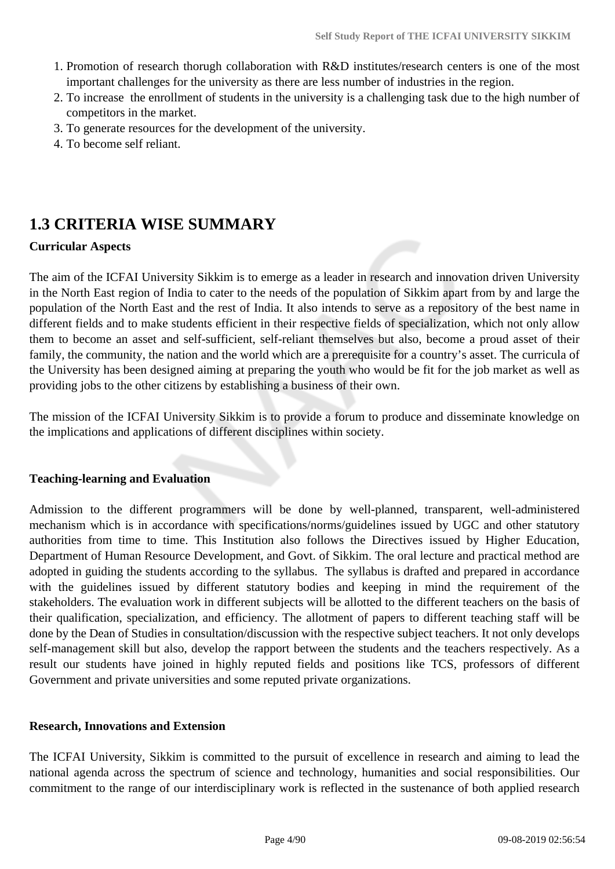- 1. Promotion of research thorugh collaboration with R&D institutes/research centers is one of the most important challenges for the university as there are less number of industries in the region.
- 2. To increase the enrollment of students in the university is a challenging task due to the high number of competitors in the market.
- 3. To generate resources for the development of the university.
- 4. To become self reliant.

## **1.3 CRITERIA WISE SUMMARY**

#### **Curricular Aspects**

The aim of the ICFAI University Sikkim is to emerge as a leader in research and innovation driven University in the North East region of India to cater to the needs of the population of Sikkim apart from by and large the population of the North East and the rest of India. It also intends to serve as a repository of the best name in different fields and to make students efficient in their respective fields of specialization, which not only allow them to become an asset and self-sufficient, self-reliant themselves but also, become a proud asset of their family, the community, the nation and the world which are a prerequisite for a country's asset. The curricula of the University has been designed aiming at preparing the youth who would be fit for the job market as well as providing jobs to the other citizens by establishing a business of their own.

The mission of the ICFAI University Sikkim is to provide a forum to produce and disseminate knowledge on the implications and applications of different disciplines within society.

#### **Teaching-learning and Evaluation**

Admission to the different programmers will be done by well-planned, transparent, well-administered mechanism which is in accordance with specifications/norms/guidelines issued by UGC and other statutory authorities from time to time. This Institution also follows the Directives issued by Higher Education, Department of Human Resource Development, and Govt. of Sikkim. The oral lecture and practical method are adopted in guiding the students according to the syllabus. The syllabus is drafted and prepared in accordance with the guidelines issued by different statutory bodies and keeping in mind the requirement of the stakeholders. The evaluation work in different subjects will be allotted to the different teachers on the basis of their qualification, specialization, and efficiency. The allotment of papers to different teaching staff will be done by the Dean of Studies in consultation/discussion with the respective subject teachers. It not only develops self-management skill but also, develop the rapport between the students and the teachers respectively. As a result our students have joined in highly reputed fields and positions like TCS, professors of different Government and private universities and some reputed private organizations.

#### **Research, Innovations and Extension**

The ICFAI University, Sikkim is committed to the pursuit of excellence in research and aiming to lead the national agenda across the spectrum of science and technology, humanities and social responsibilities. Our commitment to the range of our interdisciplinary work is reflected in the sustenance of both applied research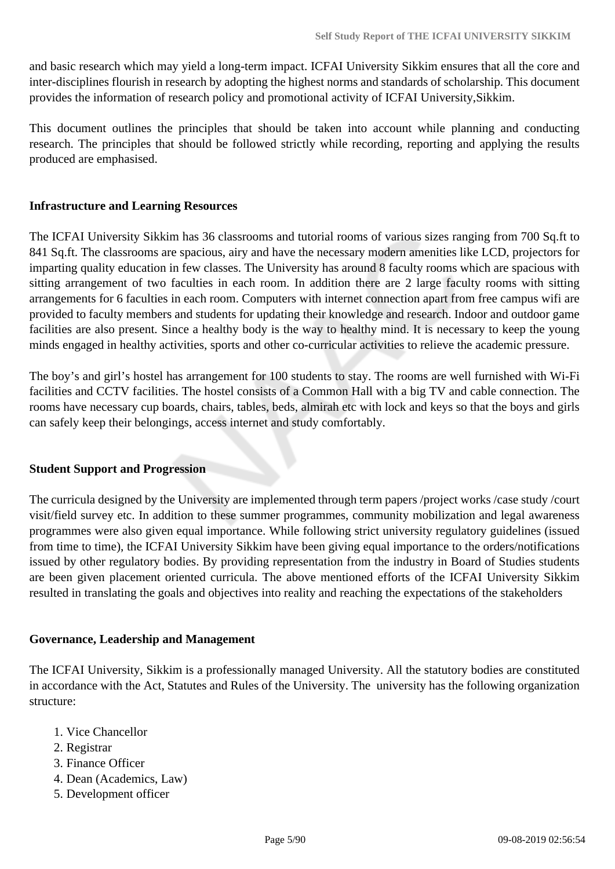and basic research which may yield a long-term impact. ICFAI University Sikkim ensures that all the core and inter-disciplines flourish in research by adopting the highest norms and standards of scholarship. This document provides the information of research policy and promotional activity of ICFAI University,Sikkim.

This document outlines the principles that should be taken into account while planning and conducting research. The principles that should be followed strictly while recording, reporting and applying the results produced are emphasised.

#### **Infrastructure and Learning Resources**

The ICFAI University Sikkim has 36 classrooms and tutorial rooms of various sizes ranging from 700 Sq.ft to 841 Sq.ft. The classrooms are spacious, airy and have the necessary modern amenities like LCD, projectors for imparting quality education in few classes. The University has around 8 faculty rooms which are spacious with sitting arrangement of two faculties in each room. In addition there are 2 large faculty rooms with sitting arrangements for 6 faculties in each room. Computers with internet connection apart from free campus wifi are provided to faculty members and students for updating their knowledge and research. Indoor and outdoor game facilities are also present. Since a healthy body is the way to healthy mind. It is necessary to keep the young minds engaged in healthy activities, sports and other co-curricular activities to relieve the academic pressure.

The boy's and girl's hostel has arrangement for 100 students to stay. The rooms are well furnished with Wi-Fi facilities and CCTV facilities. The hostel consists of a Common Hall with a big TV and cable connection. The rooms have necessary cup boards, chairs, tables, beds, almirah etc with lock and keys so that the boys and girls can safely keep their belongings, access internet and study comfortably.

#### **Student Support and Progression**

The curricula designed by the University are implemented through term papers /project works /case study /court visit/field survey etc. In addition to these summer programmes, community mobilization and legal awareness programmes were also given equal importance. While following strict university regulatory guidelines (issued from time to time), the ICFAI University Sikkim have been giving equal importance to the orders/notifications issued by other regulatory bodies. By providing representation from the industry in Board of Studies students are been given placement oriented curricula. The above mentioned efforts of the ICFAI University Sikkim resulted in translating the goals and objectives into reality and reaching the expectations of the stakeholders

#### **Governance, Leadership and Management**

The ICFAI University, Sikkim is a professionally managed University. All the statutory bodies are constituted in accordance with the Act, Statutes and Rules of the University. The university has the following organization structure:

- 1. Vice Chancellor
- 2. Registrar
- 3. Finance Officer
- 4. Dean (Academics, Law)
- 5. Development officer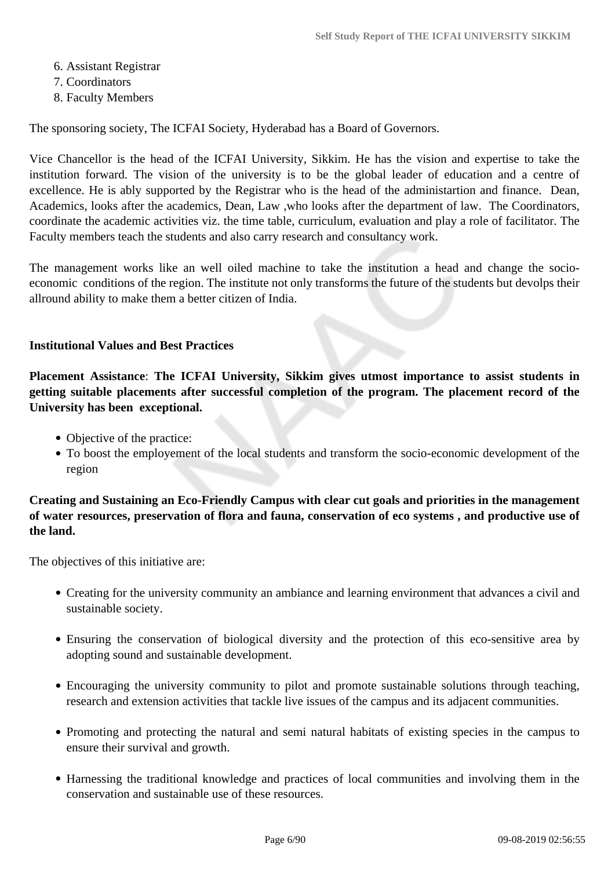- 6. Assistant Registrar
- 7. Coordinators
- 8. Faculty Members

The sponsoring society, The ICFAI Society, Hyderabad has a Board of Governors.

Vice Chancellor is the head of the ICFAI University, Sikkim. He has the vision and expertise to take the institution forward. The vision of the university is to be the global leader of education and a centre of excellence. He is ably supported by the Registrar who is the head of the administartion and finance. Dean, Academics, looks after the academics, Dean, Law ,who looks after the department of law. The Coordinators, coordinate the academic activities viz. the time table, curriculum, evaluation and play a role of facilitator. The Faculty members teach the students and also carry research and consultancy work.

The management works like an well oiled machine to take the institution a head and change the socioeconomic conditions of the region. The institute not only transforms the future of the students but devolps their allround ability to make them a better citizen of India.

#### **Institutional Values and Best Practices**

**Placement Assistance**: **The ICFAI University, Sikkim gives utmost importance to assist students in getting suitable placements after successful completion of the program. The placement record of the University has been exceptional.**

- Objective of the practice:
- To boost the employement of the local students and transform the socio-economic development of the region

**Creating and Sustaining an Eco-Friendly Campus with clear cut goals and priorities in the management of water resources, preservation of flora and fauna, conservation of eco systems , and productive use of the land.**

The objectives of this initiative are:

- Creating for the university community an ambiance and learning environment that advances a civil and sustainable society.
- Ensuring the conservation of biological diversity and the protection of this eco-sensitive area by adopting sound and sustainable development.
- Encouraging the university community to pilot and promote sustainable solutions through teaching, research and extension activities that tackle live issues of the campus and its adjacent communities.
- Promoting and protecting the natural and semi natural habitats of existing species in the campus to ensure their survival and growth.
- Harnessing the traditional knowledge and practices of local communities and involving them in the conservation and sustainable use of these resources.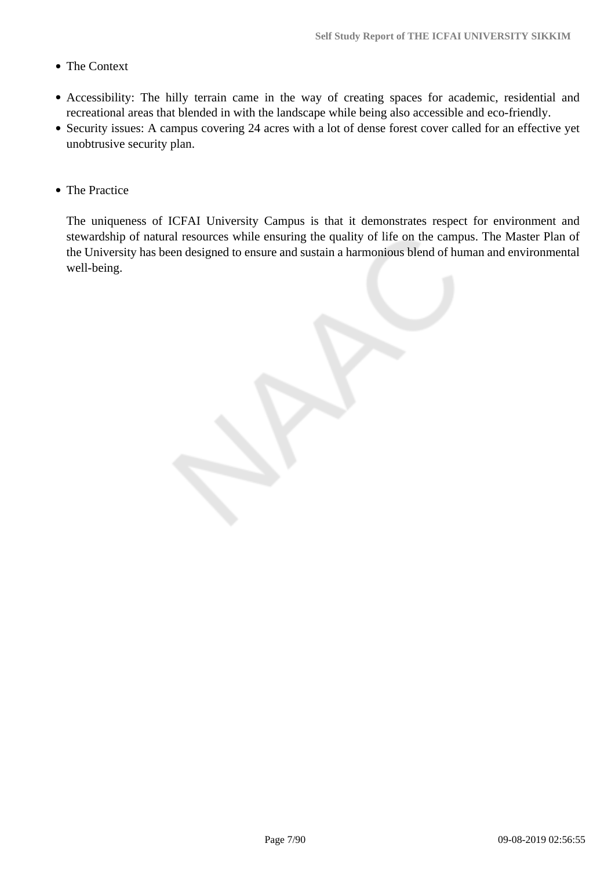- The Context
- Accessibility: The hilly terrain came in the way of creating spaces for academic, residential and recreational areas that blended in with the landscape while being also accessible and eco-friendly.
- Security issues: A campus covering 24 acres with a lot of dense forest cover called for an effective yet unobtrusive security plan.
- The Practice

The uniqueness of ICFAI University Campus is that it demonstrates respect for environment and stewardship of natural resources while ensuring the quality of life on the campus. The Master Plan of the University has been designed to ensure and sustain a harmonious blend of human and environmental well-being.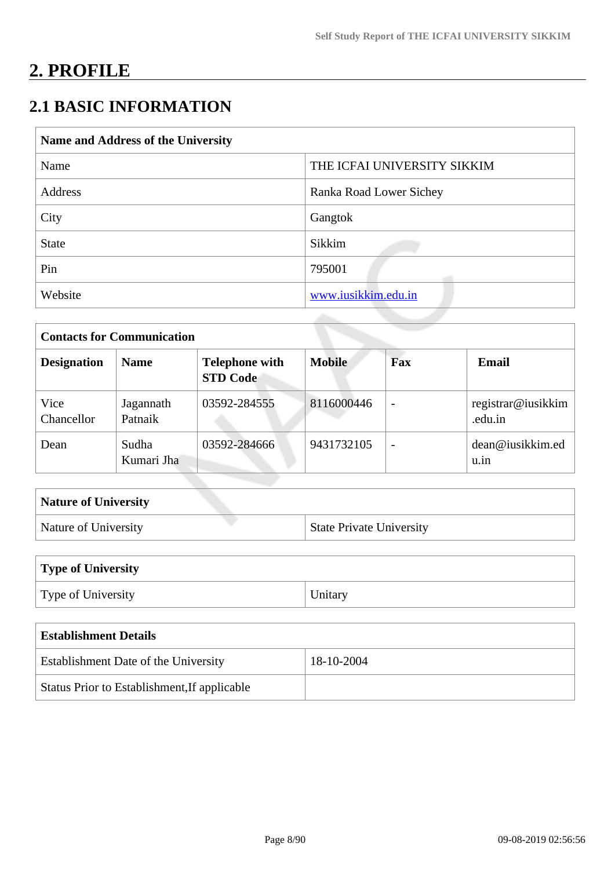# **2. PROFILE**

## **2.1 BASIC INFORMATION**

| Name and Address of the University |                             |  |  |  |  |
|------------------------------------|-----------------------------|--|--|--|--|
| Name                               | THE ICFAI UNIVERSITY SIKKIM |  |  |  |  |
| Address                            | Ranka Road Lower Sichey     |  |  |  |  |
| City                               | Gangtok                     |  |  |  |  |
| <b>State</b>                       | Sikkim                      |  |  |  |  |
| Pin                                | 795001                      |  |  |  |  |
| Website                            | www.iusikkim.edu.in         |  |  |  |  |

| <b>Contacts for Communication</b> |                      |                                          |               |                          |                               |  |  |
|-----------------------------------|----------------------|------------------------------------------|---------------|--------------------------|-------------------------------|--|--|
| <b>Designation</b>                | <b>Name</b>          | <b>Telephone with</b><br><b>STD Code</b> | <b>Mobile</b> | Fax                      | Email                         |  |  |
| Vice<br>Chancellor                | Jagannath<br>Patnaik | 03592-284555                             | 8116000446    | $\overline{\phantom{0}}$ | registrar@iusikkim<br>.edu.in |  |  |
| Dean                              | Sudha<br>Kumari Jha  | 03592-284666                             | 9431732105    | $\overline{\phantom{0}}$ | dean@iusikkim.ed<br>u.in      |  |  |

| <b>Nature of University</b> |                                 |
|-----------------------------|---------------------------------|
| Nature of University        | <b>State Private University</b> |

| Type of University |         |
|--------------------|---------|
| Type of University | Unitary |

| <b>Establishment Details</b>                 |            |  |  |  |  |
|----------------------------------------------|------------|--|--|--|--|
| <b>Establishment Date of the University</b>  | 18-10-2004 |  |  |  |  |
| Status Prior to Establishment, If applicable |            |  |  |  |  |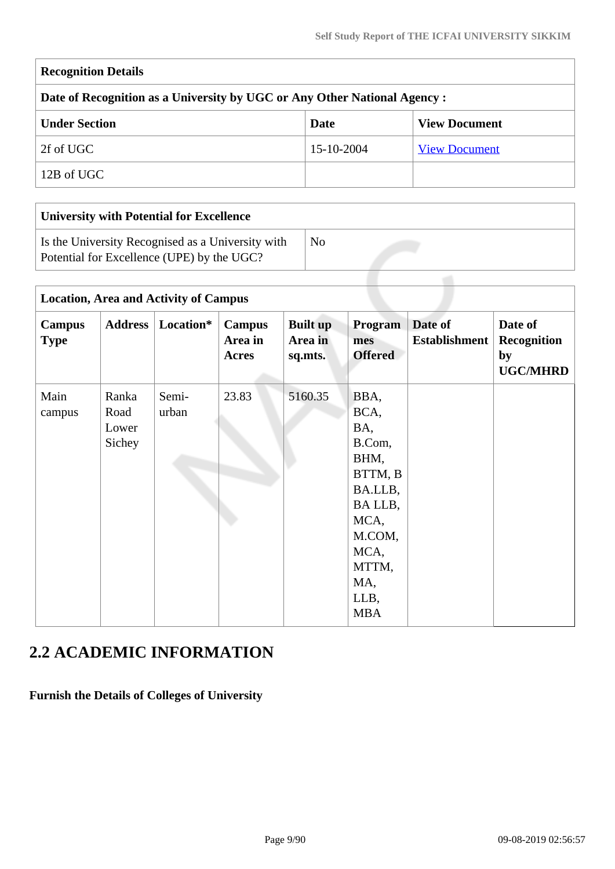| <b>Recognition Details</b>                                                |            |                      |  |  |  |  |  |  |
|---------------------------------------------------------------------------|------------|----------------------|--|--|--|--|--|--|
| Date of Recognition as a University by UGC or Any Other National Agency : |            |                      |  |  |  |  |  |  |
| <b>Under Section</b>                                                      | Date       | <b>View Document</b> |  |  |  |  |  |  |
| 2f of UGC                                                                 | 15-10-2004 | <b>View Document</b> |  |  |  |  |  |  |
| 12B of UGC                                                                |            |                      |  |  |  |  |  |  |
|                                                                           |            |                      |  |  |  |  |  |  |

| <b>University with Potential for Excellence</b>                                                 |    |
|-------------------------------------------------------------------------------------------------|----|
| Is the University Recognised as a University with<br>Potential for Excellence (UPE) by the UGC? | No |
|                                                                                                 |    |

|                              | <b>Location, Area and Activity of Campus</b> |                |                                          |                                       |                                                                                                                                        |                                 |                                                        |  |  |
|------------------------------|----------------------------------------------|----------------|------------------------------------------|---------------------------------------|----------------------------------------------------------------------------------------------------------------------------------------|---------------------------------|--------------------------------------------------------|--|--|
| <b>Campus</b><br><b>Type</b> | <b>Address</b>                               | Location*      | <b>Campus</b><br>Area in<br><b>Acres</b> | <b>Built</b> up<br>Area in<br>sq.mts. | Program<br>mes<br><b>Offered</b>                                                                                                       | Date of<br><b>Establishment</b> | Date of<br><b>Recognition</b><br>by<br><b>UGC/MHRD</b> |  |  |
| Main<br>campus               | Ranka<br>Road<br>Lower<br>Sichey             | Semi-<br>urban | 23.83                                    | 5160.35                               | BBA,<br>BCA,<br>BA,<br>B.Com,<br>BHM,<br>BTTM, B<br>BA.LLB,<br>BA LLB,<br>MCA,<br>M.COM,<br>MCA,<br>MTTM,<br>MA,<br>LLB,<br><b>MBA</b> |                                 |                                                        |  |  |

## **2.2 ACADEMIC INFORMATION**

**Furnish the Details of Colleges of University**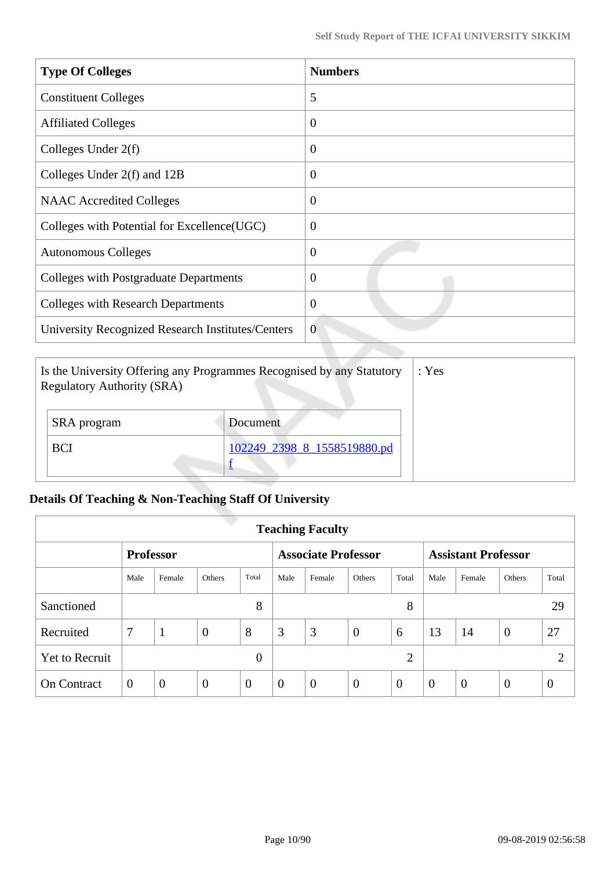| <b>Type Of Colleges</b>                           | <b>Numbers</b> |
|---------------------------------------------------|----------------|
| <b>Constituent Colleges</b>                       | 5              |
| <b>Affiliated Colleges</b>                        | $\overline{0}$ |
| Colleges Under $2(f)$                             | $\overline{0}$ |
| Colleges Under 2(f) and 12B                       | $\theta$       |
| <b>NAAC</b> Accredited Colleges                   | $\overline{0}$ |
| Colleges with Potential for Excellence (UGC)      | $\overline{0}$ |
| <b>Autonomous Colleges</b>                        | $\overline{0}$ |
| <b>Colleges with Postgraduate Departments</b>     | $\overline{0}$ |
| <b>Colleges with Research Departments</b>         | $\overline{0}$ |
| University Recognized Research Institutes/Centers | $\overline{0}$ |

| Is the University Offering any Programmes Recognised by any Statutory<br><b>Regulatory Authority (SRA)</b> | : Yes                       |  |
|------------------------------------------------------------------------------------------------------------|-----------------------------|--|
| SRA program                                                                                                | Document                    |  |
| <b>BCI</b>                                                                                                 | 102249 2398 8 1558519880.pd |  |

## **Details Of Teaching & Non-Teaching Staff Of University**

| <b>Teaching Faculty</b> |                |                |                |                            |                |                            |                |                |          |                |                |          |
|-------------------------|----------------|----------------|----------------|----------------------------|----------------|----------------------------|----------------|----------------|----------|----------------|----------------|----------|
| <b>Professor</b>        |                |                |                | <b>Associate Professor</b> |                | <b>Assistant Professor</b> |                |                |          |                |                |          |
|                         | Male           | Female         | <b>Others</b>  | Total                      | Male           | Female                     | <b>Others</b>  | Total          | Male     | Female         | Others         | Total    |
| Sanctioned              |                |                |                | 8                          |                |                            |                | 8              |          |                |                | 29       |
| Recruited               | 7              | 1              | $\overline{0}$ | 8                          | 3              | 3                          | $\overline{0}$ | 6              | 13       | 14             | $\overline{0}$ | 27       |
| <b>Yet to Recruit</b>   |                |                |                | $\Omega$                   |                |                            |                | $\overline{2}$ |          |                |                | ◠        |
| <b>On Contract</b>      | $\overline{0}$ | $\overline{0}$ | $\overline{0}$ | $\theta$                   | $\overline{0}$ | $\theta$                   | $\theta$       | $\overline{0}$ | $\theta$ | $\overline{0}$ | $\overline{0}$ | $\theta$ |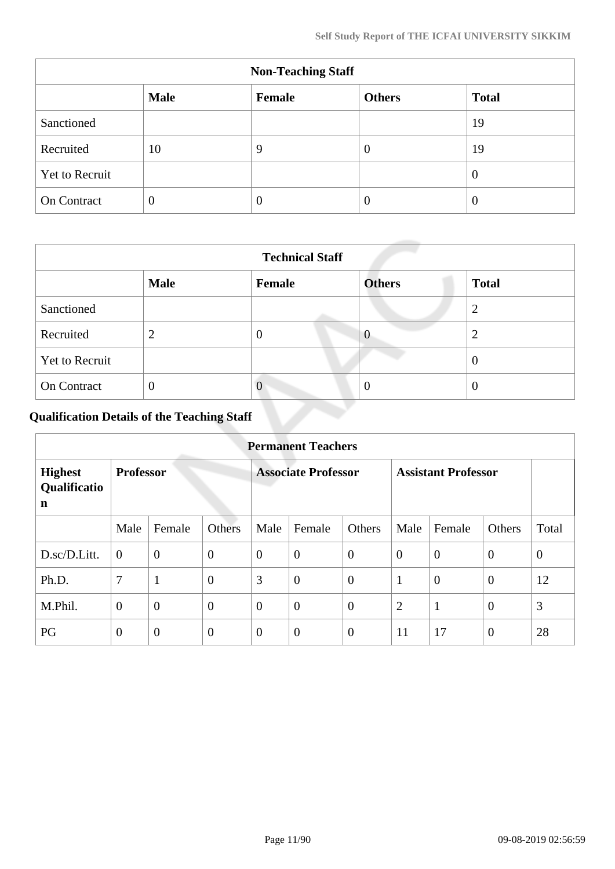| <b>Non-Teaching Staff</b>                              |                |   |                |    |  |  |  |
|--------------------------------------------------------|----------------|---|----------------|----|--|--|--|
| <b>Male</b><br><b>Total</b><br><b>Others</b><br>Female |                |   |                |    |  |  |  |
| Sanctioned                                             |                |   |                | 19 |  |  |  |
| Recruited                                              | 10             | 9 | $\overline{0}$ | 19 |  |  |  |
| Yet to Recruit                                         |                |   |                | U  |  |  |  |
| On Contract                                            | $\overline{0}$ | 0 | O              | U  |  |  |  |

|                       | <b>Technical Staff</b> |               |                |              |  |  |  |  |  |
|-----------------------|------------------------|---------------|----------------|--------------|--|--|--|--|--|
|                       | <b>Male</b>            | <b>Female</b> | <b>Others</b>  | <b>Total</b> |  |  |  |  |  |
| Sanctioned            |                        |               |                | ി            |  |  |  |  |  |
| Recruited             | $\overline{2}$         | O             | $\overline{0}$ | റ<br>∠       |  |  |  |  |  |
| <b>Yet to Recruit</b> |                        |               |                | $\theta$     |  |  |  |  |  |
| On Contract           | $\overline{0}$         | $\theta$      | $\theta$       | O            |  |  |  |  |  |

## **Qualification Details of the Teaching Staff**

|                                     | <b>Permanent Teachers</b> |                  |                            |                |                            |                  |                |                |                  |              |  |
|-------------------------------------|---------------------------|------------------|----------------------------|----------------|----------------------------|------------------|----------------|----------------|------------------|--------------|--|
| <b>Highest</b><br>Qualificatio<br>n | <b>Professor</b>          |                  | <b>Associate Professor</b> |                | <b>Assistant Professor</b> |                  |                |                |                  |              |  |
|                                     | Male                      | Female           | Others                     | Male           | Female                     | Others           | Male           | Female         | Others           | Total        |  |
| D.sc/D.Litt.                        | $\overline{0}$            | $\mathbf{0}$     | $\overline{0}$             | $\overline{0}$ | $\overline{0}$             | $\overline{0}$   | $\theta$       | $\overline{0}$ | $\theta$         | $\mathbf{0}$ |  |
| Ph.D.                               | 7                         | $\mathbf{1}$     | $\overline{0}$             | 3              | $\overline{0}$             | $\boldsymbol{0}$ | 1              | $\overline{0}$ | $\overline{0}$   | 12           |  |
| M.Phil.                             | $\theta$                  | $\boldsymbol{0}$ | $\overline{0}$             | $\overline{0}$ | $\overline{0}$             | $\boldsymbol{0}$ | $\overline{2}$ | $\mathbf{1}$   | $\boldsymbol{0}$ | 3            |  |
| PG                                  | $\theta$                  | $\boldsymbol{0}$ | $\overline{0}$             | $\overline{0}$ | $\boldsymbol{0}$           | $\boldsymbol{0}$ | 11             | 17             | $\overline{0}$   | 28           |  |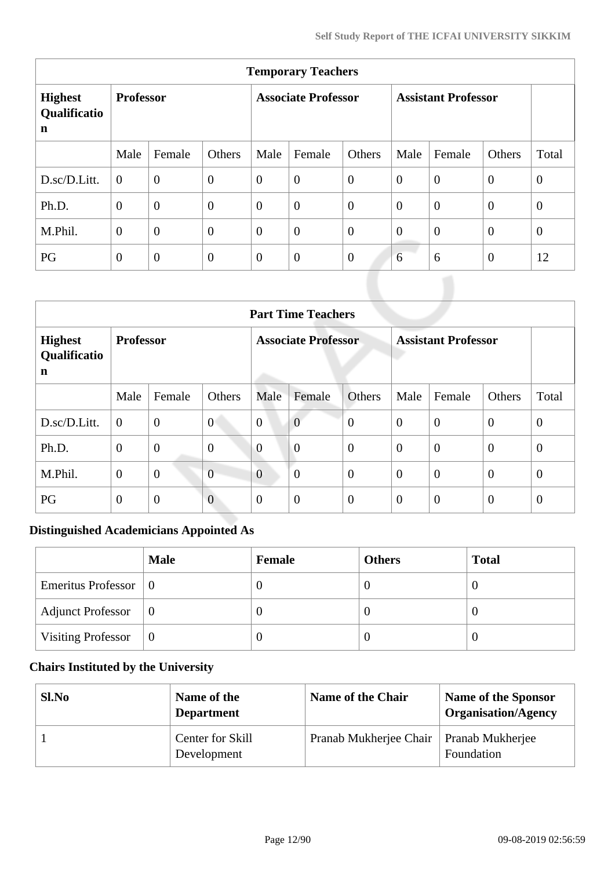| <b>Temporary Teachers</b>           |                  |                  |                            |                |                            |                |                |                |          |                |
|-------------------------------------|------------------|------------------|----------------------------|----------------|----------------------------|----------------|----------------|----------------|----------|----------------|
| <b>Highest</b><br>Qualificatio<br>n | <b>Professor</b> |                  | <b>Associate Professor</b> |                | <b>Assistant Professor</b> |                |                |                |          |                |
|                                     | Male             | Female           | Others                     | Male           | Female                     | Others         | Male           | Female         | Others   | Total          |
| D.sc/D.Litt.                        | $\Omega$         | $\overline{0}$   | $\theta$                   | $\overline{0}$ | $\overline{0}$             | $\overline{0}$ | $\overline{0}$ | $\overline{0}$ | $\theta$ | $\overline{0}$ |
| Ph.D.                               | $\theta$         | $\boldsymbol{0}$ | $\boldsymbol{0}$           | $\overline{0}$ | $\overline{0}$             | $\overline{0}$ | $\theta$       | $\theta$       | $\theta$ | $\overline{0}$ |
| M.Phil.                             | $\overline{0}$   | $\overline{0}$   | $\overline{0}$             | $\overline{0}$ | $\overline{0}$             | $\overline{0}$ | $\overline{0}$ | $\Omega$       | $\theta$ | $\theta$       |
| PG                                  | $\overline{0}$   | $\theta$         | $\boldsymbol{0}$           | $\overline{0}$ | $\boldsymbol{0}$           | $\overline{0}$ | 6              | 6              | $\theta$ | 12             |

|                                     | <b>Part Time Teachers</b> |                |                            |                |                            |                |                |                  |                |                |  |
|-------------------------------------|---------------------------|----------------|----------------------------|----------------|----------------------------|----------------|----------------|------------------|----------------|----------------|--|
| <b>Highest</b><br>Qualificatio<br>n | <b>Professor</b>          |                | <b>Associate Professor</b> |                | <b>Assistant Professor</b> |                |                |                  |                |                |  |
|                                     | Male                      | Female         | Others                     | Male           | Female                     | Others         | Male           | Female           | Others         | Total          |  |
| D.sc/D.Litt.                        | $\overline{0}$            | $\mathbf{0}$   | $\overline{0}$             | $\overline{0}$ | $\overline{0}$             | $\overline{0}$ | $\theta$       | $\overline{0}$   | $\overline{0}$ | $\theta$       |  |
| Ph.D.                               | $\mathbf{0}$              | $\mathbf{0}$   | $\boldsymbol{0}$           | $\overline{0}$ | $\overline{0}$             | $\overline{0}$ | $\overline{0}$ | $\overline{0}$   | $\overline{0}$ | $\overline{0}$ |  |
| M.Phil.                             | $\theta$                  | $\mathbf{0}$   | $\overline{0}$             | $\overline{0}$ | $\theta$                   | $\overline{0}$ | $\theta$       | $\boldsymbol{0}$ | $\overline{0}$ | $\theta$       |  |
| PG                                  | $\overline{0}$            | $\overline{0}$ | $\overline{0}$             | $\theta$       | $\overline{0}$             | $\overline{0}$ | $\theta$       | $\overline{0}$   | $\overline{0}$ | $\theta$       |  |

## **Distinguished Academicians Appointed As**

|                                      | <b>Male</b> | Female | <b>Others</b> | <b>Total</b> |
|--------------------------------------|-------------|--------|---------------|--------------|
| Emeritus Professor $\vert 0 \rangle$ |             |        | O             |              |
| <b>Adjunct Professor</b>             | $\vert 0$   |        | $\theta$      |              |
| <b>Visiting Professor</b>            | $\theta$    |        | $\theta$      |              |

## **Chairs Instituted by the University**

| Sl.No | Name of the<br><b>Department</b>       | <b>Name of the Chair</b> | <b>Name of the Sponsor</b><br><b>Organisation/Agency</b> |
|-------|----------------------------------------|--------------------------|----------------------------------------------------------|
|       | <b>Center for Skill</b><br>Development | Pranab Mukherjee Chair   | <b>Pranab Mukherjee</b><br>Foundation                    |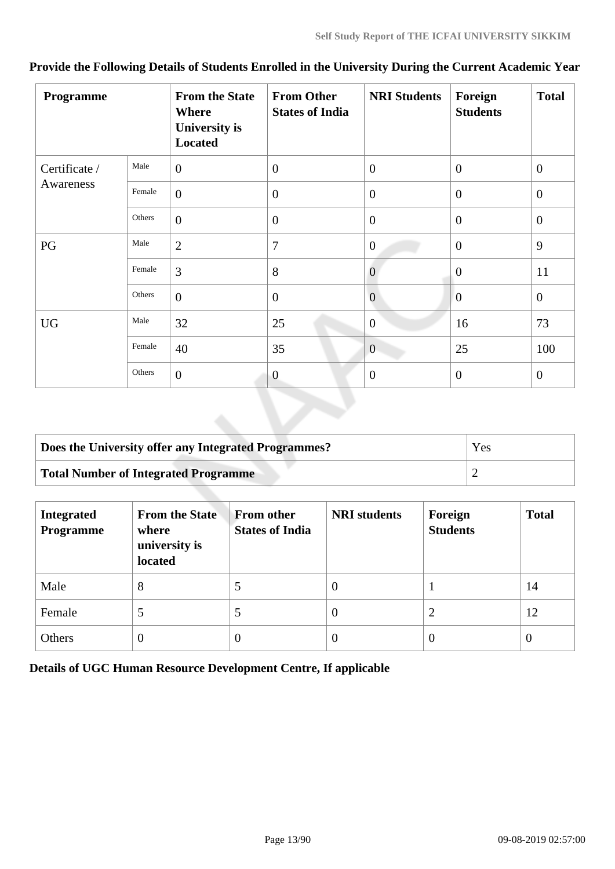| Programme     |        | <b>From the State</b><br><b>Where</b><br><b>University is</b><br><b>Located</b> | <b>From Other</b><br><b>States of India</b> | <b>NRI Students</b> | Foreign<br><b>Students</b> | <b>Total</b>   |
|---------------|--------|---------------------------------------------------------------------------------|---------------------------------------------|---------------------|----------------------------|----------------|
| Certificate / | Male   | $\overline{0}$                                                                  | $\overline{0}$                              | $\overline{0}$      | $\overline{0}$             | $\mathbf{0}$   |
| Awareness     | Female | $\overline{0}$                                                                  | $\overline{0}$                              | $\overline{0}$      | $\overline{0}$             | $\overline{0}$ |
|               | Others | $\boldsymbol{0}$                                                                | $\boldsymbol{0}$                            | $\mathbf{0}$        | $\mathbf{0}$               | $\mathbf{0}$   |
| PG            | Male   | $\overline{2}$                                                                  | 7                                           | $\overline{0}$      | $\mathbf{0}$               | 9              |
|               | Female | 3                                                                               | 8                                           | $\theta$            | $\mathbf{0}$               | 11             |
|               | Others | $\overline{0}$                                                                  | $\mathbf{0}$                                | $\overline{0}$      | $\overline{0}$             | $\overline{0}$ |
| <b>UG</b>     | Male   | 32                                                                              | 25                                          | $\mathbf{0}$        | 16                         | 73             |
|               | Female | 40                                                                              | 35                                          | $\overline{0}$      | 25                         | 100            |
|               | Others | $\overline{0}$                                                                  | $\theta$                                    | $\overline{0}$      | $\theta$                   | $\overline{0}$ |

## **Provide the Following Details of Students Enrolled in the University During the Current Academic Year**

| Does the University offer any Integrated Programmes? | Yes |
|------------------------------------------------------|-----|
| Total Number of Integrated Programme                 |     |

| <b>Integrated</b><br><b>Programme</b> | <b>From the State</b><br>where<br>university is<br>located | <b>From other</b><br><b>States of India</b> | <b>NRI</b> students | Foreign<br><b>Students</b> | <b>Total</b> |
|---------------------------------------|------------------------------------------------------------|---------------------------------------------|---------------------|----------------------------|--------------|
| Male                                  | 8                                                          | 5                                           | $\theta$            |                            | 14           |
| Female                                | $\mathcal{D}$                                              | 5                                           | v                   | 2                          | 12           |
| Others                                | $\theta$                                                   | 0                                           | $\theta$            | $\theta$                   | 0            |

**Details of UGC Human Resource Development Centre, If applicable**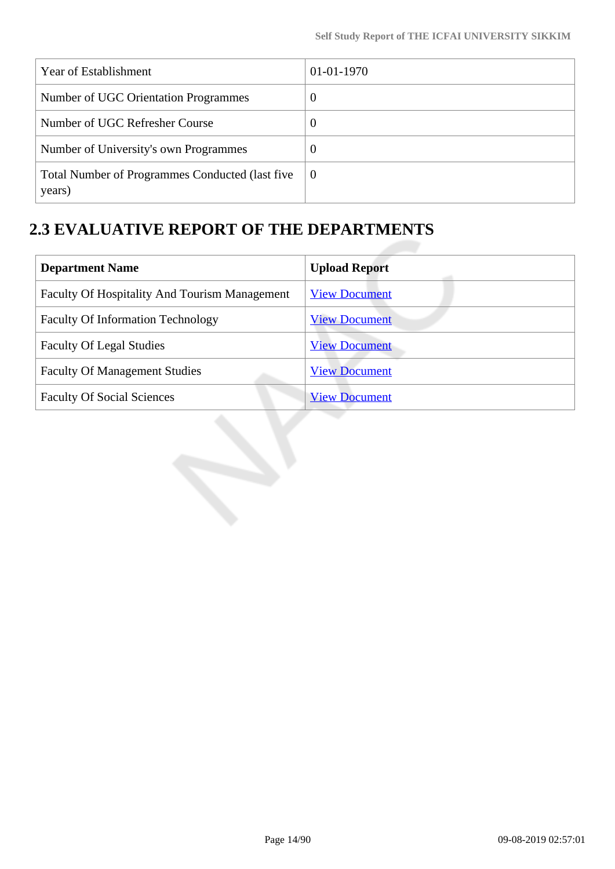| Year of Establishment                                     | $01-01-1970$ |
|-----------------------------------------------------------|--------------|
| Number of UGC Orientation Programmes                      | $\theta$     |
| Number of UGC Refresher Course                            | $\theta$     |
| Number of University's own Programmes                     | $\theta$     |
| Total Number of Programmes Conducted (last five<br>years) | 0            |

## **2.3 EVALUATIVE REPORT OF THE DEPARTMENTS**

| <b>Department Name</b>                               | <b>Upload Report</b> |  |  |
|------------------------------------------------------|----------------------|--|--|
| <b>Faculty Of Hospitality And Tourism Management</b> | <b>View Document</b> |  |  |
| <b>Faculty Of Information Technology</b>             | <b>View Document</b> |  |  |
| <b>Faculty Of Legal Studies</b>                      | <b>View Document</b> |  |  |
| <b>Faculty Of Management Studies</b>                 | <b>View Document</b> |  |  |
| <b>Faculty Of Social Sciences</b>                    | <b>View Document</b> |  |  |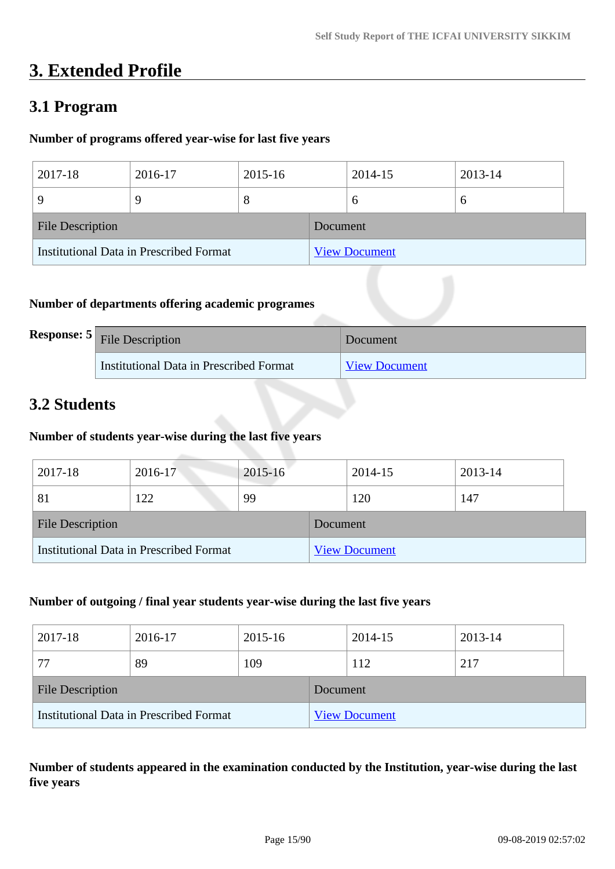## **3. Extended Profile**

## **3.1 Program**

### **Number of programs offered year-wise for last five years**

| 2017-18                                 | 2016-17 | 2015-16 |          | 2014-15              | 2013-14 |
|-----------------------------------------|---------|---------|----------|----------------------|---------|
|                                         | 9       | ∩       |          |                      | O       |
| <b>File Description</b>                 |         |         | Document |                      |         |
| Institutional Data in Prescribed Format |         |         |          | <b>View Document</b> |         |

### **Number of departments offering academic programes**

| <b>Response: 5</b> File Description     | Document             |
|-----------------------------------------|----------------------|
| Institutional Data in Prescribed Format | <b>View Document</b> |

## **3.2 Students**

### **Number of students year-wise during the last five years**

| 2017-18                                        | 2016-17 | $2015 - 16$ |          | 2014-15              | 2013-14 |
|------------------------------------------------|---------|-------------|----------|----------------------|---------|
| 81                                             | 122     | 99          |          | 120                  | 147     |
| <b>File Description</b>                        |         |             | Document |                      |         |
| <b>Institutional Data in Prescribed Format</b> |         |             |          | <b>View Document</b> |         |

#### **Number of outgoing / final year students year-wise during the last five years**

| 2017-18                                 | 2016-17 | 2015-16 |          | 2014-15              | 2013-14 |  |
|-----------------------------------------|---------|---------|----------|----------------------|---------|--|
| 77                                      | 89      | 109     |          | 112                  | 217     |  |
| <b>File Description</b>                 |         |         | Document |                      |         |  |
| Institutional Data in Prescribed Format |         |         |          | <b>View Document</b> |         |  |

**Number of students appeared in the examination conducted by the Institution, year-wise during the last five years**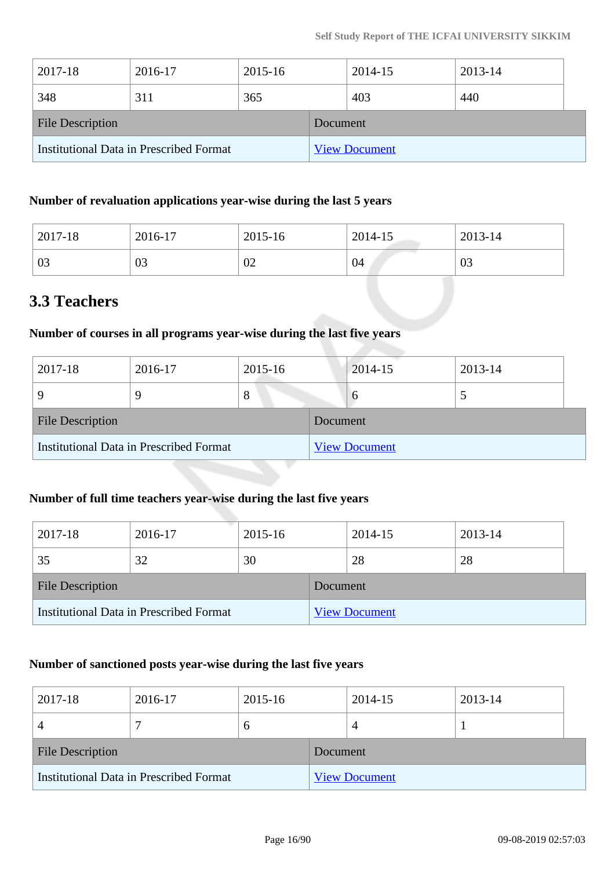| 2017-18                                 | 2016-17 | 2015-16 |          | 2014-15              | 2013-14 |  |
|-----------------------------------------|---------|---------|----------|----------------------|---------|--|
| 348                                     | 311     | 365     |          | 403                  | 440     |  |
| <b>File Description</b>                 |         |         | Document |                      |         |  |
| Institutional Data in Prescribed Format |         |         |          | <b>View Document</b> |         |  |

### **Number of revaluation applications year-wise during the last 5 years**

| 2017-18 | 2016-17  | 2015-16 | 2014-15 | 2013-14 |
|---------|----------|---------|---------|---------|
| 03      | ΩQ<br>UJ | 02      | 04      | 03      |

## **3.3 Teachers**

#### **Number of courses in all programs year-wise during the last five years**

| 2017-18                                        | 2016-17 | 2015-16 |          | 2014-15              | 2013-14 |
|------------------------------------------------|---------|---------|----------|----------------------|---------|
|                                                |         | $\circ$ |          | $\sigma$             |         |
| <b>File Description</b>                        |         |         | Document |                      |         |
| <b>Institutional Data in Prescribed Format</b> |         |         |          | <b>View Document</b> |         |

## **Number of full time teachers year-wise during the last five years**

| 2017-18                                 | 2016-17 | 2015-16 |          | 2014-15              | 2013-14 |
|-----------------------------------------|---------|---------|----------|----------------------|---------|
| 35                                      | 32      | 30      |          | 28                   | 28      |
| <b>File Description</b>                 |         |         | Document |                      |         |
| Institutional Data in Prescribed Format |         |         |          | <b>View Document</b> |         |

### **Number of sanctioned posts year-wise during the last five years**

| 2017-18                                 | 2016-17 | 2015-16 |                      | 2014-15 | 2013-14 |
|-----------------------------------------|---------|---------|----------------------|---------|---------|
|                                         |         | O       |                      |         |         |
| <b>File Description</b>                 |         |         | Document             |         |         |
| Institutional Data in Prescribed Format |         |         | <b>View Document</b> |         |         |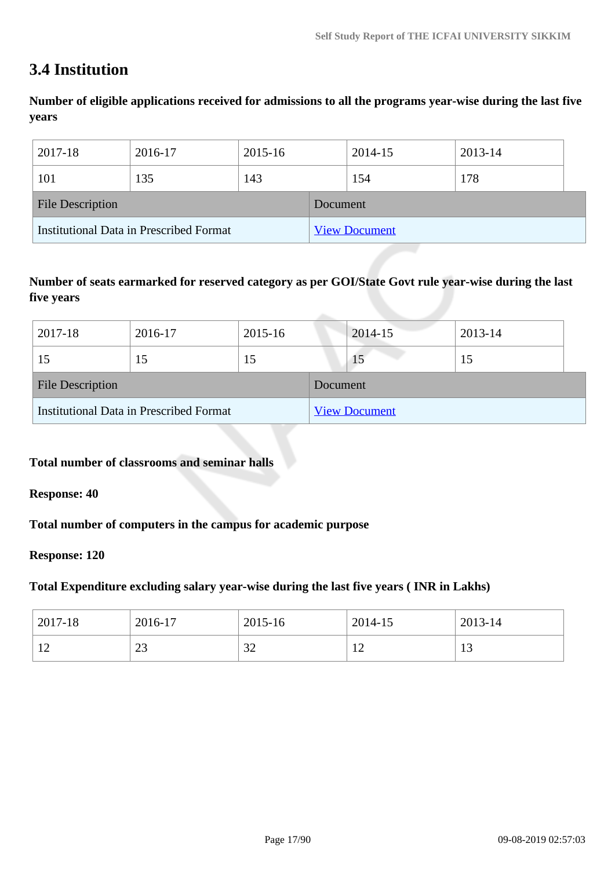## **3.4 Institution**

**Number of eligible applications received for admissions to all the programs year-wise during the last five years**

| 2017-18                                 | 2016-17 | 2015-16 |          | 2014-15              | 2013-14 |
|-----------------------------------------|---------|---------|----------|----------------------|---------|
| 101                                     | 135     | 143     |          | 154                  | 178     |
| <b>File Description</b>                 |         |         | Document |                      |         |
| Institutional Data in Prescribed Format |         |         |          | <b>View Document</b> |         |

### **Number of seats earmarked for reserved category as per GOI/State Govt rule year-wise during the last five years**

| 2017-18                                 | 2016-17 | 2015-16 |          | 2014-15              | 2013-14 |  |
|-----------------------------------------|---------|---------|----------|----------------------|---------|--|
|                                         | 15      | 15      |          | 15                   | 15      |  |
| <b>File Description</b>                 |         |         | Document |                      |         |  |
| Institutional Data in Prescribed Format |         |         |          | <b>View Document</b> |         |  |

### **Total number of classrooms and seminar halls**

**Response: 40**

**Total number of computers in the campus for academic purpose**

#### **Response: 120**

#### **Total Expenditure excluding salary year-wise during the last five years ( INR in Lakhs)**

| 2017-18        | 2016-17       | 2015-16 | 2014-15                | 2013-14 |
|----------------|---------------|---------|------------------------|---------|
| $\overline{1}$ | $\sim$<br>ر ے | 32      | $1^{\circ}$<br>$\perp$ | ⊥ J     |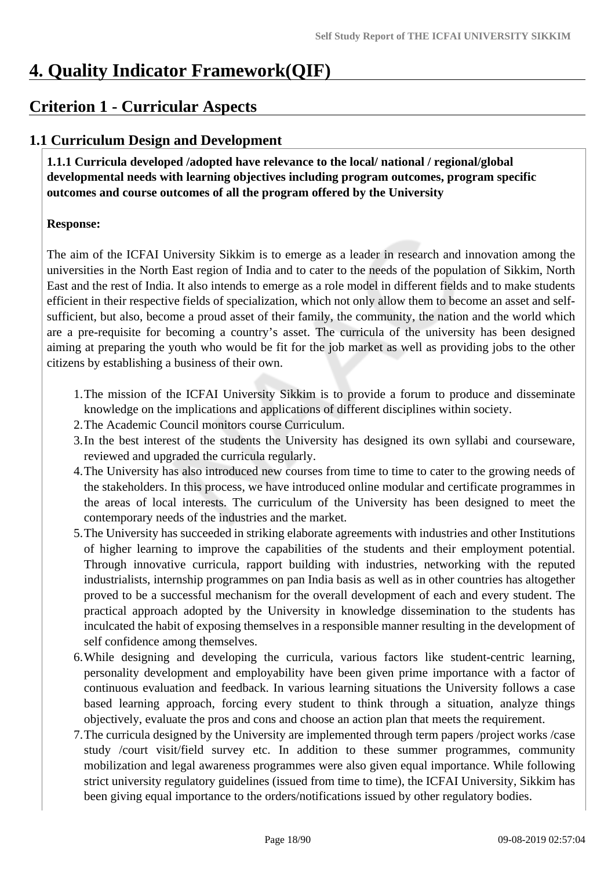## **4. Quality Indicator Framework(QIF)**

## **Criterion 1 - Curricular Aspects**

## **1.1 Curriculum Design and Development**

 **1.1.1 Curricula developed /adopted have relevance to the local/ national / regional/global developmental needs with learning objectives including program outcomes, program specific outcomes and course outcomes of all the program offered by the University**

#### **Response:**

The aim of the ICFAI University Sikkim is to emerge as a leader in research and innovation among the universities in the North East region of India and to cater to the needs of the population of Sikkim, North East and the rest of India. It also intends to emerge as a role model in different fields and to make students efficient in their respective fields of specialization, which not only allow them to become an asset and selfsufficient, but also, become a proud asset of their family, the community, the nation and the world which are a pre-requisite for becoming a country's asset. The curricula of the university has been designed aiming at preparing the youth who would be fit for the job market as well as providing jobs to the other citizens by establishing a business of their own.

- 1.The mission of the ICFAI University Sikkim is to provide a forum to produce and disseminate knowledge on the implications and applications of different disciplines within society.
- 2.The Academic Council monitors course Curriculum.
- 3.In the best interest of the students the University has designed its own syllabi and courseware, reviewed and upgraded the curricula regularly.
- 4.The University has also introduced new courses from time to time to cater to the growing needs of the stakeholders. In this process, we have introduced online modular and certificate programmes in the areas of local interests. The curriculum of the University has been designed to meet the contemporary needs of the industries and the market.
- 5.The University has succeeded in striking elaborate agreements with industries and other Institutions of higher learning to improve the capabilities of the students and their employment potential. Through innovative curricula, rapport building with industries, networking with the reputed industrialists, internship programmes on pan India basis as well as in other countries has altogether proved to be a successful mechanism for the overall development of each and every student. The practical approach adopted by the University in knowledge dissemination to the students has inculcated the habit of exposing themselves in a responsible manner resulting in the development of self confidence among themselves.
- 6.While designing and developing the curricula, various factors like student-centric learning, personality development and employability have been given prime importance with a factor of continuous evaluation and feedback. In various learning situations the University follows a case based learning approach, forcing every student to think through a situation, analyze things objectively, evaluate the pros and cons and choose an action plan that meets the requirement.
- 7.The curricula designed by the University are implemented through term papers /project works /case study /court visit/field survey etc. In addition to these summer programmes, community mobilization and legal awareness programmes were also given equal importance. While following strict university regulatory guidelines (issued from time to time), the ICFAI University, Sikkim has been giving equal importance to the orders/notifications issued by other regulatory bodies.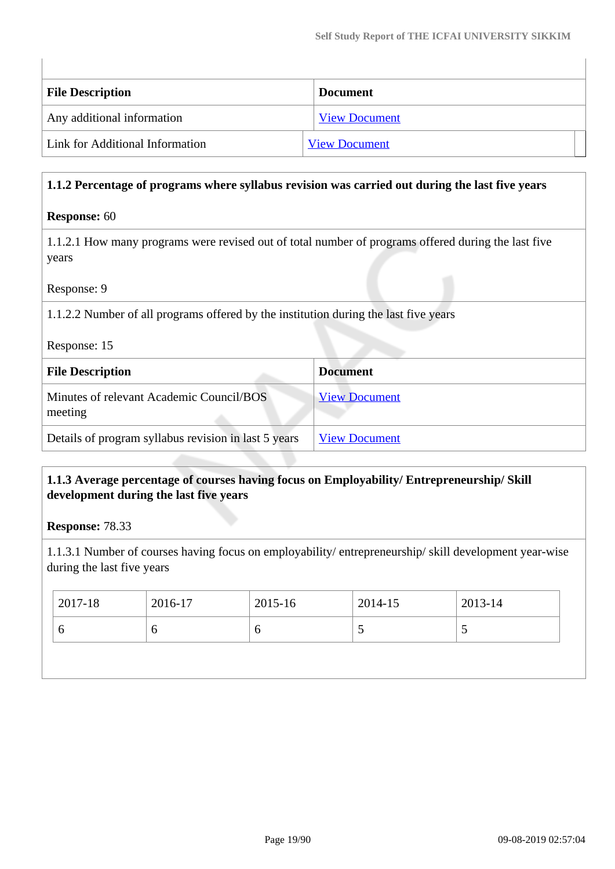| <b>File Description</b>         | <b>Document</b>      |
|---------------------------------|----------------------|
| Any additional information      | <b>View Document</b> |
| Link for Additional Information | <b>View Document</b> |

#### **1.1.2 Percentage of programs where syllabus revision was carried out during the last five years**

#### **Response:** 60

1.1.2.1 How many programs were revised out of total number of programs offered during the last five years

Response: 9

1.1.2.2 Number of all programs offered by the institution during the last five years

| Response: 15 |  |
|--------------|--|
|--------------|--|

| <b>File Description</b>                              | <b>Document</b>      |
|------------------------------------------------------|----------------------|
| Minutes of relevant Academic Council/BOS<br>meeting  | <b>View Document</b> |
| Details of program syllabus revision in last 5 years | <b>View Document</b> |

#### **1.1.3 Average percentage of courses having focus on Employability/ Entrepreneurship/ Skill development during the last five years**

**Response:** 78.33

1.1.3.1 Number of courses having focus on employability/ entrepreneurship/ skill development year-wise during the last five years

| $ 2017-18 $ | 2016-17 | 2015-16 | 2014-15 | 2013-14                  |
|-------------|---------|---------|---------|--------------------------|
| O           |         |         | ັ       | $\overline{\phantom{0}}$ |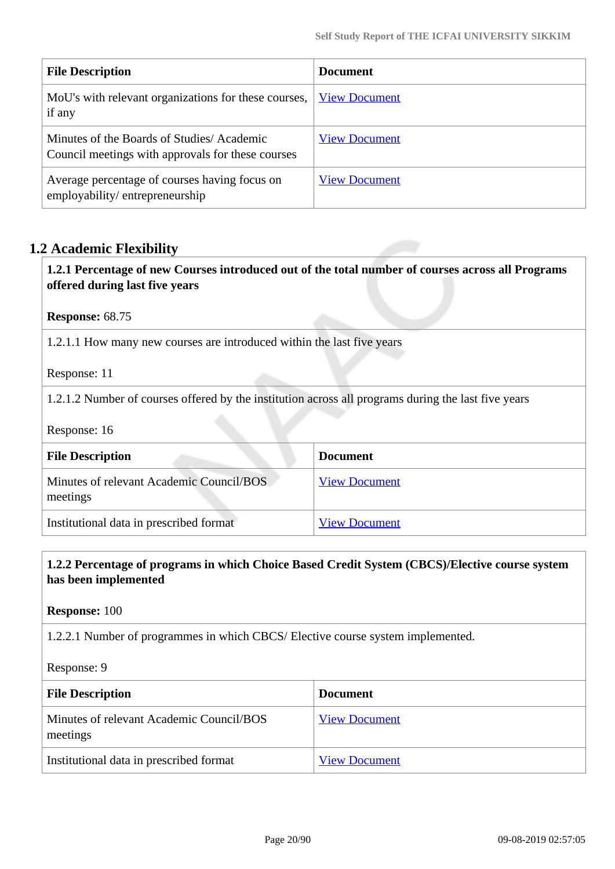| <b>File Description</b>                                                                        | <b>Document</b>      |
|------------------------------------------------------------------------------------------------|----------------------|
| MoU's with relevant organizations for these courses,<br>if any                                 | <b>View Document</b> |
| Minutes of the Boards of Studies/Academic<br>Council meetings with approvals for these courses | <b>View Document</b> |
| Average percentage of courses having focus on<br>employability/entrepreneurship                | <b>View Document</b> |

### **1.2 Academic Flexibility**

 **1.2.1 Percentage of new Courses introduced out of the total number of courses across all Programs offered during last five years**

**Response:** 68.75

1.2.1.1 How many new courses are introduced within the last five years

Response: 11

1.2.1.2 Number of courses offered by the institution across all programs during the last five years

Response: 16

| <b>File Description</b>                              | <b>Document</b>      |
|------------------------------------------------------|----------------------|
| Minutes of relevant Academic Council/BOS<br>meetings | <b>View Document</b> |
| Institutional data in prescribed format              | <b>View Document</b> |

#### **1.2.2 Percentage of programs in which Choice Based Credit System (CBCS)/Elective course system has been implemented**

**Response:** 100

1.2.2.1 Number of programmes in which CBCS/ Elective course system implemented.

Response: 9

| <b>File Description</b>                              | <b>Document</b>      |
|------------------------------------------------------|----------------------|
| Minutes of relevant Academic Council/BOS<br>meetings | <b>View Document</b> |
| Institutional data in prescribed format              | <b>View Document</b> |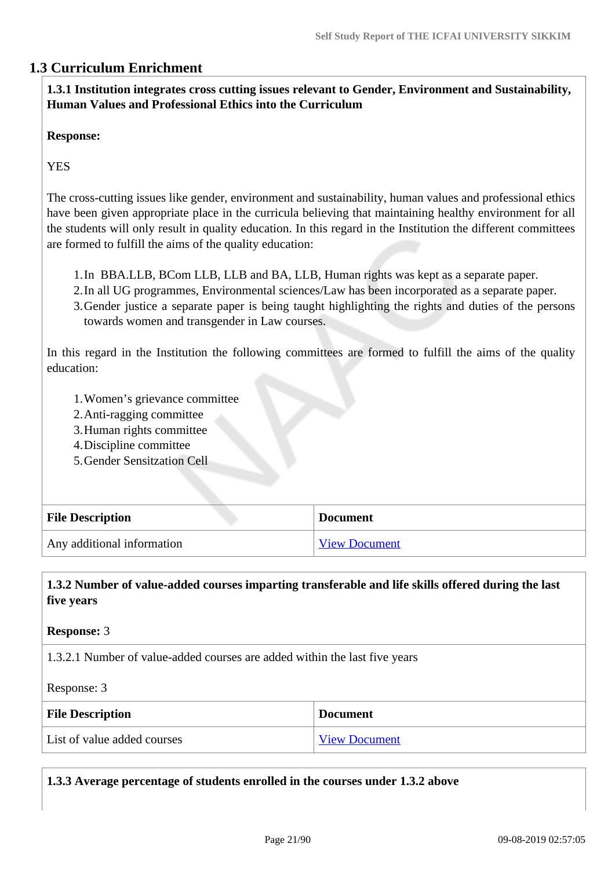### **1.3 Curriculum Enrichment**

 **1.3.1 Institution integrates cross cutting issues relevant to Gender, Environment and Sustainability, Human Values and Professional Ethics into the Curriculum**

#### **Response:**

**YES** 

The cross-cutting issues like gender, environment and sustainability, human values and professional ethics have been given appropriate place in the curricula believing that maintaining healthy environment for all the students will only result in quality education. In this regard in the Institution the different committees are formed to fulfill the aims of the quality education:

- 1.In BBA.LLB, BCom LLB, LLB and BA, LLB, Human rights was kept as a separate paper.
- 2.In all UG programmes, Environmental sciences/Law has been incorporated as a separate paper.
- 3.Gender justice a separate paper is being taught highlighting the rights and duties of the persons towards women and transgender in Law courses.

In this regard in the Institution the following committees are formed to fulfill the aims of the quality education:

- 1.Women's grievance committee
- 2.Anti-ragging committee
- 3.Human rights committee
- 4.Discipline committee
- 5.Gender Sensitzation Cell

| <b>File Description</b>    | <b>Document</b>      |
|----------------------------|----------------------|
| Any additional information | <b>View Document</b> |

 **1.3.2 Number of value-added courses imparting transferable and life skills offered during the last five years**

#### **Response:** 3

1.3.2.1 Number of value-added courses are added within the last five years

Response: 3

| <b>File Description</b>     | <b>Document</b>      |
|-----------------------------|----------------------|
| List of value added courses | <b>View Document</b> |

**1.3.3 Average percentage of students enrolled in the courses under 1.3.2 above**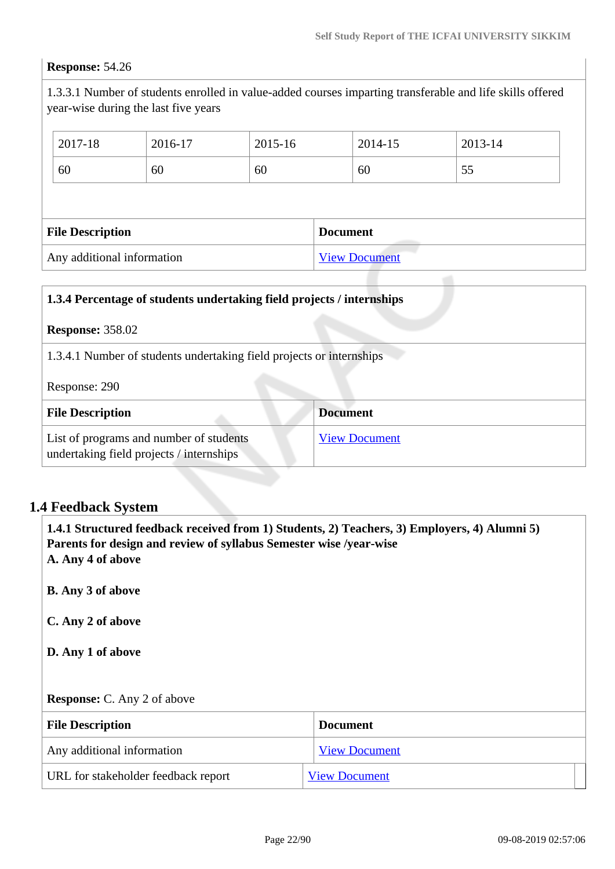## **Response:** 54.26

1.3.3.1 Number of students enrolled in value-added courses imparting transferable and life skills offered year-wise during the last five years

| 2017-18                 | 2016-17 | 2015-16 |                 | 2014-15 | 2013-14 |  |
|-------------------------|---------|---------|-----------------|---------|---------|--|
| 60                      | 60      | 60      |                 | 60      | 55      |  |
|                         |         |         |                 |         |         |  |
|                         |         |         |                 |         |         |  |
| <b>File Description</b> |         |         | <b>Document</b> |         |         |  |

| 1.3.4 Percentage of students undertaking field projects / internships               |                      |
|-------------------------------------------------------------------------------------|----------------------|
| <b>Response: 358.02</b>                                                             |                      |
| 1.3.4.1 Number of students undertaking field projects or internships                |                      |
| Response: 290                                                                       |                      |
| <b>File Description</b>                                                             | <b>Document</b>      |
| List of programs and number of students<br>undertaking field projects / internships | <b>View Document</b> |

## **1.4 Feedback System**

| Parents for design and review of syllabus Semester wise /year-wise<br>A. Any 4 of above | 1.4.1 Structured feedback received from 1) Students, 2) Teachers, 3) Employers, 4) Alumni 5) |
|-----------------------------------------------------------------------------------------|----------------------------------------------------------------------------------------------|
| <b>B.</b> Any 3 of above                                                                |                                                                                              |
| C. Any 2 of above                                                                       |                                                                                              |
| D. Any 1 of above                                                                       |                                                                                              |
| <b>Response:</b> C. Any 2 of above                                                      |                                                                                              |
| <b>File Description</b>                                                                 | <b>Document</b>                                                                              |
| Any additional information                                                              | <b>View Document</b>                                                                         |
| URL for stakeholder feedback report                                                     | <b>View Document</b>                                                                         |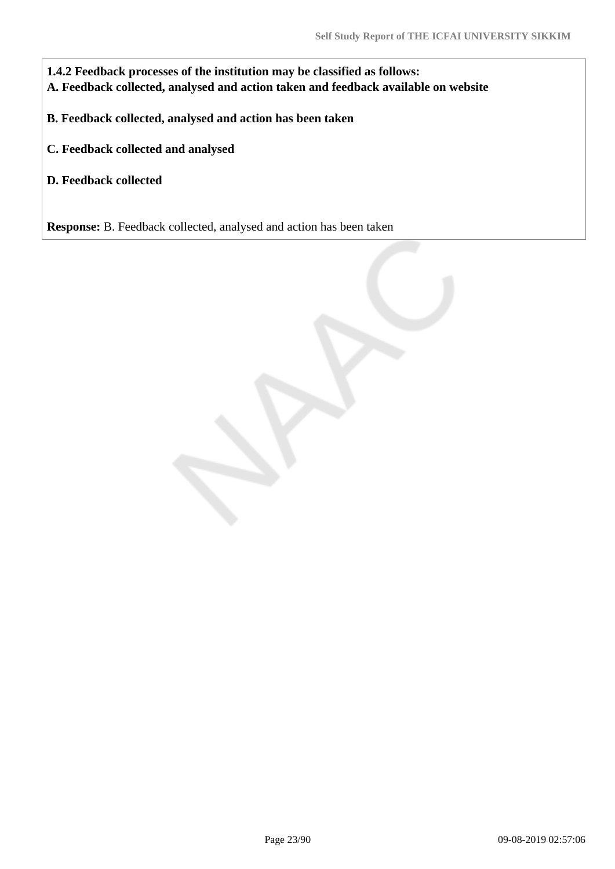**1.4.2 Feedback processes of the institution may be classified as follows: A. Feedback collected, analysed and action taken and feedback available on website**

**B. Feedback collected, analysed and action has been taken**

**C. Feedback collected and analysed**

**D. Feedback collected**

**Response:** B. Feedback collected, analysed and action has been taken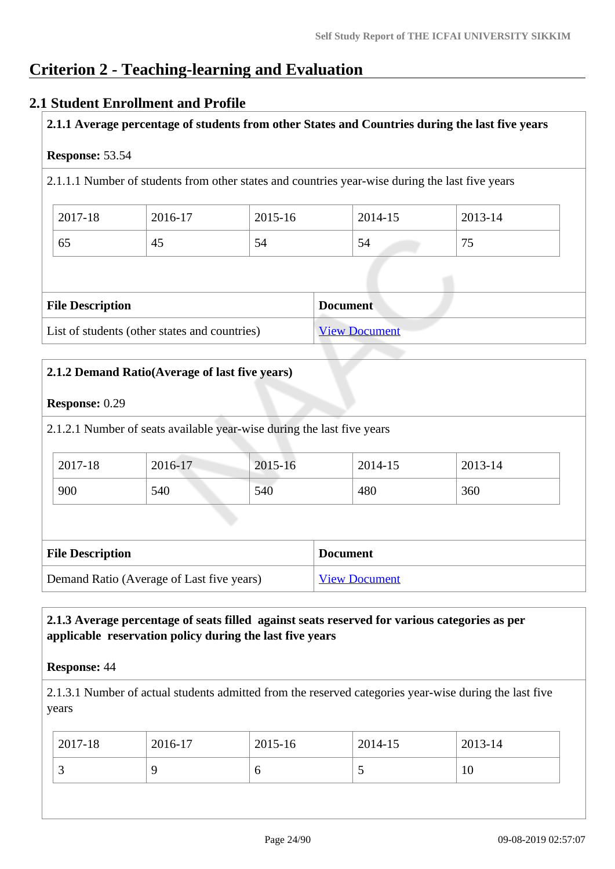## **Criterion 2 - Teaching-learning and Evaluation**

### **2.1 Student Enrollment and Profile**

**2.1.1 Average percentage of students from other States and Countries during the last five years**

#### **Response:** 53.54

2.1.1.1 Number of students from other states and countries year-wise during the last five years

| 2017-18 | 2016-17 | 2015-16 | 2014-15 | 2013-14                |
|---------|---------|---------|---------|------------------------|
| 65      | 45      | 54      | 54      | $\overline{a}$<br>رے : |

| <b>File Description</b>                       | <b>Document</b>      |
|-----------------------------------------------|----------------------|
| List of students (other states and countries) | <b>View Document</b> |

| <b>Response: 0.29</b>   |                                                                        |         |                      |         |
|-------------------------|------------------------------------------------------------------------|---------|----------------------|---------|
|                         | 2.1.2.1 Number of seats available year-wise during the last five years |         |                      |         |
| 2017-18                 | 2016-17                                                                | 2015-16 | 2014-15              | 2013-14 |
| 900                     | 540                                                                    | 540     | 480                  | 360     |
|                         |                                                                        |         |                      |         |
| <b>File Description</b> |                                                                        |         | <b>Document</b>      |         |
|                         | Demand Ratio (Average of Last five years)                              |         | <b>View Document</b> |         |

### **2.1.3 Average percentage of seats filled against seats reserved for various categories as per applicable reservation policy during the last five years**

#### **Response:** 44

2.1.3.1 Number of actual students admitted from the reserved categories year-wise during the last five years

| $ 2017-18 $ | 2016-17 | 2015-16 | $2014 - 15$ | $2013 - 14$ |
|-------------|---------|---------|-------------|-------------|
| <u>ب</u>    |         | O       | <b>~</b>    | 10          |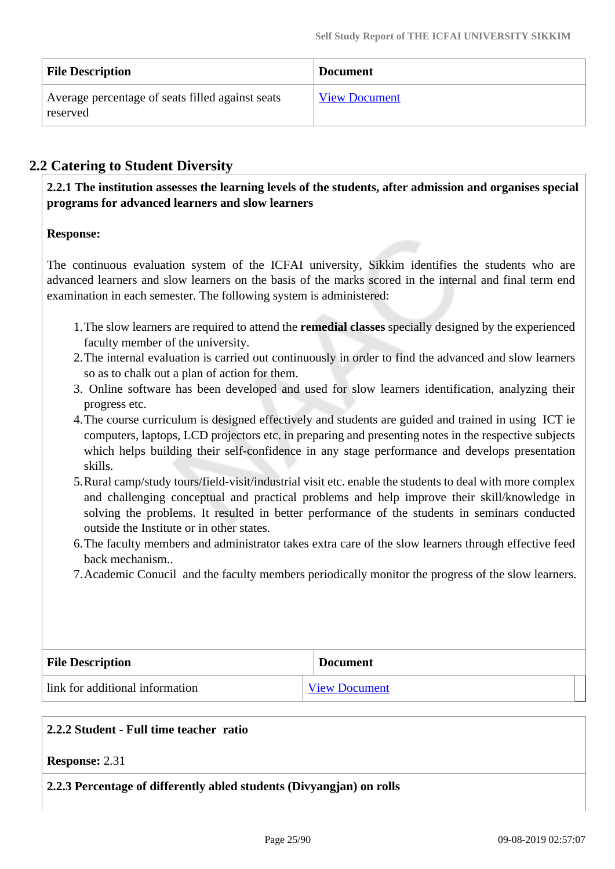| <b>File Description</b>                                      | <b>Document</b>      |
|--------------------------------------------------------------|----------------------|
| Average percentage of seats filled against seats<br>reserved | <b>View Document</b> |

## **2.2 Catering to Student Diversity**

 **2.2.1 The institution assesses the learning levels of the students, after admission and organises special programs for advanced learners and slow learners**

#### **Response:**

The continuous evaluation system of the ICFAI university, Sikkim identifies the students who are advanced learners and slow learners on the basis of the marks scored in the internal and final term end examination in each semester. The following system is administered:

- 1.The slow learners are required to attend the **remedial classes** specially designed by the experienced faculty member of the university.
- 2.The internal evaluation is carried out continuously in order to find the advanced and slow learners so as to chalk out a plan of action for them.
- 3. Online software has been developed and used for slow learners identification, analyzing their progress etc.
- 4.The course curriculum is designed effectively and students are guided and trained in using ICT ie computers, laptops, LCD projectors etc. in preparing and presenting notes in the respective subjects which helps building their self-confidence in any stage performance and develops presentation skills.
- 5.Rural camp/study tours/field-visit/industrial visit etc. enable the students to deal with more complex and challenging conceptual and practical problems and help improve their skill/knowledge in solving the problems. It resulted in better performance of the students in seminars conducted outside the Institute or in other states.
- 6.The faculty members and administrator takes extra care of the slow learners through effective feed back mechanism..
- 7.Academic Conucil and the faculty members periodically monitor the progress of the slow learners.

| <b>File Description</b>         | <b>Document</b>      |
|---------------------------------|----------------------|
| link for additional information | <b>View Document</b> |

#### **2.2.2 Student - Full time teacher ratio**

#### **Response:** 2.31

#### **2.2.3 Percentage of differently abled students (Divyangjan) on rolls**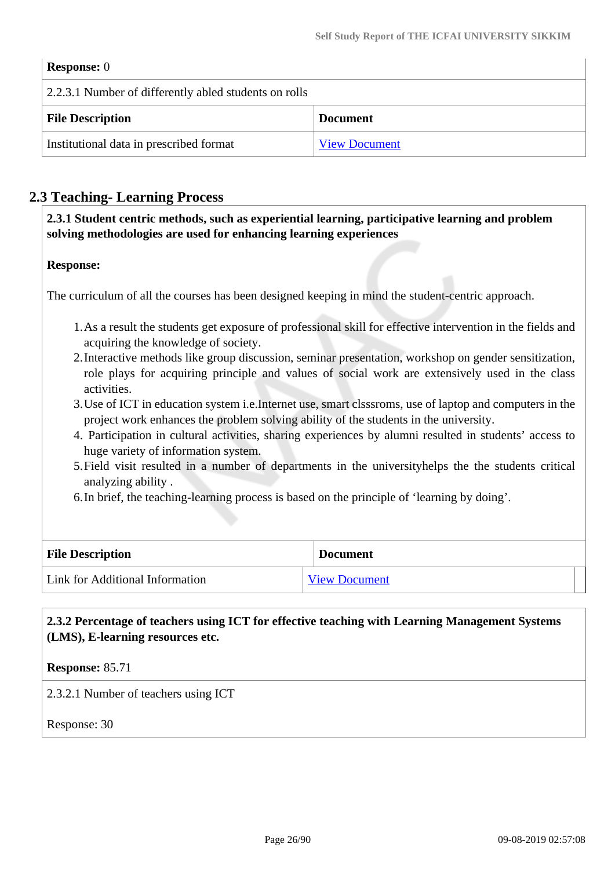| <b>Response:</b> 0                                    |                      |
|-------------------------------------------------------|----------------------|
| 2.2.3.1 Number of differently abled students on rolls |                      |
| <b>File Description</b>                               | <b>Document</b>      |
| Institutional data in prescribed format               | <b>View Document</b> |

## **2.3 Teaching- Learning Process**

 **2.3.1 Student centric methods, such as experiential learning, participative learning and problem solving methodologies are used for enhancing learning experiences**

#### **Response:**

The curriculum of all the courses has been designed keeping in mind the student-centric approach.

- 1.As a result the students get exposure of professional skill for effective intervention in the fields and acquiring the knowledge of society.
- 2.Interactive methods like group discussion, seminar presentation, workshop on gender sensitization, role plays for acquiring principle and values of social work are extensively used in the class activities.
- 3.Use of ICT in education system i.e.Internet use, smart clsssroms, use of laptop and computers in the project work enhances the problem solving ability of the students in the university.
- 4. Participation in cultural activities, sharing experiences by alumni resulted in students' access to huge variety of information system.
- 5.Field visit resulted in a number of departments in the universityhelps the the students critical analyzing ability .
- 6.In brief, the teaching-learning process is based on the principle of 'learning by doing'.

| <b>File Description</b>         | <b>Document</b>      |
|---------------------------------|----------------------|
| Link for Additional Information | <b>View Document</b> |

 **2.3.2 Percentage of teachers using ICT for effective teaching with Learning Management Systems (LMS), E-learning resources etc.**

**Response:** 85.71

2.3.2.1 Number of teachers using ICT

Response: 30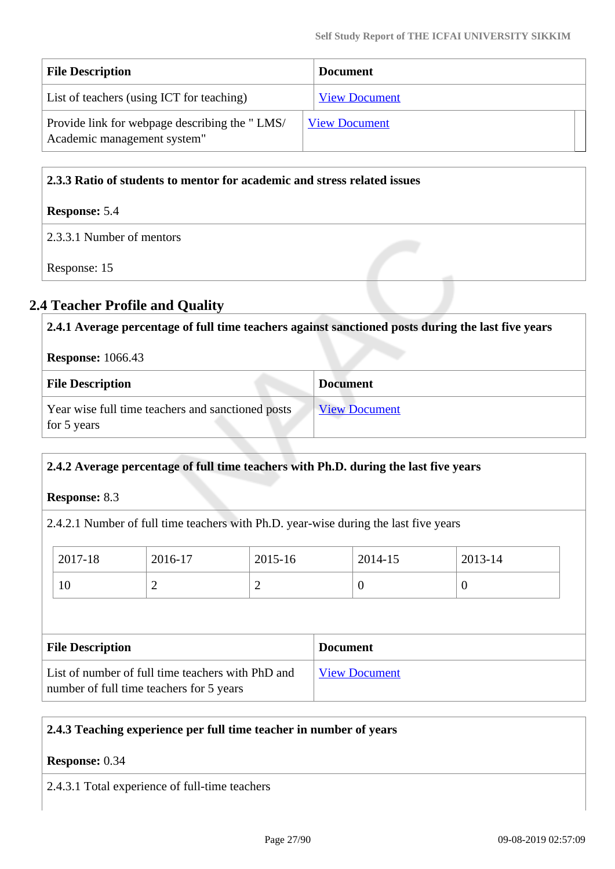| <b>File Description</b>                                                      | <b>Document</b>      |  |
|------------------------------------------------------------------------------|----------------------|--|
| List of teachers (using ICT for teaching)                                    | <b>View Document</b> |  |
| Provide link for webpage describing the "LMS/<br>Academic management system" | <b>View Document</b> |  |

#### **2.3.3 Ratio of students to mentor for academic and stress related issues**

#### **Response:** 5.4

2.3.3.1 Number of mentors

Response: 15

## **2.4 Teacher Profile and Quality**

| 2.4.1 Average percentage of full time teachers against sanctioned posts during the last five years |                      |  |  |  |
|----------------------------------------------------------------------------------------------------|----------------------|--|--|--|
| <b>Response:</b> 1066.43                                                                           |                      |  |  |  |
| <b>File Description</b>                                                                            | <b>Document</b>      |  |  |  |
| Year wise full time teachers and sanctioned posts<br>for 5 years                                   | <b>View Document</b> |  |  |  |

### **2.4.2 Average percentage of full time teachers with Ph.D. during the last five years**

**Response:** 8.3

2.4.2.1 Number of full time teachers with Ph.D. year-wise during the last five years

| 2017-18                 | 2016-17 | 2015-16 |                 | 2014-15 | 2013-14          |  |
|-------------------------|---------|---------|-----------------|---------|------------------|--|
| 10                      | ∠       | ↩       |                 | ν       | $\boldsymbol{0}$ |  |
|                         |         |         |                 |         |                  |  |
| <b>File Description</b> |         |         | <b>Document</b> |         |                  |  |

| List of number of full time teachers with PhD and | <b>View Document</b> |
|---------------------------------------------------|----------------------|
| number of full time teachers for 5 years          |                      |

### **2.4.3 Teaching experience per full time teacher in number of years**

#### **Response:** 0.34

2.4.3.1 Total experience of full-time teachers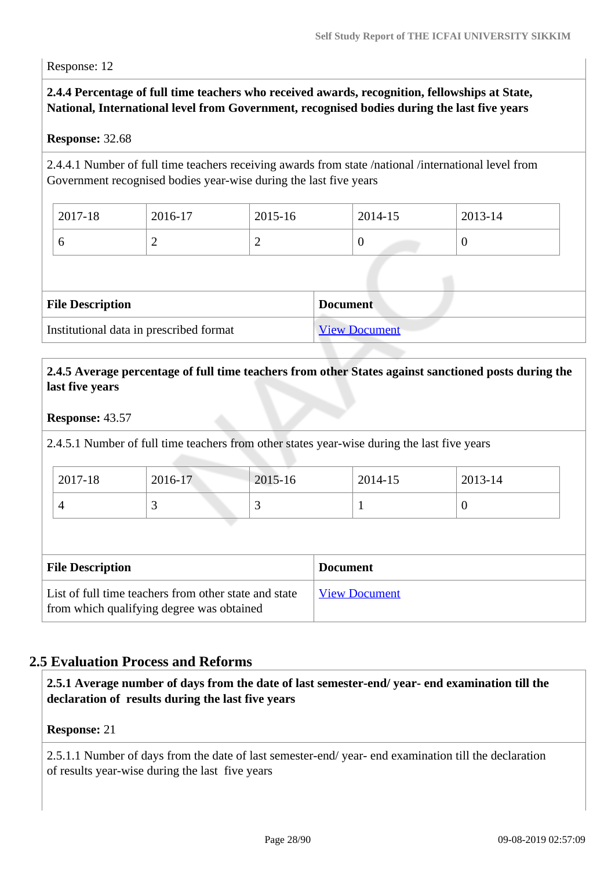Response: 12

#### **2.4.4 Percentage of full time teachers who received awards, recognition, fellowships at State, National, International level from Government, recognised bodies during the last five years**

#### **Response:** 32.68

2.4.4.1 Number of full time teachers receiving awards from state /national /international level from Government recognised bodies year-wise during the last five years

| 2017-18 | 2016-17 | 2015-16 | 2014-15 | 2013-14 |
|---------|---------|---------|---------|---------|
|         | ∽       | ∼       |         | ν       |

| <b>File Description</b>                 | <b>Document</b>      |
|-----------------------------------------|----------------------|
| Institutional data in prescribed format | <b>View Document</b> |

#### **2.4.5 Average percentage of full time teachers from other States against sanctioned posts during the last five years**

#### **Response:** 43.57

2.4.5.1 Number of full time teachers from other states year-wise during the last five years

| 2017-18 | 2016-17 | 2015-16 | 2014-15 | 2013-14 |
|---------|---------|---------|---------|---------|
|         | ັ       |         |         |         |

| <b>File Description</b>                                                                            | <b>Document</b>      |
|----------------------------------------------------------------------------------------------------|----------------------|
| List of full time teachers from other state and state<br>from which qualifying degree was obtained | <b>View Document</b> |

### **2.5 Evaluation Process and Reforms**

 **2.5.1 Average number of days from the date of last semester-end/ year- end examination till the declaration of results during the last five years**

#### **Response:** 21

2.5.1.1 Number of days from the date of last semester-end/ year- end examination till the declaration of results year-wise during the last five years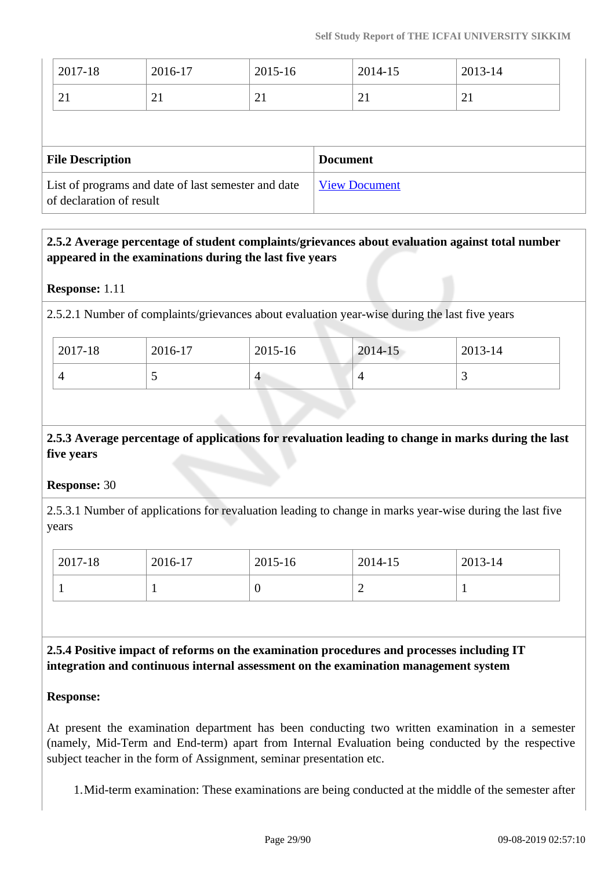| 2017-18 | 2016-17 | 2015-16        | 2014-15 | 2013-14 |
|---------|---------|----------------|---------|---------|
| 21      | 2 I     | 2 <sub>1</sub> | 21      | 21      |
|         |         |                |         |         |
|         |         |                |         |         |

| <b>File Description</b>                                                         | <b>Document</b>      |
|---------------------------------------------------------------------------------|----------------------|
| List of programs and date of last semester and date<br>of declaration of result | <b>View Document</b> |

### **2.5.2 Average percentage of student complaints/grievances about evaluation against total number appeared in the examinations during the last five years**

#### **Response:** 1.11

2.5.2.1 Number of complaints/grievances about evaluation year-wise during the last five years

| 2017-18 | $2016-17$ | 2015-16 | 2014-15 | 2013-14 |
|---------|-----------|---------|---------|---------|
|         | ັ         | 4       |         | . .     |

### **2.5.3 Average percentage of applications for revaluation leading to change in marks during the last five years**

#### **Response:** 30

2.5.3.1 Number of applications for revaluation leading to change in marks year-wise during the last five years

| 2017-18 | 2016-17 | 2015-16 | 2014-15  | 2013-14 |
|---------|---------|---------|----------|---------|
|         |         | v       | <b>_</b> |         |

 **2.5.4 Positive impact of reforms on the examination procedures and processes including IT integration and continuous internal assessment on the examination management system**

#### **Response:**

At present the examination department has been conducting two written examination in a semester (namely, Mid-Term and End-term) apart from Internal Evaluation being conducted by the respective subject teacher in the form of Assignment, seminar presentation etc.

1.Mid-term examination: These examinations are being conducted at the middle of the semester after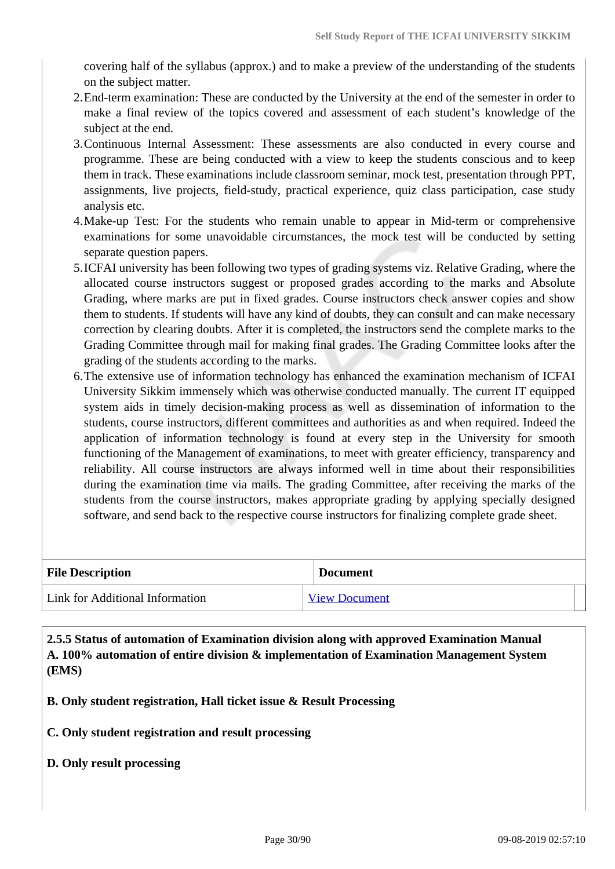covering half of the syllabus (approx.) and to make a preview of the understanding of the students on the subject matter.

- 2.End-term examination: These are conducted by the University at the end of the semester in order to make a final review of the topics covered and assessment of each student's knowledge of the subject at the end.
- 3.Continuous Internal Assessment: These assessments are also conducted in every course and programme. These are being conducted with a view to keep the students conscious and to keep them in track. These examinations include classroom seminar, mock test, presentation through PPT, assignments, live projects, field-study, practical experience, quiz class participation, case study analysis etc.
- 4.Make-up Test: For the students who remain unable to appear in Mid-term or comprehensive examinations for some unavoidable circumstances, the mock test will be conducted by setting separate question papers.
- 5.ICFAI university has been following two types of grading systems viz. Relative Grading, where the allocated course instructors suggest or proposed grades according to the marks and Absolute Grading, where marks are put in fixed grades. Course instructors check answer copies and show them to students. If students will have any kind of doubts, they can consult and can make necessary correction by clearing doubts. After it is completed, the instructors send the complete marks to the Grading Committee through mail for making final grades. The Grading Committee looks after the grading of the students according to the marks.
- 6.The extensive use of information technology has enhanced the examination mechanism of ICFAI University Sikkim immensely which was otherwise conducted manually. The current IT equipped system aids in timely decision-making process as well as dissemination of information to the students, course instructors, different committees and authorities as and when required. Indeed the application of information technology is found at every step in the University for smooth functioning of the Management of examinations, to meet with greater efficiency, transparency and reliability. All course instructors are always informed well in time about their responsibilities during the examination time via mails. The grading Committee, after receiving the marks of the students from the course instructors, makes appropriate grading by applying specially designed software, and send back to the respective course instructors for finalizing complete grade sheet.

| <b>File Description</b>         | <b>Document</b>      |
|---------------------------------|----------------------|
| Link for Additional Information | <b>View Document</b> |

 **2.5.5 Status of automation of Examination division along with approved Examination Manual A. 100% automation of entire division & implementation of Examination Management System (EMS)**

**B. Only student registration, Hall ticket issue & Result Processing**

- **C. Only student registration and result processing**
- **D. Only result processing**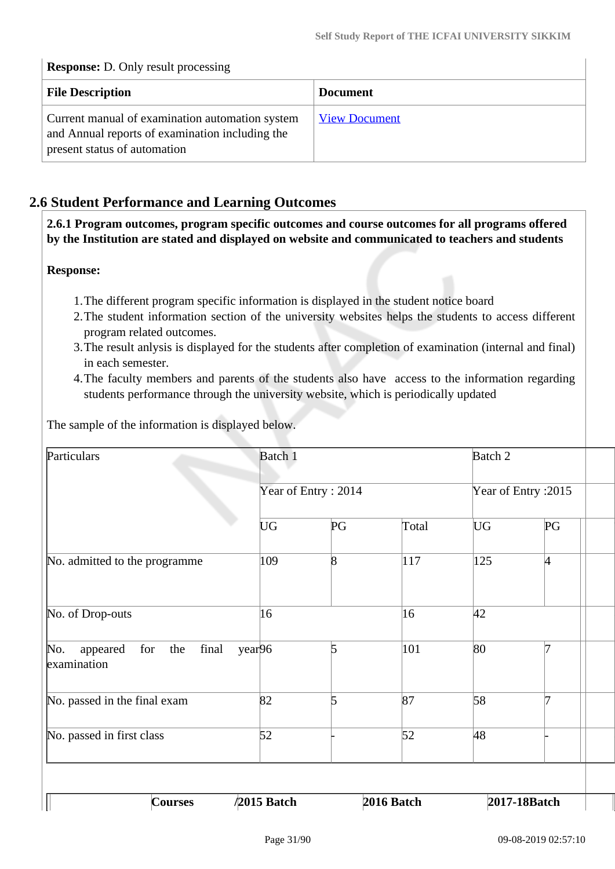#### **Response:** D. Only result processing

| <b>File Description</b>                                                                                                            | <b>Document</b>      |
|------------------------------------------------------------------------------------------------------------------------------------|----------------------|
| Current manual of examination automation system<br>and Annual reports of examination including the<br>present status of automation | <b>View Document</b> |

### **2.6 Student Performance and Learning Outcomes**

 **2.6.1 Program outcomes, program specific outcomes and course outcomes for all programs offered by the Institution are stated and displayed on website and communicated to teachers and students**

#### **Response:**

- 1.The different program specific information is displayed in the student notice board
- 2.The student information section of the university websites helps the students to access different program related outcomes.
- 3.The result anlysis is displayed for the students after completion of examination (internal and final) in each semester.
- 4.The faculty members and parents of the students also have access to the information regarding students performance through the university website, which is periodically updated

The sample of the information is displayed below.

| Particulars                                                                 | Batch 1<br>Year of Entry: 2014 |                |            | Batch 2<br>Year of Entry: 2015 |              |  |
|-----------------------------------------------------------------------------|--------------------------------|----------------|------------|--------------------------------|--------------|--|
|                                                                             |                                |                |            |                                |              |  |
|                                                                             | <b>UG</b>                      | PG             | Total      | UG                             | PG           |  |
| No. admitted to the programme                                               | 109                            | $\overline{8}$ | 117        | 125                            | 4            |  |
| No. of Drop-outs                                                            | 16                             |                | 16         | 42                             |              |  |
| for<br>final<br>year <sub>96</sub><br>No.<br>appeared<br>the<br>examination |                                | 5              | 101        | 80                             | 7            |  |
| No. passed in the final exam                                                | 82                             | 5              | 87         | 58                             | 7            |  |
| No. passed in first class                                                   | 52                             |                | 52         | 48                             |              |  |
|                                                                             |                                |                |            |                                |              |  |
| <b>Courses</b><br>I                                                         | /2015 Batch                    |                | 2016 Batch |                                | 2017-18Batch |  |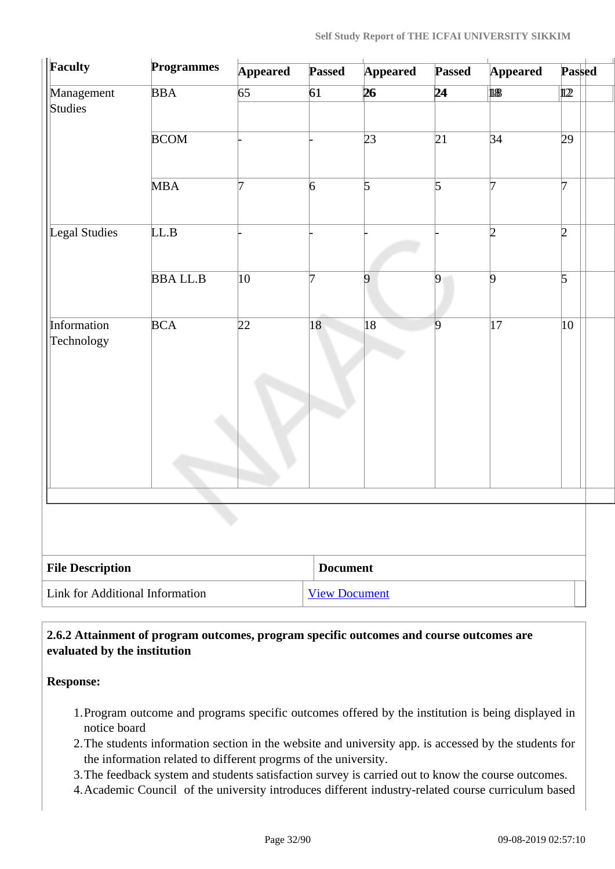| Faculty                         | <b>Programmes</b> | <b>Appeared</b> | <b>Passed</b>        | <b>Appeared</b> | <b>Passed</b>  | <b>Appeared</b> | <b>Passed</b>  |
|---------------------------------|-------------------|-----------------|----------------------|-----------------|----------------|-----------------|----------------|
| Management<br>Studies           | <b>BBA</b>        | 65              | 61                   | 26              | 24             | 18              | $1122$         |
|                                 | <b>BCOM</b>       |                 |                      | 23              | 21             | 34              | 29             |
|                                 | <b>MBA</b>        | 7               | $\overline{6}$       | $\overline{5}$  | $\overline{5}$ | 7               | 7              |
| Legal Studies                   | LL.B              |                 |                      |                 |                | $\overline{2}$  | $\overline{2}$ |
|                                 | <b>BBALL.B</b>    | 10              | 7                    | 9               | $\overline{9}$ | $\overline{9}$  | $\overline{5}$ |
| Information<br>Technology       | <b>BCA</b>        | 22              | 18                   | 18              | $\overline{9}$ | $ 17\rangle$    | 10             |
|                                 |                   | L.              |                      |                 |                |                 |                |
| <b>File Description</b>         |                   |                 | <b>Document</b>      |                 |                |                 |                |
| Link for Additional Information |                   |                 | <b>View Document</b> |                 |                |                 |                |

#### **2.6.2 Attainment of program outcomes, program specific outcomes and course outcomes are evaluated by the institution**

**Response:** 

- 1.Program outcome and programs specific outcomes offered by the institution is being displayed in notice board
- 2.The students information section in the website and university app. is accessed by the students for the information related to different progrms of the university.
- 3.The feedback system and students satisfaction survey is carried out to know the course outcomes.
- 4.Academic Council of the university introduces different industry-related course curriculum based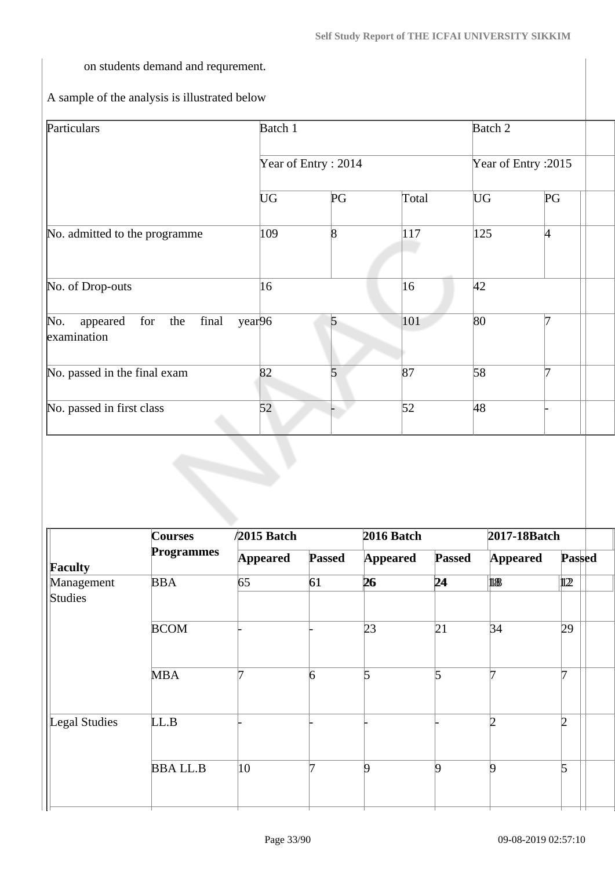on students demand and requrement.

A sample of the analysis is illustrated below

| Batch 1   |                |                     | Batch 2              |    |  |
|-----------|----------------|---------------------|----------------------|----|--|
|           |                |                     | Year of Entry : 2015 |    |  |
| <b>UG</b> | PG             | Total               | <b>UG</b>            | PG |  |
| 109       | $\overline{8}$ | 117                 | 125                  | 4  |  |
| 16        |                | 16                  | 42                   |    |  |
| year96    | 5              | 101                 | 80                   |    |  |
| 82        | 5              | 87                  | 58                   |    |  |
| 52        |                | 52                  | 48                   |    |  |
|           |                | Year of Entry: 2014 |                      |    |  |

| <b>Courses</b>    | $/2015$ Batch   |               | 2016 Batch      |               | 2017-18Batch     |                |  |
|-------------------|-----------------|---------------|-----------------|---------------|------------------|----------------|--|
| <b>Programmes</b> | <b>Appeared</b> | <b>Passed</b> | <b>Appeared</b> | <b>Passed</b> | <b>Appeared</b>  | <b>Passed</b>  |  |
| <b>BBA</b>        | 65              | 61            | 26              | 24            | 18               | 122            |  |
| <b>BCOM</b>       |                 |               | 23              | 21            | 34               | 29             |  |
| <b>MBA</b>        |                 | 6             | 5               | 5             |                  | 7              |  |
| LL.B              |                 |               |                 |               | ID.              | $\overline{2}$ |  |
| <b>BBALL.B</b>    | 10              |               | 9               | 9             | $\boldsymbol{Q}$ | 5              |  |
|                   |                 |               |                 |               |                  |                |  |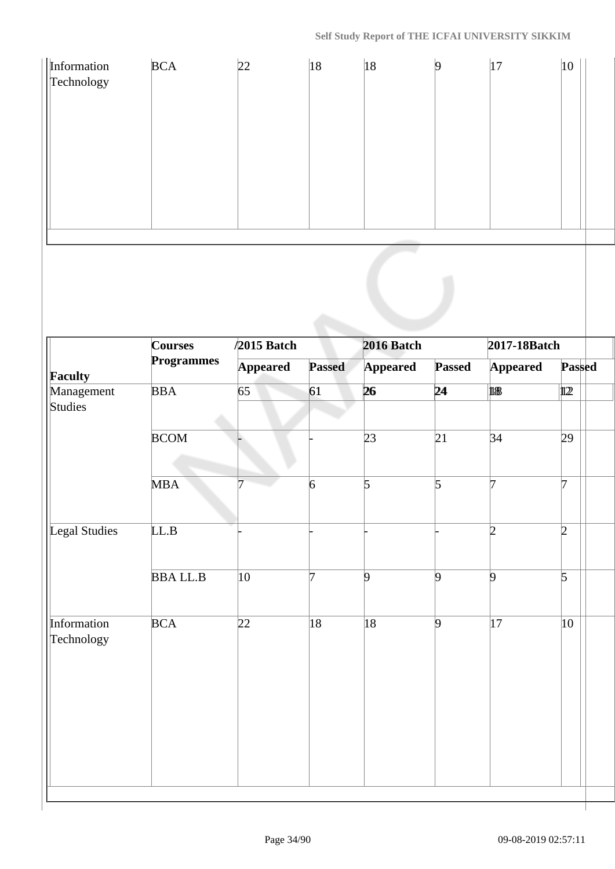| Information<br>Technology | <b>BCA</b>                          | 22              | 18              | 18              | $\vert$ 9      | $ 17\rangle$    | 10             |
|---------------------------|-------------------------------------|-----------------|-----------------|-----------------|----------------|-----------------|----------------|
|                           |                                     |                 |                 |                 |                |                 |                |
|                           |                                     |                 |                 |                 |                |                 |                |
|                           |                                     |                 |                 |                 |                |                 |                |
|                           |                                     |                 |                 |                 |                |                 |                |
|                           |                                     |                 |                 |                 |                |                 |                |
|                           |                                     |                 |                 |                 |                |                 |                |
|                           |                                     |                 |                 |                 |                |                 |                |
|                           |                                     |                 |                 |                 |                |                 |                |
|                           | <b>Courses</b><br><b>Programmes</b> | $/2015$ Batch   |                 | 2016 Batch      |                | 2017-18Batch    |                |
| <b>Faculty</b>            |                                     | <b>Appeared</b> | <b>Passed</b>   | <b>Appeared</b> | <b>Passed</b>  | <b>Appeared</b> | <b>Passed</b>  |
| Management<br>Studies     | <b>BBA</b>                          | 65              | 61              | 26              | 24             | 18              | $\mathbf{12}$  |
|                           | <b>BCOM</b>                         |                 |                 | 23              | 21             | 34              | 29             |
|                           |                                     |                 |                 |                 |                |                 |                |
|                           | <b>MBA</b>                          | 7               | $6\overline{6}$ | $\vert$ 5       | $\overline{5}$ | 7               | 7              |
|                           |                                     |                 |                 |                 |                |                 |                |
| Legal Studies             | LL.B                                |                 |                 |                 |                | $\overline{2}$  | $\overline{2}$ |
|                           |                                     |                 |                 |                 |                |                 |                |
|                           | <b>BBALL.B</b>                      | 10              | 7               | $\vert 9$       | 9              | 9               | $\overline{5}$ |
|                           |                                     |                 |                 |                 |                |                 |                |
| Information<br>Technology | <b>BCA</b>                          | 22              | 18              | 18              | $\overline{9}$ | 17              | 10             |
|                           |                                     |                 |                 |                 |                |                 |                |
|                           |                                     |                 |                 |                 |                |                 |                |
|                           |                                     |                 |                 |                 |                |                 |                |
|                           |                                     |                 |                 |                 |                |                 |                |
|                           |                                     |                 |                 |                 |                |                 |                |
|                           |                                     |                 |                 |                 |                |                 |                |
|                           |                                     |                 |                 |                 |                |                 |                |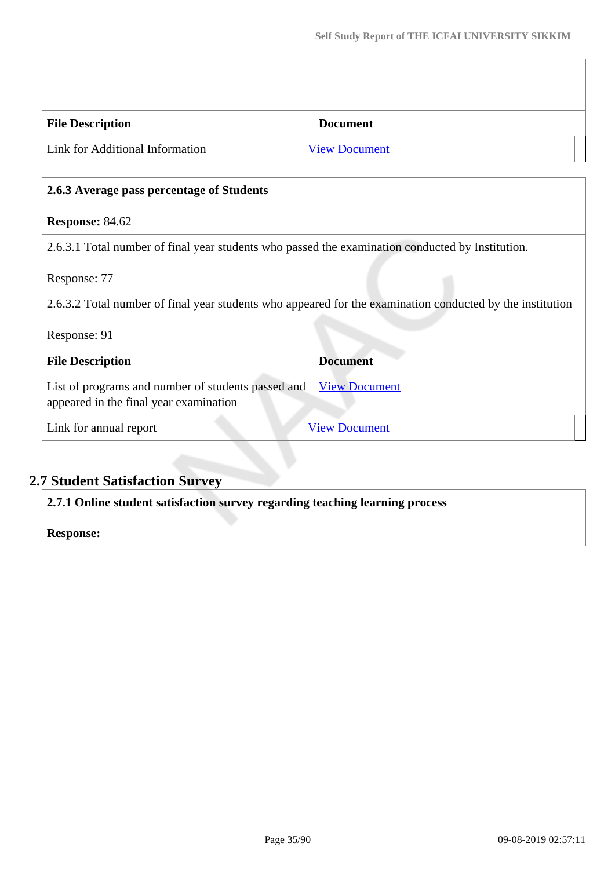| <b>File Description</b>         | <b>Document</b>      |  |
|---------------------------------|----------------------|--|
| Link for Additional Information | <b>View Document</b> |  |

## **2.6.3 Average pass percentage of Students**

#### **Response:** 84.62

2.6.3.1 Total number of final year students who passed the examination conducted by Institution.

#### Response: 77

2.6.3.2 Total number of final year students who appeared for the examination conducted by the institution

#### Response: 91

| <b>File Description</b>                                                                                           | <b>Document</b>      |
|-------------------------------------------------------------------------------------------------------------------|----------------------|
| List of programs and number of students passed and <u>View Document</u><br>appeared in the final year examination |                      |
| Link for annual report                                                                                            | <b>View Document</b> |

## **2.7 Student Satisfaction Survey**

**2.7.1 Online student satisfaction survey regarding teaching learning process**

#### **Response:**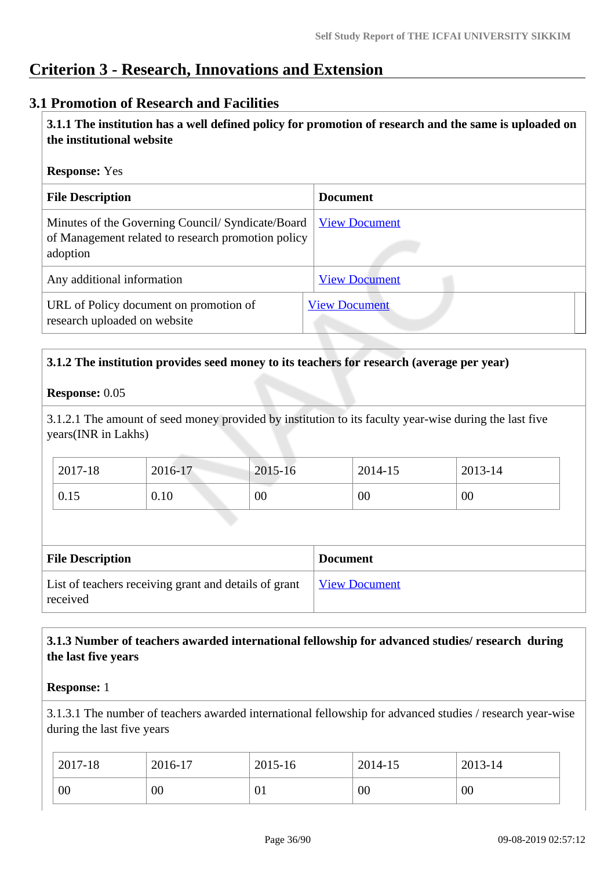## **Criterion 3 - Research, Innovations and Extension**

### **3.1 Promotion of Research and Facilities**

 **3.1.1 The institution has a well defined policy for promotion of research and the same is uploaded on the institutional website**

#### **Response:** Yes

| <b>File Description</b>                                                                                             | <b>Document</b>      |
|---------------------------------------------------------------------------------------------------------------------|----------------------|
| Minutes of the Governing Council/ Syndicate/Board<br>of Management related to research promotion policy<br>adoption | <b>View Document</b> |
| Any additional information                                                                                          | <b>View Document</b> |
| URL of Policy document on promotion of<br>research uploaded on website                                              | <b>View Document</b> |

#### **3.1.2 The institution provides seed money to its teachers for research (average per year)**

#### **Response:** 0.05

3.1.2.1 The amount of seed money provided by institution to its faculty year-wise during the last five years(INR in Lakhs)

| 2017-18 | 2016-17 | 2015-16 | 2014-15 | 2013-14 |
|---------|---------|---------|---------|---------|
| 0.15    | 0.10    | 00      | 00      | 00      |

| <b>File Description</b>                                           | <b>Document</b>      |
|-------------------------------------------------------------------|----------------------|
| List of teachers receiving grant and details of grant<br>received | <b>View Document</b> |

#### **3.1.3 Number of teachers awarded international fellowship for advanced studies/ research during the last five years**

#### **Response:** 1

3.1.3.1 The number of teachers awarded international fellowship for advanced studies / research year-wise during the last five years

| 2017-18 | 2016-17 | 2015-16        | 2014-15 | 2013-14 |
|---------|---------|----------------|---------|---------|
| 00      | 00      | 0 <sub>1</sub> | 00      | 00      |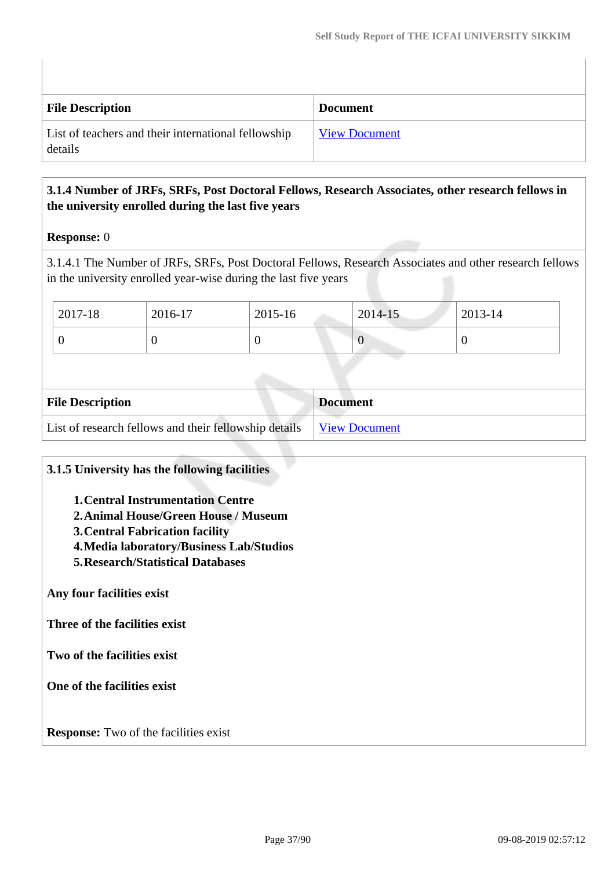| <b>File Description</b>                                        | <b>Document</b>      |
|----------------------------------------------------------------|----------------------|
| List of teachers and their international fellowship<br>details | <b>View Document</b> |

## **3.1.4 Number of JRFs, SRFs, Post Doctoral Fellows, Research Associates, other research fellows in the university enrolled during the last five years**

### **Response:** 0

3.1.4.1 The Number of JRFs, SRFs, Post Doctoral Fellows, Research Associates and other research fellows in the university enrolled year-wise during the last five years

| $2017 - 18$ | 2016-17 | 2015-16 | 2014-15 | 2013-14 |
|-------------|---------|---------|---------|---------|
|             |         |         | v       |         |

| <b>File Description</b>                                               | <b>Document</b> |
|-----------------------------------------------------------------------|-----------------|
| List of research fellows and their fellowship details   View Document |                 |

### **3.1.5 University has the following facilities**

- **1.Central Instrumentation Centre**
- **2.Animal House/Green House / Museum**
- **3.Central Fabrication facility**
- **4.Media laboratory/Business Lab/Studios**
- **5.Research/Statistical Databases**

**Any four facilities exist**

**Three of the facilities exist**

**Two of the facilities exist**

**One of the facilities exist**

**Response:** Two of the facilities exist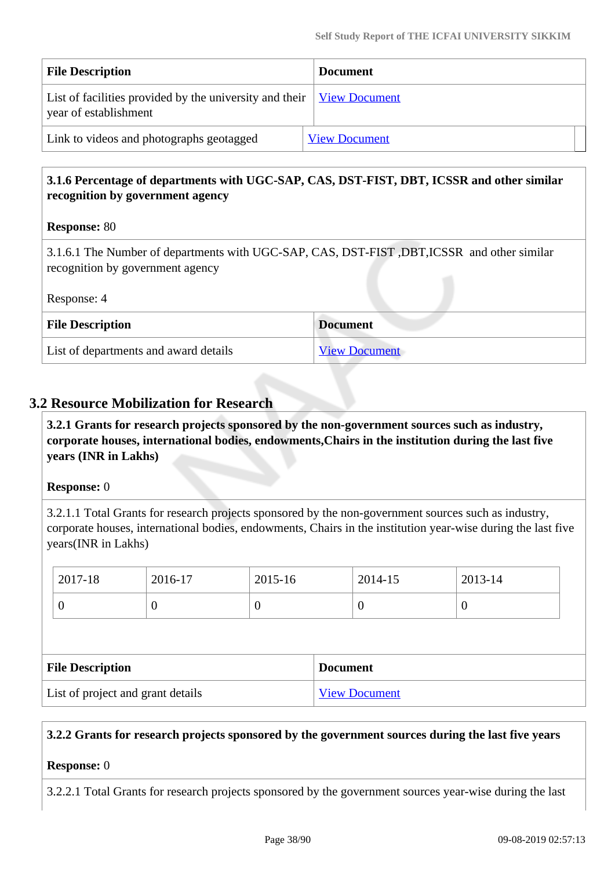| <b>File Description</b>                                                                                             | <b>Document</b>      |
|---------------------------------------------------------------------------------------------------------------------|----------------------|
| List of facilities provided by the university and their $\sqrt{\frac{1}{2}}$ Niew Document<br>year of establishment |                      |
| Link to videos and photographs geotagged                                                                            | <b>View Document</b> |

## **3.1.6 Percentage of departments with UGC-SAP, CAS, DST-FIST, DBT, ICSSR and other similar recognition by government agency**

### **Response:** 80

3.1.6.1 The Number of departments with UGC-SAP, CAS, DST-FIST ,DBT,ICSSR and other similar recognition by government agency

Response: 4

| <b>File Description</b>               | <b>Document</b>      |
|---------------------------------------|----------------------|
| List of departments and award details | <b>View Document</b> |

### **3.2 Resource Mobilization for Research**

 **3.2.1 Grants for research projects sponsored by the non-government sources such as industry, corporate houses, international bodies, endowments,Chairs in the institution during the last five years (INR in Lakhs)**

### **Response:** 0

3.2.1.1 Total Grants for research projects sponsored by the non-government sources such as industry, corporate houses, international bodies, endowments, Chairs in the institution year-wise during the last five years(INR in Lakhs)

| 2017-18                 | 2016-17          | 2015-16  |                 | 2014-15  | 2013-14  |
|-------------------------|------------------|----------|-----------------|----------|----------|
| 0                       | $\boldsymbol{0}$ | $\theta$ |                 | $\theta$ | $\theta$ |
|                         |                  |          |                 |          |          |
| <b>File Description</b> |                  |          | <b>Document</b> |          |          |
|                         |                  |          |                 |          |          |

### **3.2.2 Grants for research projects sponsored by the government sources during the last five years**

### **Response:** 0

3.2.2.1 Total Grants for research projects sponsored by the government sources year-wise during the last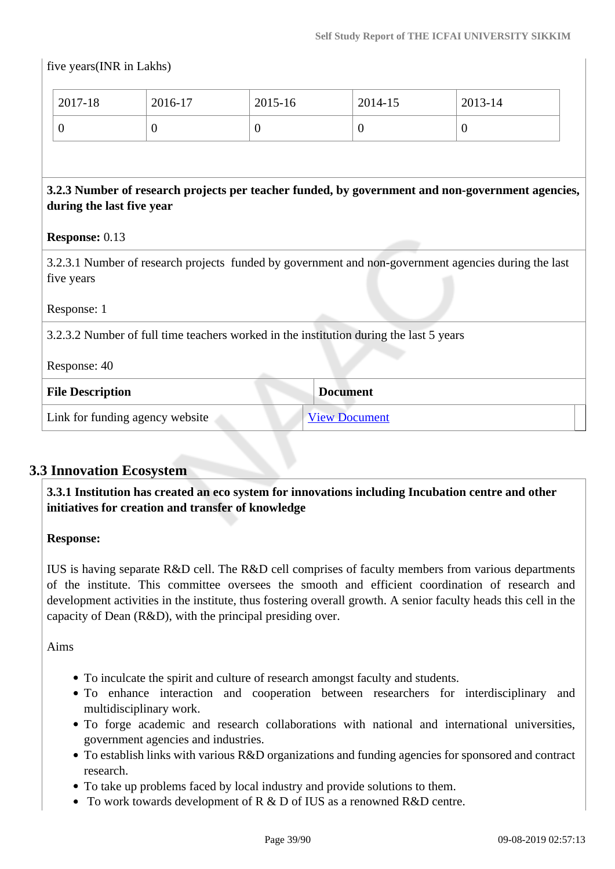| 2017-18                   | 2016-17        | 2015-16        | 2014-15                                                                                | 2013-14                                                                                              |
|---------------------------|----------------|----------------|----------------------------------------------------------------------------------------|------------------------------------------------------------------------------------------------------|
| $\overline{0}$            | $\overline{0}$ | $\overline{0}$ | $\overline{0}$                                                                         | $\theta$                                                                                             |
| during the last five year |                |                |                                                                                        | 3.2.3 Number of research projects per teacher funded, by government and non-government agencies,     |
| <b>Response: 0.13</b>     |                |                |                                                                                        |                                                                                                      |
| five years                |                |                |                                                                                        | 3.2.3.1 Number of research projects funded by government and non-government agencies during the last |
| Response: 1               |                |                |                                                                                        |                                                                                                      |
|                           |                |                | 3.2.3.2 Number of full time teachers worked in the institution during the last 5 years |                                                                                                      |
|                           |                |                |                                                                                        |                                                                                                      |
| Response: 40              |                |                |                                                                                        |                                                                                                      |
| <b>File Description</b>   |                |                | <b>Document</b>                                                                        |                                                                                                      |

## **3.3 Innovation Ecosystem**

 **3.3.1 Institution has created an eco system for innovations including Incubation centre and other initiatives for creation and transfer of knowledge**

### **Response:**

IUS is having separate R&D cell. The R&D cell comprises of faculty members from various departments of the institute. This committee oversees the smooth and efficient coordination of research and development activities in the institute, thus fostering overall growth. A senior faculty heads this cell in the capacity of Dean (R&D), with the principal presiding over.

Aims

- To inculcate the spirit and culture of research amongst faculty and students.
- To enhance interaction and cooperation between researchers for interdisciplinary and multidisciplinary work.
- To forge academic and research collaborations with national and international universities, government agencies and industries.
- To establish links with various R&D organizations and funding agencies for sponsored and contract research.
- To take up problems faced by local industry and provide solutions to them.
- To work towards development of R & D of IUS as a renowned R&D centre.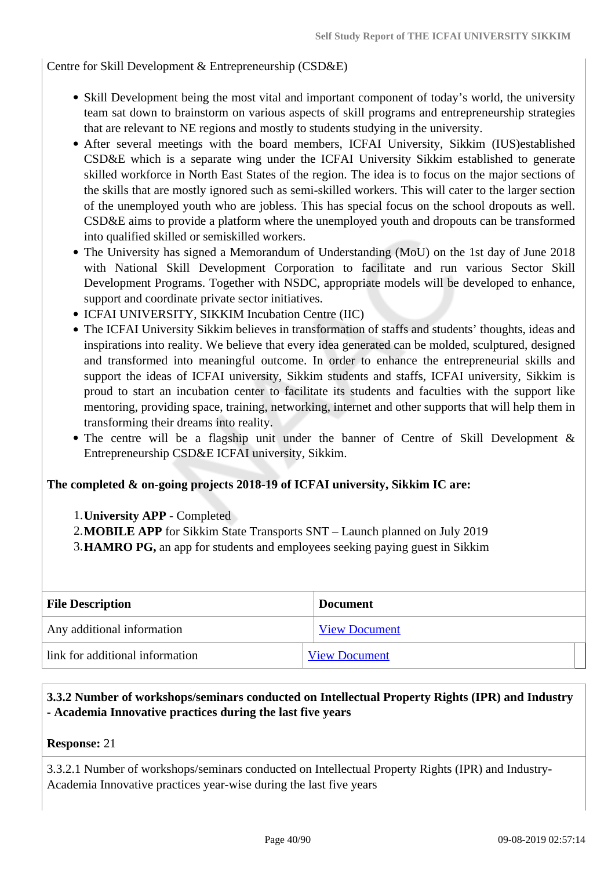Centre for Skill Development & Entrepreneurship (CSD&E)

- Skill Development being the most vital and important component of today's world, the university team sat down to brainstorm on various aspects of skill programs and entrepreneurship strategies that are relevant to NE regions and mostly to students studying in the university.
- After several meetings with the board members, ICFAI University, Sikkim (IUS)established CSD&E which is a separate wing under the ICFAI University Sikkim established to generate skilled workforce in North East States of the region. The idea is to focus on the major sections of the skills that are mostly ignored such as semi-skilled workers. This will cater to the larger section of the unemployed youth who are jobless. This has special focus on the school dropouts as well. CSD&E aims to provide a platform where the unemployed youth and dropouts can be transformed into qualified skilled or semiskilled workers.
- The University has signed a Memorandum of Understanding (MoU) on the 1st day of June 2018 with National Skill Development Corporation to facilitate and run various Sector Skill Development Programs. Together with NSDC, appropriate models will be developed to enhance, support and coordinate private sector initiatives.
- ICFAI UNIVERSITY, SIKKIM Incubation Centre (IIC)
- The ICFAI University Sikkim believes in transformation of staffs and students' thoughts, ideas and inspirations into reality. We believe that every idea generated can be molded, sculptured, designed and transformed into meaningful outcome. In order to enhance the entrepreneurial skills and support the ideas of ICFAI university, Sikkim students and staffs, ICFAI university, Sikkim is proud to start an incubation center to facilitate its students and faculties with the support like mentoring, providing space, training, networking, internet and other supports that will help them in transforming their dreams into reality.
- The centre will be a flagship unit under the banner of Centre of Skill Development & Entrepreneurship CSD&E ICFAI university, Sikkim.

### **The completed & on-going projects 2018-19 of ICFAI university, Sikkim IC are:**

- 1.**University APP** Completed
- 2.**MOBILE APP** for Sikkim State Transports SNT Launch planned on July 2019
- 3.**HAMRO PG,** an app for students and employees seeking paying guest in Sikkim

| <b>File Description</b>         | <b>Document</b>      |
|---------------------------------|----------------------|
| Any additional information      | <b>View Document</b> |
| link for additional information | <b>View Document</b> |

### **3.3.2 Number of workshops/seminars conducted on Intellectual Property Rights (IPR) and Industry - Academia Innovative practices during the last five years**

### **Response:** 21

3.3.2.1 Number of workshops/seminars conducted on Intellectual Property Rights (IPR) and Industry-Academia Innovative practices year-wise during the last five years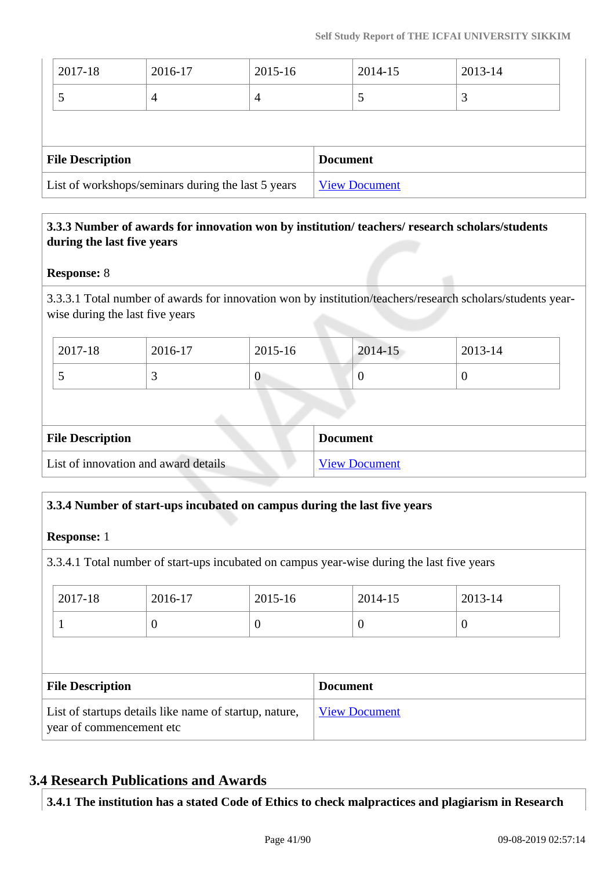| List of workshops/seminars during the last 5 years |         |         |                 | <b>View Document</b> |         |  |
|----------------------------------------------------|---------|---------|-----------------|----------------------|---------|--|
| <b>File Description</b>                            |         |         | <b>Document</b> |                      |         |  |
|                                                    |         |         |                 |                      |         |  |
|                                                    | 4       | 4       |                 | $\mathcal{L}$        | 3       |  |
| 2017-18                                            | 2016-17 | 2015-16 |                 | 2014-15              | 2013-14 |  |

## **3.3.3 Number of awards for innovation won by institution/ teachers/ research scholars/students during the last five years**

### **Response:** 8

3.3.3.1 Total number of awards for innovation won by institution/teachers/research scholars/students yearwise during the last five years

| $12017 - 18$ | 2016-17 | 2015-16 | 2014-15 | 2013-14 |
|--------------|---------|---------|---------|---------|
| . .          |         |         | U       |         |

| <b>File Description</b>              | <b>Document</b>      |
|--------------------------------------|----------------------|
| List of innovation and award details | <b>View Document</b> |

## **3.3.4 Number of start-ups incubated on campus during the last five years**

### **Response:** 1

3.3.4.1 Total number of start-ups incubated on campus year-wise during the last five years

| 2017-18                                                                            | 2016-17  | 2015-16  |                      | 2014-15          | 2013-14  |
|------------------------------------------------------------------------------------|----------|----------|----------------------|------------------|----------|
|                                                                                    | $\theta$ | $\theta$ |                      | $\boldsymbol{0}$ | $\theta$ |
|                                                                                    |          |          |                      |                  |          |
| <b>File Description</b><br><b>Document</b>                                         |          |          |                      |                  |          |
| List of startups details like name of startup, nature,<br>year of commencement etc |          |          | <b>View Document</b> |                  |          |

## **3.4 Research Publications and Awards**

**3.4.1 The institution has a stated Code of Ethics to check malpractices and plagiarism in Research**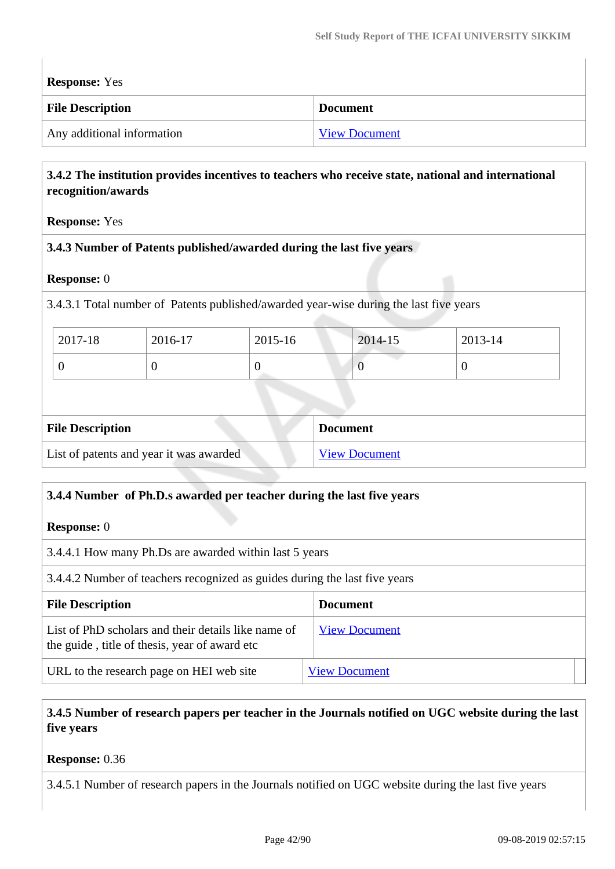**Response:** Yes

| <b>File Description</b>    | <b>Document</b>      |
|----------------------------|----------------------|
| Any additional information | <b>View Document</b> |

### **3.4.2 The institution provides incentives to teachers who receive state, national and international recognition/awards**

### **Response:** Yes

### **3.4.3 Number of Patents published/awarded during the last five years**

### **Response:** 0

3.4.3.1 Total number of Patents published/awarded year-wise during the last five years

| 2017-18 | 2016-17 | 2015-16 | 2014-15 | 2013-14 |
|---------|---------|---------|---------|---------|
|         |         |         |         | ν       |

| <b>File Description</b>                 | <b>Document</b>      |
|-----------------------------------------|----------------------|
| List of patents and year it was awarded | <b>View Document</b> |

### **3.4.4 Number of Ph.D.s awarded per teacher during the last five years**

**Response:** 0

3.4.4.1 How many Ph.Ds are awarded within last 5 years

3.4.4.2 Number of teachers recognized as guides during the last five years

| <b>File Description</b>                                                                              | <b>Document</b>      |
|------------------------------------------------------------------------------------------------------|----------------------|
| List of PhD scholars and their details like name of<br>the guide, title of thesis, year of award etc | <b>View Document</b> |
| URL to the research page on HEI web site                                                             | <b>View Document</b> |

 **3.4.5 Number of research papers per teacher in the Journals notified on UGC website during the last five years**

**Response:** 0.36

3.4.5.1 Number of research papers in the Journals notified on UGC website during the last five years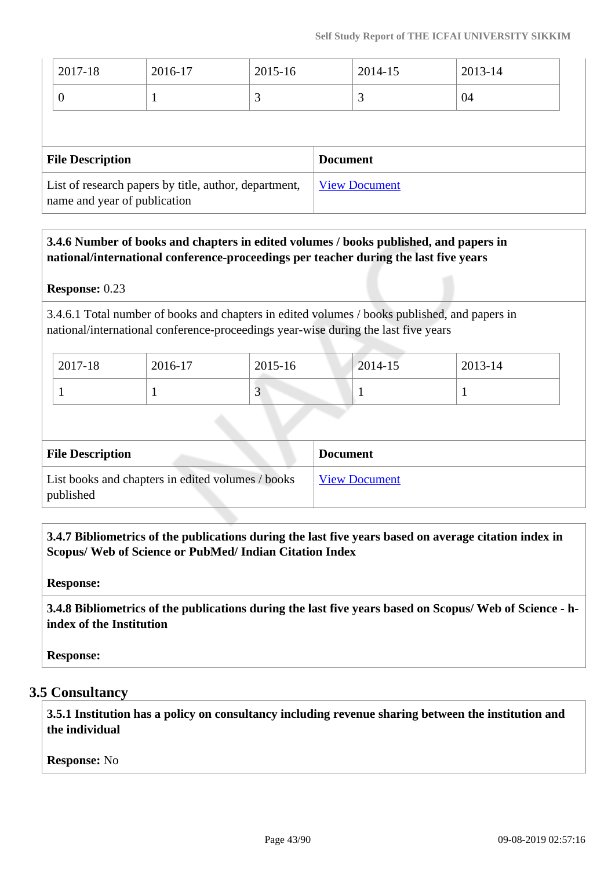| $ 2017-18 $ | 2016-17 | 2015-16 | 2014-15 | $2013 - 14$ |
|-------------|---------|---------|---------|-------------|
|             |         |         |         | 04          |

| <b>File Description</b>                                                               | <b>Document</b>      |
|---------------------------------------------------------------------------------------|----------------------|
| List of research papers by title, author, department,<br>name and year of publication | <b>View Document</b> |

## **3.4.6 Number of books and chapters in edited volumes / books published, and papers in national/international conference-proceedings per teacher during the last five years**

### **Response:** 0.23

3.4.6.1 Total number of books and chapters in edited volumes / books published, and papers in national/international conference-proceedings year-wise during the last five years

| 2017-18 | 2016-17 | 2015-16 | $2014 - 15$ | 2013-14 |
|---------|---------|---------|-------------|---------|
|         |         | ັ       |             |         |

| <b>File Description</b>                                        | <b>Document</b>      |
|----------------------------------------------------------------|----------------------|
| List books and chapters in edited volumes / books<br>published | <b>View Document</b> |

 **3.4.7 Bibliometrics of the publications during the last five years based on average citation index in Scopus/ Web of Science or PubMed/ Indian Citation Index**

**Response:** 

 **3.4.8 Bibliometrics of the publications during the last five years based on Scopus/ Web of Science - hindex of the Institution**

**Response:** 

## **3.5 Consultancy**

 **3.5.1 Institution has a policy on consultancy including revenue sharing between the institution and the individual**

**Response:** No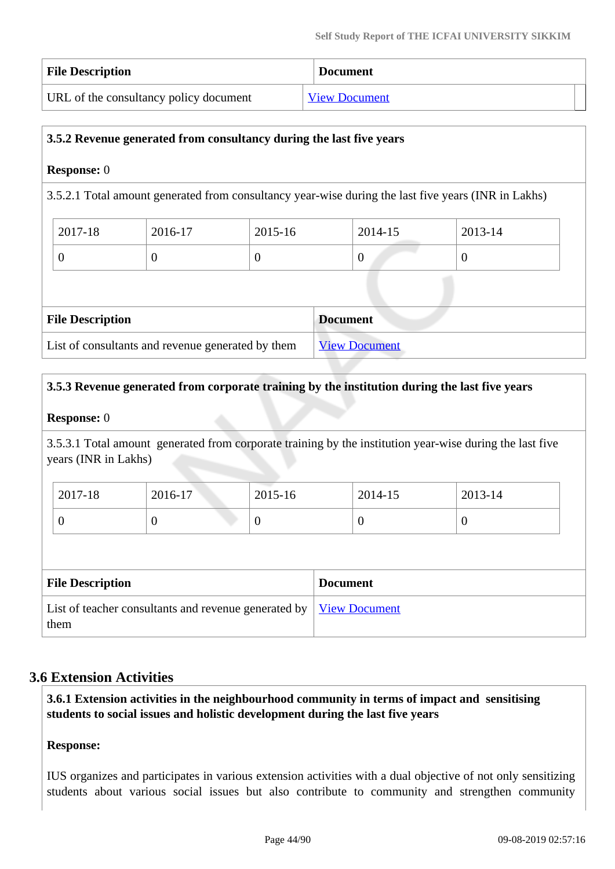| <b>File Description</b>                | <b>Document</b>      |
|----------------------------------------|----------------------|
| URL of the consultancy policy document | <b>View Document</b> |

### **3.5.2 Revenue generated from consultancy during the last five years**

### **Response:** 0

3.5.2.1 Total amount generated from consultancy year-wise during the last five years (INR in Lakhs)

| 2017-18 | 2016-17 | 2015-16 | 2014-15 | 2013-14 |
|---------|---------|---------|---------|---------|
| ິ       | v       |         | v       |         |

| <b>File Description</b>                           | <b>Document</b>      |
|---------------------------------------------------|----------------------|
| List of consultants and revenue generated by them | <b>View Document</b> |

### **3.5.3 Revenue generated from corporate training by the institution during the last five years**

### **Response:** 0

3.5.3.1 Total amount generated from corporate training by the institution year-wise during the last five years (INR in Lakhs)

| 2017-18 | 2016-17 | 2015-16 | 2014-15 | 2013-14 |
|---------|---------|---------|---------|---------|
| ິ       | ν       | ິ       |         |         |

| <b>File Description</b>                                                           | <b>Document</b> |
|-----------------------------------------------------------------------------------|-----------------|
| List of teacher consultants and revenue generated by <u>View Document</u><br>them |                 |

## **3.6 Extension Activities**

 **3.6.1 Extension activities in the neighbourhood community in terms of impact and sensitising students to social issues and holistic development during the last five years**

### **Response:**

IUS organizes and participates in various extension activities with a dual objective of not only sensitizing students about various social issues but also contribute to community and strengthen community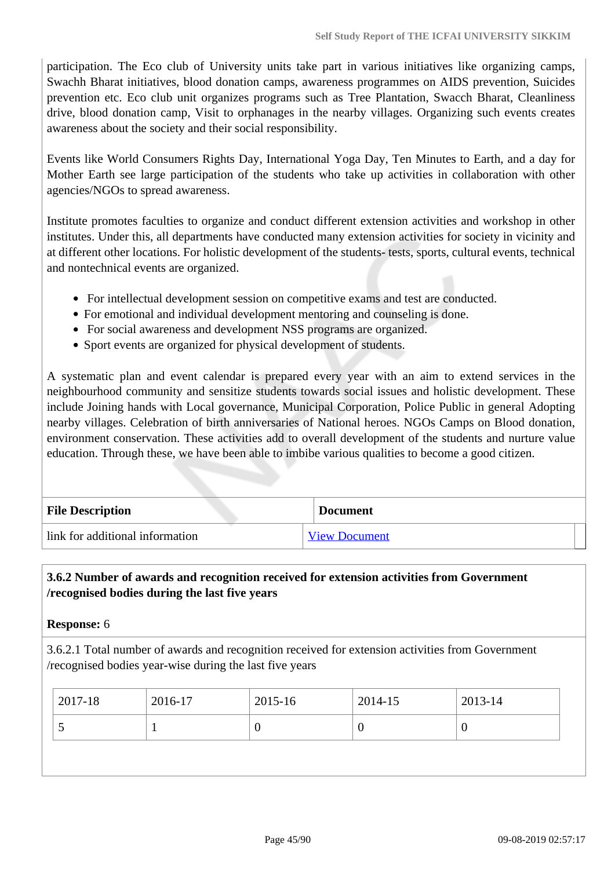participation. The Eco club of University units take part in various initiatives like organizing camps, Swachh Bharat initiatives, blood donation camps, awareness programmes on AIDS prevention, Suicides prevention etc. Eco club unit organizes programs such as Tree Plantation, Swacch Bharat, Cleanliness drive, blood donation camp, Visit to orphanages in the nearby villages. Organizing such events creates awareness about the society and their social responsibility.

Events like World Consumers Rights Day, International Yoga Day, Ten Minutes to Earth, and a day for Mother Earth see large participation of the students who take up activities in collaboration with other agencies/NGOs to spread awareness.

Institute promotes faculties to organize and conduct different extension activities and workshop in other institutes. Under this, all departments have conducted many extension activities for society in vicinity and at different other locations. For holistic development of the students- tests, sports, cultural events, technical and nontechnical events are organized.

- For intellectual development session on competitive exams and test are conducted.
- For emotional and individual development mentoring and counseling is done.
- For social awareness and development NSS programs are organized.
- Sport events are organized for physical development of students.

A systematic plan and event calendar is prepared every year with an aim to extend services in the neighbourhood community and sensitize students towards social issues and holistic development. These include Joining hands with Local governance, Municipal Corporation, Police Public in general Adopting nearby villages. Celebration of birth anniversaries of National heroes. NGOs Camps on Blood donation, environment conservation. These activities add to overall development of the students and nurture value education. Through these, we have been able to imbibe various qualities to become a good citizen.

| <b>File Description</b>         | <b>Document</b>      |
|---------------------------------|----------------------|
| link for additional information | <b>View Document</b> |

### **3.6.2 Number of awards and recognition received for extension activities from Government /recognised bodies during the last five years**

**Response:** 6

3.6.2.1 Total number of awards and recognition received for extension activities from Government /recognised bodies year-wise during the last five years

|   | 2017-18 | 2016-17 | 2015-16 | 2014-15 | 2013-14 |
|---|---------|---------|---------|---------|---------|
| ັ |         |         | υ       | U       | 0       |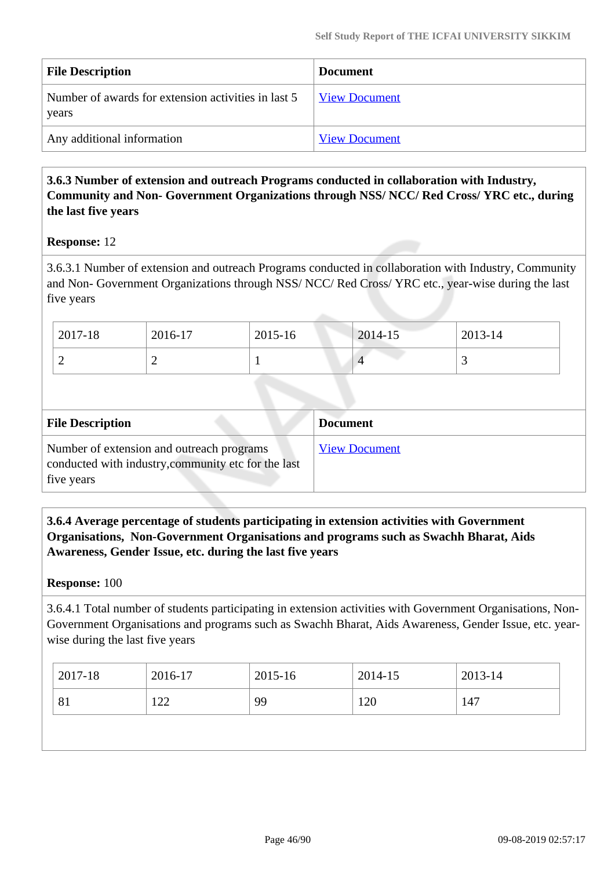| <b>File Description</b>                                      | <b>Document</b>      |
|--------------------------------------------------------------|----------------------|
| Number of awards for extension activities in last 5<br>years | <b>View Document</b> |
| Any additional information                                   | <b>View Document</b> |

## **3.6.3 Number of extension and outreach Programs conducted in collaboration with Industry, Community and Non- Government Organizations through NSS/ NCC/ Red Cross/ YRC etc., during the last five years**

### **Response:** 12

3.6.3.1 Number of extension and outreach Programs conducted in collaboration with Industry, Community and Non- Government Organizations through NSS/ NCC/ Red Cross/ YRC etc., year-wise during the last five years

| 2017-18 | 2016-17 | 2015-16 | 2014-15 | 2013-14  |
|---------|---------|---------|---------|----------|
| ∼       | -       |         |         | <u>ب</u> |

| <b>File Description</b>                                                                                        | <b>Document</b>      |
|----------------------------------------------------------------------------------------------------------------|----------------------|
| Number of extension and outreach programs<br>conducted with industry, community etc for the last<br>five years | <b>View Document</b> |

### **3.6.4 Average percentage of students participating in extension activities with Government Organisations, Non-Government Organisations and programs such as Swachh Bharat, Aids Awareness, Gender Issue, etc. during the last five years**

### **Response:** 100

3.6.4.1 Total number of students participating in extension activities with Government Organisations, Non-Government Organisations and programs such as Swachh Bharat, Aids Awareness, Gender Issue, etc. yearwise during the last five years

| 99<br>120<br>122<br>81<br>147 | 2017-18 | 2016-17 | 2015-16 | 2014-15 | 2013-14 |
|-------------------------------|---------|---------|---------|---------|---------|
|                               |         |         |         |         |         |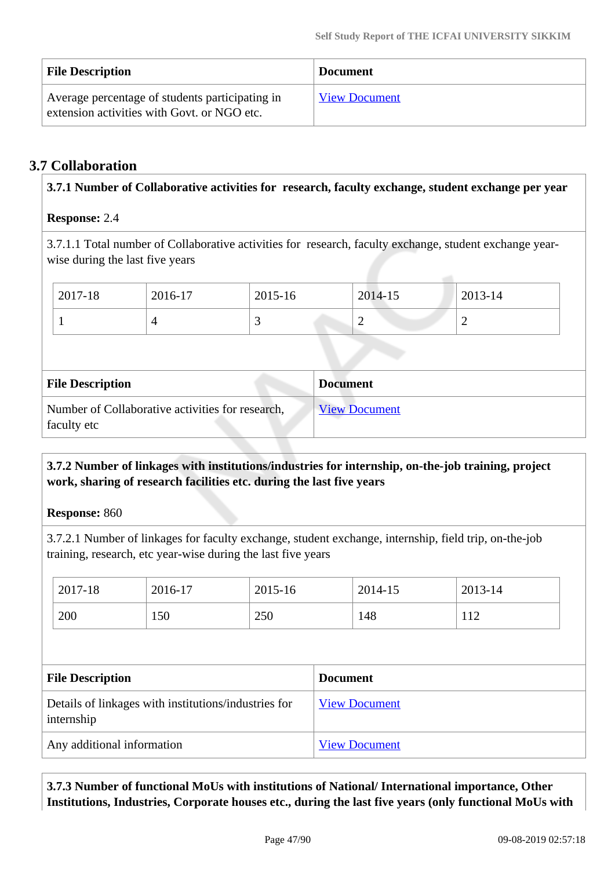| <b>File Description</b>                                                                        | <b>Document</b>      |
|------------------------------------------------------------------------------------------------|----------------------|
| Average percentage of students participating in<br>extension activities with Govt. or NGO etc. | <b>View Document</b> |

## **3.7 Collaboration**

| 3.7.1 Number of Collaborative activities for research, faculty exchange, student exchange per year |                                                                 |         |         |  |                      |                                                                                                         |  |  |  |
|----------------------------------------------------------------------------------------------------|-----------------------------------------------------------------|---------|---------|--|----------------------|---------------------------------------------------------------------------------------------------------|--|--|--|
|                                                                                                    | <b>Response: 2.4</b>                                            |         |         |  |                      |                                                                                                         |  |  |  |
|                                                                                                    | wise during the last five years                                 |         |         |  |                      | 3.7.1.1 Total number of Collaborative activities for research, faculty exchange, student exchange year- |  |  |  |
|                                                                                                    | 2017-18                                                         | 2016-17 | 2015-16 |  | 2014-15              | 2013-14                                                                                                 |  |  |  |
|                                                                                                    | 3<br>$\overline{4}$                                             |         |         |  | $\overline{2}$       | $\overline{2}$                                                                                          |  |  |  |
|                                                                                                    |                                                                 |         |         |  |                      |                                                                                                         |  |  |  |
|                                                                                                    | <b>Document</b><br><b>File Description</b>                      |         |         |  |                      |                                                                                                         |  |  |  |
|                                                                                                    | Number of Collaborative activities for research,<br>faculty etc |         |         |  | <b>View Document</b> |                                                                                                         |  |  |  |

## **3.7.2 Number of linkages with institutions/industries for internship, on-the-job training, project work, sharing of research facilities etc. during the last five years**

**Response:** 860

3.7.2.1 Number of linkages for faculty exchange, student exchange, internship, field trip, on-the-job training, research, etc year-wise during the last five years

| 2017-18                 | 2016-17                                              | 2015-16 |                 | 2014-15              | 2013-14 |  |
|-------------------------|------------------------------------------------------|---------|-----------------|----------------------|---------|--|
| 200                     | 150                                                  | 250     |                 | 148                  | 112     |  |
|                         |                                                      |         |                 |                      |         |  |
|                         |                                                      |         |                 |                      |         |  |
| <b>File Description</b> |                                                      |         | <b>Document</b> |                      |         |  |
| internship              | Details of linkages with institutions/industries for |         |                 | <b>View Document</b> |         |  |

 **3.7.3 Number of functional MoUs with institutions of National/ International importance, Other Institutions, Industries, Corporate houses etc., during the last five years (only functional MoUs with**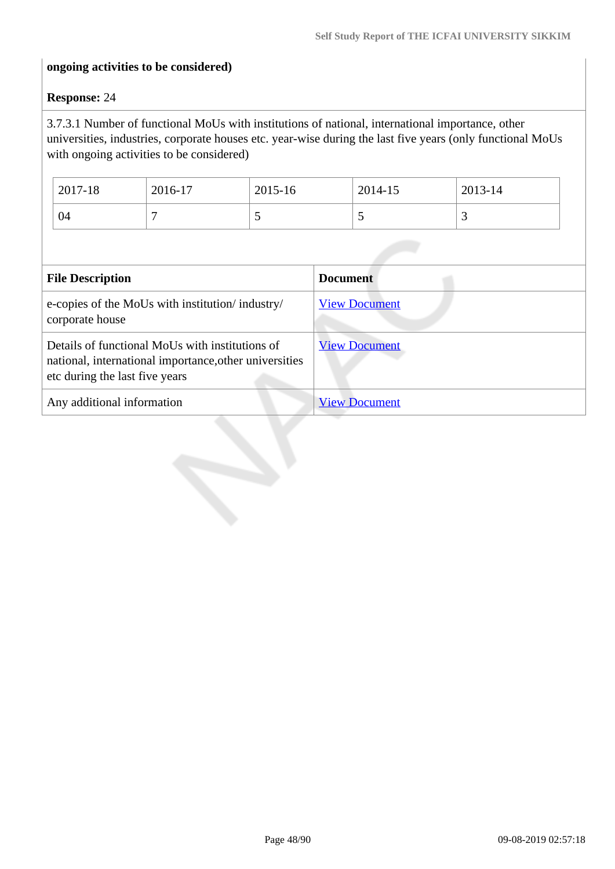### **ongoing activities to be considered)**

### **Response:** 24

3.7.3.1 Number of functional MoUs with institutions of national, international importance, other universities, industries, corporate houses etc. year-wise during the last five years (only functional MoUs with ongoing activities to be considered)

| 2017-18 | 2016-17 | 2015-16                  | 2014-15 | 2013-14                  |
|---------|---------|--------------------------|---------|--------------------------|
| 04      |         | $\overline{\phantom{0}}$ | ັ       | $\overline{\phantom{0}}$ |

| <b>File Description</b>                                                                                                                     | <b>Document</b>      |
|---------------------------------------------------------------------------------------------------------------------------------------------|----------------------|
| e-copies of the MoUs with institution/industry/<br>corporate house                                                                          | <b>View Document</b> |
| Details of functional MoUs with institutions of<br>national, international importance, other universities<br>etc during the last five years | <b>View Document</b> |
| Any additional information                                                                                                                  | <b>View Document</b> |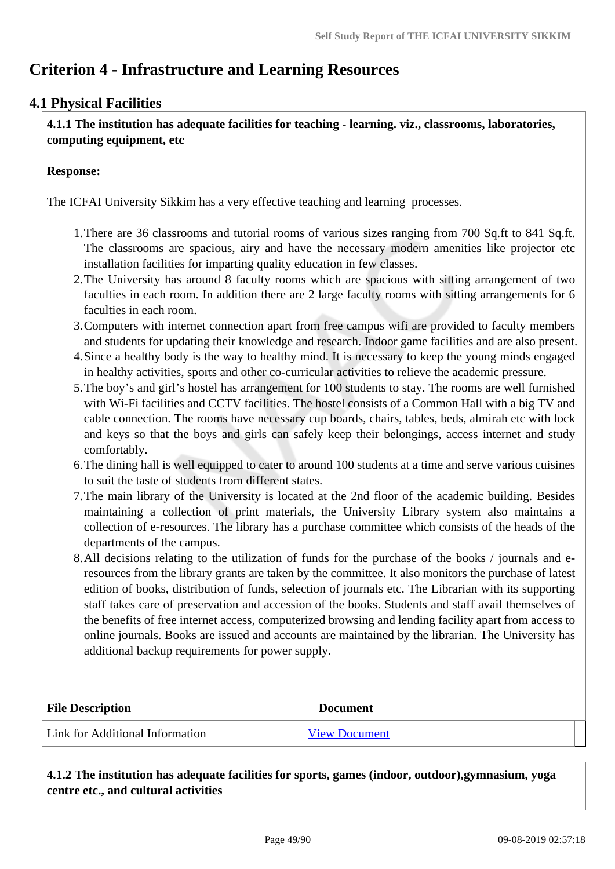## **Criterion 4 - Infrastructure and Learning Resources**

## **4.1 Physical Facilities**

 **4.1.1 The institution has adequate facilities for teaching - learning. viz., classrooms, laboratories, computing equipment, etc**

### **Response:**

The ICFAI University Sikkim has a very effective teaching and learning processes.

- 1.There are 36 classrooms and tutorial rooms of various sizes ranging from 700 Sq.ft to 841 Sq.ft. The classrooms are spacious, airy and have the necessary modern amenities like projector etc installation facilities for imparting quality education in few classes.
- 2.The University has around 8 faculty rooms which are spacious with sitting arrangement of two faculties in each room. In addition there are 2 large faculty rooms with sitting arrangements for 6 faculties in each room.
- 3.Computers with internet connection apart from free campus wifi are provided to faculty members and students for updating their knowledge and research. Indoor game facilities and are also present.
- 4.Since a healthy body is the way to healthy mind. It is necessary to keep the young minds engaged in healthy activities, sports and other co-curricular activities to relieve the academic pressure.
- 5.The boy's and girl's hostel has arrangement for 100 students to stay. The rooms are well furnished with Wi-Fi facilities and CCTV facilities. The hostel consists of a Common Hall with a big TV and cable connection. The rooms have necessary cup boards, chairs, tables, beds, almirah etc with lock and keys so that the boys and girls can safely keep their belongings, access internet and study comfortably.
- 6.The dining hall is well equipped to cater to around 100 students at a time and serve various cuisines to suit the taste of students from different states.
- 7.The main library of the University is located at the 2nd floor of the academic building. Besides maintaining a collection of print materials, the University Library system also maintains a collection of e-resources. The library has a purchase committee which consists of the heads of the departments of the campus.
- 8.All decisions relating to the utilization of funds for the purchase of the books / journals and eresources from the library grants are taken by the committee. It also monitors the purchase of latest edition of books, distribution of funds, selection of journals etc. The Librarian with its supporting staff takes care of preservation and accession of the books. Students and staff avail themselves of the benefits of free internet access, computerized browsing and lending facility apart from access to online journals. Books are issued and accounts are maintained by the librarian. The University has additional backup requirements for power supply.

| <b>File Description</b>         | <b>Document</b>      |
|---------------------------------|----------------------|
| Link for Additional Information | <b>View Document</b> |

 **4.1.2 The institution has adequate facilities for sports, games (indoor, outdoor),gymnasium, yoga centre etc., and cultural activities**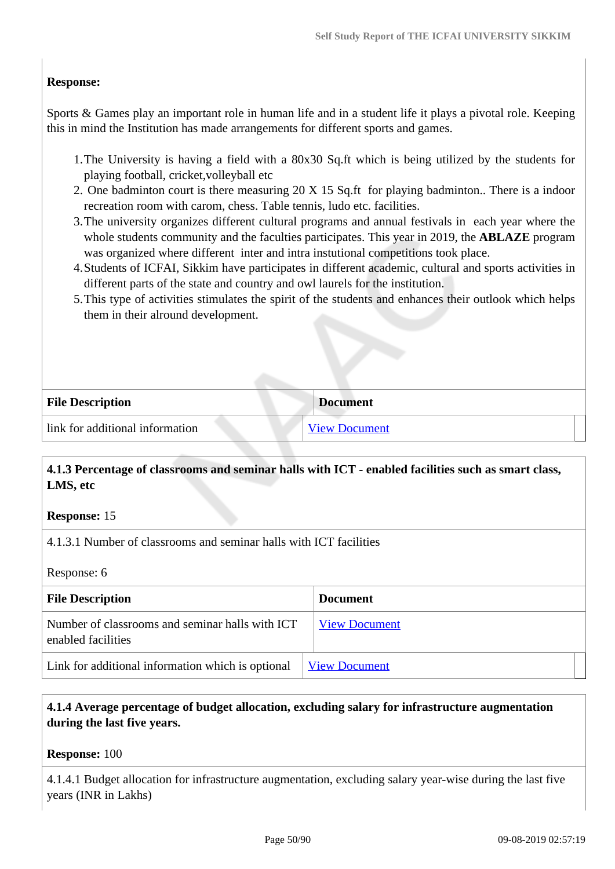### **Response:**

Sports & Games play an important role in human life and in a student life it plays a pivotal role. Keeping this in mind the Institution has made arrangements for different sports and games.

- 1.The University is having a field with a 80x30 Sq.ft which is being utilized by the students for playing football, cricket,volleyball etc
- 2. One badminton court is there measuring 20 X 15 Sq.ft for playing badminton.. There is a indoor recreation room with carom, chess. Table tennis, ludo etc. facilities.
- 3.The university organizes different cultural programs and annual festivals in each year where the whole students community and the faculties participates. This year in 2019, the **ABLAZE** program was organized where different inter and intra instutional competitions took place.
- 4.Students of ICFAI, Sikkim have participates in different academic, cultural and sports activities in different parts of the state and country and owl laurels for the institution.
- 5.This type of activities stimulates the spirit of the students and enhances their outlook which helps them in their alround development.

| <b>File Description</b>         | <b>Document</b>      |
|---------------------------------|----------------------|
| link for additional information | <b>View Document</b> |

## **4.1.3 Percentage of classrooms and seminar halls with ICT - enabled facilities such as smart class, LMS, etc**

### **Response:** 15

4.1.3.1 Number of classrooms and seminar halls with ICT facilities

Response: 6

| <b>File Description</b>                                               | <b>Document</b>      |
|-----------------------------------------------------------------------|----------------------|
| Number of classrooms and seminar halls with ICT<br>enabled facilities | <b>View Document</b> |
| Link for additional information which is optional                     | <b>View Document</b> |

### **4.1.4 Average percentage of budget allocation, excluding salary for infrastructure augmentation during the last five years.**

**Response:** 100

4.1.4.1 Budget allocation for infrastructure augmentation, excluding salary year-wise during the last five years (INR in Lakhs)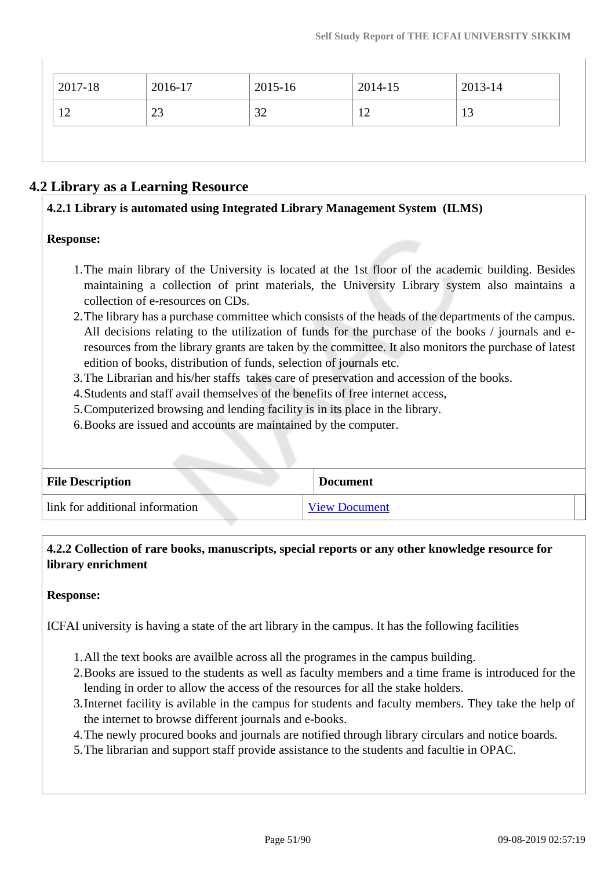| $2017 - 18$ | 2016-17 | 2015-16 | 2014-15 | 2013-14 |
|-------------|---------|---------|---------|---------|
| 12          | 23      | 32      | 12      | 13      |

## **4.2 Library as a Learning Resource**

### **4.2.1 Library is automated using Integrated Library Management System (ILMS)**

### **Response:**

- 1.The main library of the University is located at the 1st floor of the academic building. Besides maintaining a collection of print materials, the University Library system also maintains a collection of e-resources on CDs.
- 2.The library has a purchase committee which consists of the heads of the departments of the campus. All decisions relating to the utilization of funds for the purchase of the books / journals and eresources from the library grants are taken by the committee. It also monitors the purchase of latest edition of books, distribution of funds, selection of journals etc.
- 3.The Librarian and his/her staffs takes care of preservation and accession of the books.
- 4.Students and staff avail themselves of the benefits of free internet access,
- 5.Computerized browsing and lending facility is in its place in the library.
- 6.Books are issued and accounts are maintained by the computer.

| <b>File Description</b>         | <b>Document</b>      |  |
|---------------------------------|----------------------|--|
| link for additional information | <b>View Document</b> |  |

## **4.2.2 Collection of rare books, manuscripts, special reports or any other knowledge resource for library enrichment**

### **Response:**

ICFAI university is having a state of the art library in the campus. It has the following facilities

- 1.All the text books are availble across all the programes in the campus building.
- 2.Books are issued to the students as well as faculty members and a time frame is introduced for the lending in order to allow the access of the resources for all the stake holders.
- 3.Internet facility is avilable in the campus for students and faculty members. They take the help of the internet to browse different journals and e-books.
- 4.The newly procured books and journals are notified through library circulars and notice boards.
- 5.The librarian and support staff provide assistance to the students and facultie in OPAC.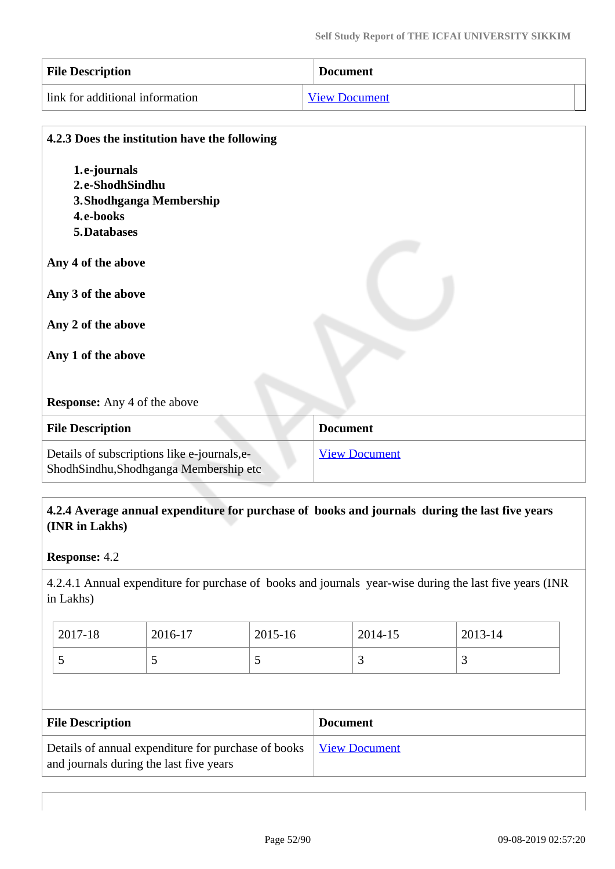| <b>File Description</b>         | <b>Document</b>      |  |
|---------------------------------|----------------------|--|
| link for additional information | <b>View Document</b> |  |

| 4.2.3 Does the institution have the following                                         |                      |
|---------------------------------------------------------------------------------------|----------------------|
| 1.e-journals                                                                          |                      |
| 2.e-ShodhSindhu                                                                       |                      |
| 3. Shodhganga Membership                                                              |                      |
| 4.e-books                                                                             |                      |
| 5. Databases                                                                          |                      |
| Any 4 of the above<br>Any 3 of the above<br>Any 2 of the above<br>Any 1 of the above  |                      |
| <b>Response:</b> Any 4 of the above                                                   |                      |
| <b>File Description</b>                                                               | <b>Document</b>      |
| Details of subscriptions like e-journals, e-<br>ShodhSindhu,Shodhganga Membership etc | <b>View Document</b> |

## **4.2.4 Average annual expenditure for purchase of books and journals during the last five years (INR in Lakhs)**

### **Response:** 4.2

4.2.4.1 Annual expenditure for purchase of books and journals year-wise during the last five years (INR in Lakhs)

| 2017-18 | 2016-17 | 2015-16 | 2014-15 | 2013-14 |
|---------|---------|---------|---------|---------|
|         |         |         |         | ັ       |

| <b>File Description</b>                                                                                               | <b>Document</b> |
|-----------------------------------------------------------------------------------------------------------------------|-----------------|
| Details of annual expenditure for purchase of books   <u>View Document</u><br>and journals during the last five years |                 |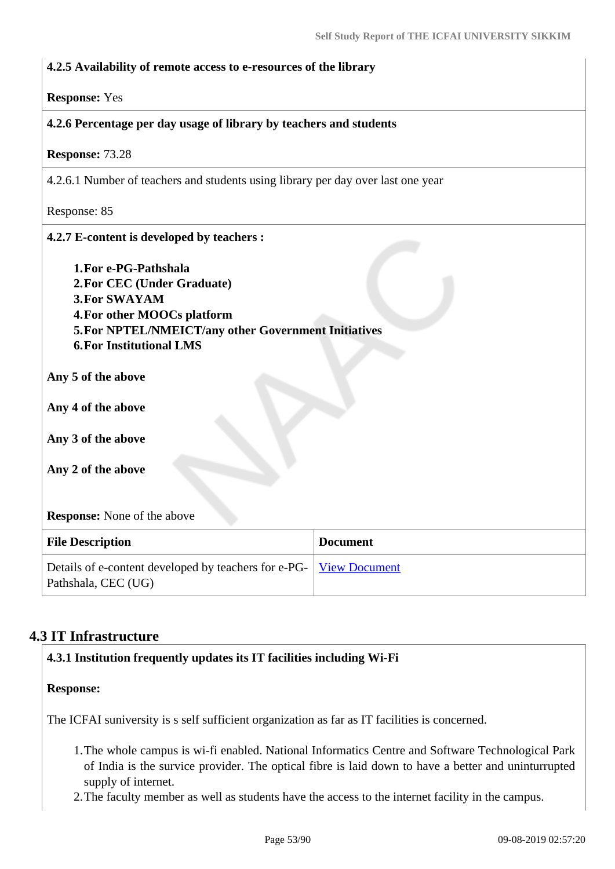| 4.2.5 Availability of remote access to e-resources of the library                                                                                                                                                            |                      |  |
|------------------------------------------------------------------------------------------------------------------------------------------------------------------------------------------------------------------------------|----------------------|--|
| <b>Response: Yes</b>                                                                                                                                                                                                         |                      |  |
| 4.2.6 Percentage per day usage of library by teachers and students                                                                                                                                                           |                      |  |
| Response: 73.28                                                                                                                                                                                                              |                      |  |
| 4.2.6.1 Number of teachers and students using library per day over last one year                                                                                                                                             |                      |  |
| Response: 85                                                                                                                                                                                                                 |                      |  |
| 4.2.7 E-content is developed by teachers :                                                                                                                                                                                   |                      |  |
| 1. For e-PG-Pathshala<br>2. For CEC (Under Graduate)<br><b>3. For SWAYAM</b><br>4. For other MOOCs platform<br>5. For NPTEL/NMEICT/any other Government Initiatives<br><b>6. For Institutional LMS</b><br>Any 5 of the above |                      |  |
| Any 4 of the above                                                                                                                                                                                                           |                      |  |
| Any 3 of the above                                                                                                                                                                                                           |                      |  |
| Any 2 of the above                                                                                                                                                                                                           |                      |  |
| <b>Response:</b> None of the above                                                                                                                                                                                           |                      |  |
| <b>File Description</b>                                                                                                                                                                                                      | <b>Document</b>      |  |
| Details of e-content developed by teachers for e-PG-<br>Pathshala, CEC (UG)                                                                                                                                                  | <b>View Document</b> |  |

## **4.3 IT Infrastructure**

### **4.3.1 Institution frequently updates its IT facilities including Wi-Fi**

### **Response:**

The ICFAI suniversity is s self sufficient organization as far as IT facilities is concerned.

- 1.The whole campus is wi-fi enabled. National Informatics Centre and Software Technological Park of India is the survice provider. The optical fibre is laid down to have a better and uninturrupted supply of internet.
- 2.The faculty member as well as students have the access to the internet facility in the campus.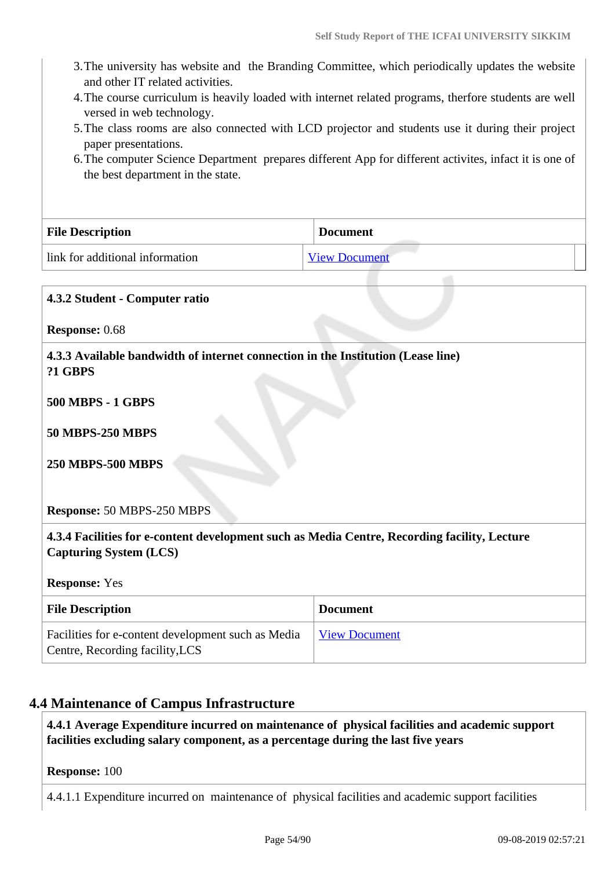- 3.The university has website and the Branding Committee, which periodically updates the website and other IT related activities.
- 4.The course curriculum is heavily loaded with internet related programs, therfore students are well versed in web technology.
- 5.The class rooms are also connected with LCD projector and students use it during their project paper presentations.
- 6.The computer Science Department prepares different App for different activites, infact it is one of the best department in the state.

| <b>File Description</b>         | <b>Document</b>      |
|---------------------------------|----------------------|
| link for additional information | <b>View Document</b> |

| 4.3.2 Student - Computer ratio                                                                                                                            |                      |  |
|-----------------------------------------------------------------------------------------------------------------------------------------------------------|----------------------|--|
| Response: 0.68                                                                                                                                            |                      |  |
| 4.3.3 Available bandwidth of internet connection in the Institution (Lease line)<br><b>?1 GBPS</b><br><b>500 MBPS - 1 GBPS</b><br><b>50 MBPS-250 MBPS</b> |                      |  |
| <b>250 MBPS-500 MBPS</b><br><b>Response: 50 MBPS-250 MBPS</b>                                                                                             |                      |  |
| 4.3.4 Facilities for e-content development such as Media Centre, Recording facility, Lecture<br><b>Capturing System (LCS)</b>                             |                      |  |
| <b>Response: Yes</b>                                                                                                                                      |                      |  |
| <b>File Description</b>                                                                                                                                   | <b>Document</b>      |  |
| Facilities for e-content development such as Media<br>Centre, Recording facility, LCS                                                                     | <b>View Document</b> |  |

## **4.4 Maintenance of Campus Infrastructure**

 **4.4.1 Average Expenditure incurred on maintenance of physical facilities and academic support facilities excluding salary component, as a percentage during the last five years**

**Response:** 100

4.4.1.1 Expenditure incurred on maintenance of physical facilities and academic support facilities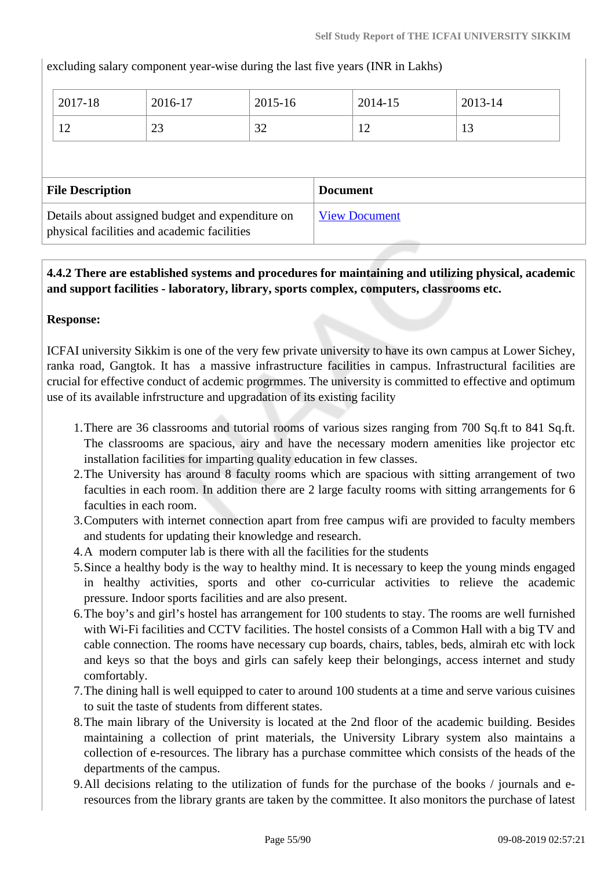excluding salary component year-wise during the last five years (INR in Lakhs)

| 2017-18                 | 2016-17 | 2015-16 | 2014-15         | 2013-14 |
|-------------------------|---------|---------|-----------------|---------|
| 12                      | 23      | 32      | 12              | 13      |
|                         |         |         |                 |         |
|                         |         |         |                 |         |
| <b>File Description</b> |         |         | <b>Document</b> |         |

## **4.4.2 There are established systems and procedures for maintaining and utilizing physical, academic and support facilities - laboratory, library, sports complex, computers, classrooms etc.**

### **Response:**

ICFAI university Sikkim is one of the very few private university to have its own campus at Lower Sichey, ranka road, Gangtok. It has a massive infrastructure facilities in campus. Infrastructural facilities are crucial for effective conduct of acdemic progrmmes. The university is committed to effective and optimum use of its available infrstructure and upgradation of its existing facility

- 1.There are 36 classrooms and tutorial rooms of various sizes ranging from 700 Sq.ft to 841 Sq.ft. The classrooms are spacious, airy and have the necessary modern amenities like projector etc installation facilities for imparting quality education in few classes.
- 2.The University has around 8 faculty rooms which are spacious with sitting arrangement of two faculties in each room. In addition there are 2 large faculty rooms with sitting arrangements for 6 faculties in each room.
- 3.Computers with internet connection apart from free campus wifi are provided to faculty members and students for updating their knowledge and research.
- 4.A modern computer lab is there with all the facilities for the students
- 5.Since a healthy body is the way to healthy mind. It is necessary to keep the young minds engaged in healthy activities, sports and other co-curricular activities to relieve the academic pressure. Indoor sports facilities and are also present.
- 6.The boy's and girl's hostel has arrangement for 100 students to stay. The rooms are well furnished with Wi-Fi facilities and CCTV facilities. The hostel consists of a Common Hall with a big TV and cable connection. The rooms have necessary cup boards, chairs, tables, beds, almirah etc with lock and keys so that the boys and girls can safely keep their belongings, access internet and study comfortably.
- 7.The dining hall is well equipped to cater to around 100 students at a time and serve various cuisines to suit the taste of students from different states.
- 8.The main library of the University is located at the 2nd floor of the academic building. Besides maintaining a collection of print materials, the University Library system also maintains a collection of e-resources. The library has a purchase committee which consists of the heads of the departments of the campus.
- 9.All decisions relating to the utilization of funds for the purchase of the books / journals and eresources from the library grants are taken by the committee. It also monitors the purchase of latest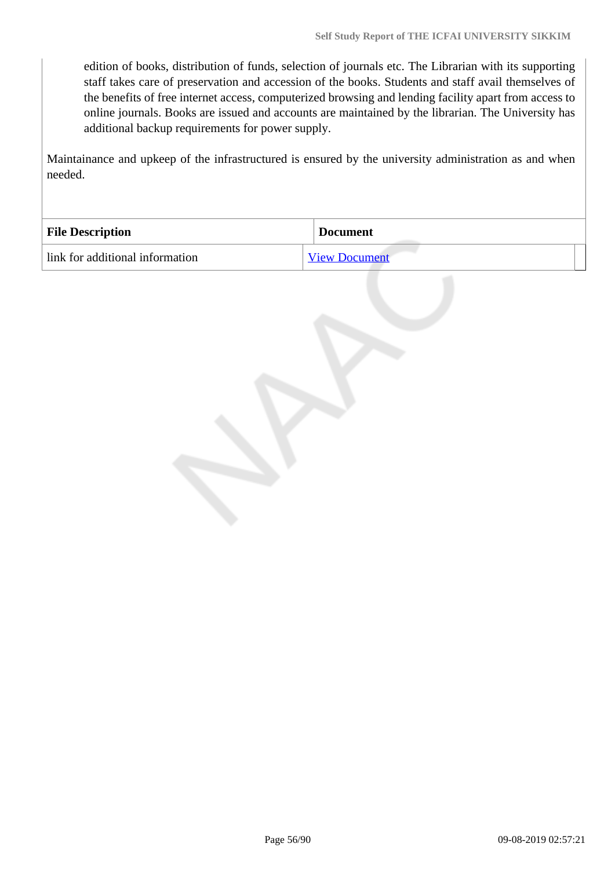edition of books, distribution of funds, selection of journals etc. The Librarian with its supporting staff takes care of preservation and accession of the books. Students and staff avail themselves of the benefits of free internet access, computerized browsing and lending facility apart from access to online journals. Books are issued and accounts are maintained by the librarian. The University has additional backup requirements for power supply.

Maintainance and upkeep of the infrastructured is ensured by the university administration as and when needed.

| <b>File Description</b>         | <b>Document</b>      |
|---------------------------------|----------------------|
| link for additional information | <b>View Document</b> |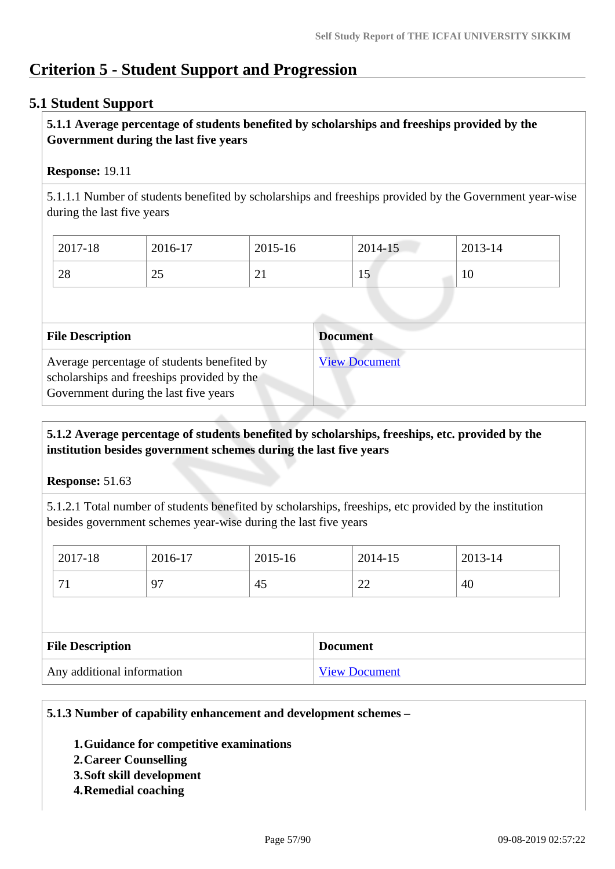## **Criterion 5 - Student Support and Progression**

## **5.1 Student Support**

### **5.1.1 Average percentage of students benefited by scholarships and freeships provided by the Government during the last five years**

### **Response:** 19.11

5.1.1.1 Number of students benefited by scholarships and freeships provided by the Government year-wise during the last five years

| 2017-18 | 2016-17         | 2015-16                  | 2014-15 | 2013-14 |
|---------|-----------------|--------------------------|---------|---------|
| 28      | $\bigcap$<br>رے | $\sim$<br>$\overline{a}$ | -<br>⊥J | 10      |

| <b>File Description</b>                                                                                                            | <b>Document</b>      |
|------------------------------------------------------------------------------------------------------------------------------------|----------------------|
| Average percentage of students benefited by<br>scholarships and freeships provided by the<br>Government during the last five years | <b>View Document</b> |

### **5.1.2 Average percentage of students benefited by scholarships, freeships, etc. provided by the institution besides government schemes during the last five years**

**Response:** 51.63

5.1.2.1 Total number of students benefited by scholarships, freeships, etc provided by the institution besides government schemes year-wise during the last five years

| <b>File Description</b> |         | <b>Document</b> |         |  |         |         |  |
|-------------------------|---------|-----------------|---------|--|---------|---------|--|
|                         | 71      | 97              | 45      |  | 22      | 40      |  |
|                         |         |                 |         |  |         |         |  |
|                         | 2017-18 | 2016-17         | 2015-16 |  | 2014-15 | 2013-14 |  |

### **5.1.3 Number of capability enhancement and development schemes –**

- **1.Guidance for competitive examinations**
- **2.Career Counselling**
- **3.Soft skill development**
- **4.Remedial coaching**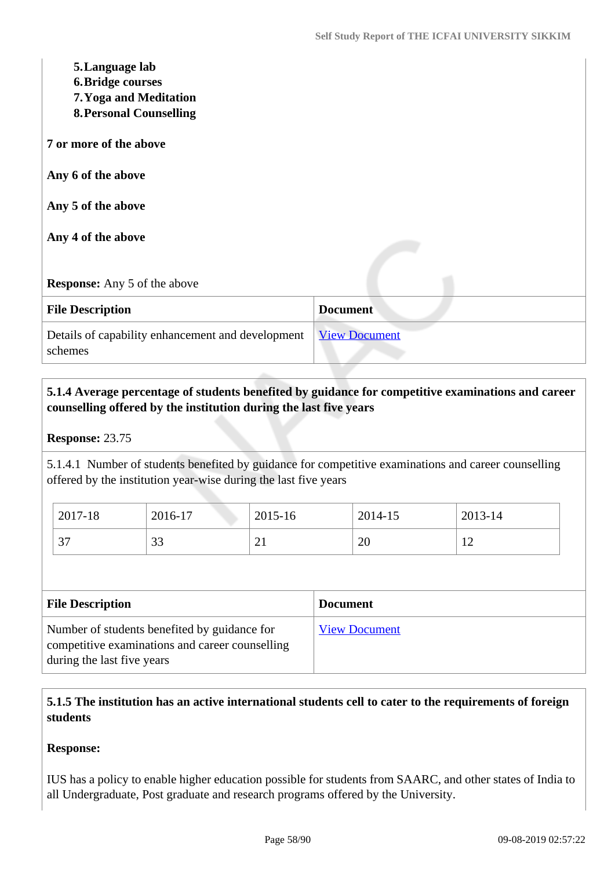| 5. Language lab<br><b>6. Bridge courses</b><br>7. Yoga and Meditation<br><b>8. Personal Counselling</b> |                      |
|---------------------------------------------------------------------------------------------------------|----------------------|
| 7 or more of the above                                                                                  |                      |
| Any 6 of the above                                                                                      |                      |
| Any 5 of the above                                                                                      |                      |
| Any 4 of the above                                                                                      |                      |
| <b>Response:</b> Any 5 of the above                                                                     |                      |
| <b>File Description</b>                                                                                 | <b>Document</b>      |
| Details of capability enhancement and development<br>schemes                                            | <b>View Document</b> |

## **5.1.4 Average percentage of students benefited by guidance for competitive examinations and career counselling offered by the institution during the last five years**

### **Response:** 23.75

5.1.4.1 Number of students benefited by guidance for competitive examinations and career counselling offered by the institution year-wise during the last five years

| 2017-18           | 2016-17       | 2015-16        | 2014-15 | 2013-14                          |
|-------------------|---------------|----------------|---------|----------------------------------|
| $\sqrt{2}$<br>، ب | $\cap$<br>JJ. | σ.<br>∠⊥<br>-- | 20      | 1 <sub>0</sub><br>$\overline{1}$ |

| <b>File Description</b>                                                                                                       | <b>Document</b>      |
|-------------------------------------------------------------------------------------------------------------------------------|----------------------|
| Number of students benefited by guidance for<br>competitive examinations and career counselling<br>during the last five years | <b>View Document</b> |

## **5.1.5 The institution has an active international students cell to cater to the requirements of foreign students**

### **Response:**

IUS has a policy to enable higher education possible for students from SAARC, and other states of India to all Undergraduate, Post graduate and research programs offered by the University.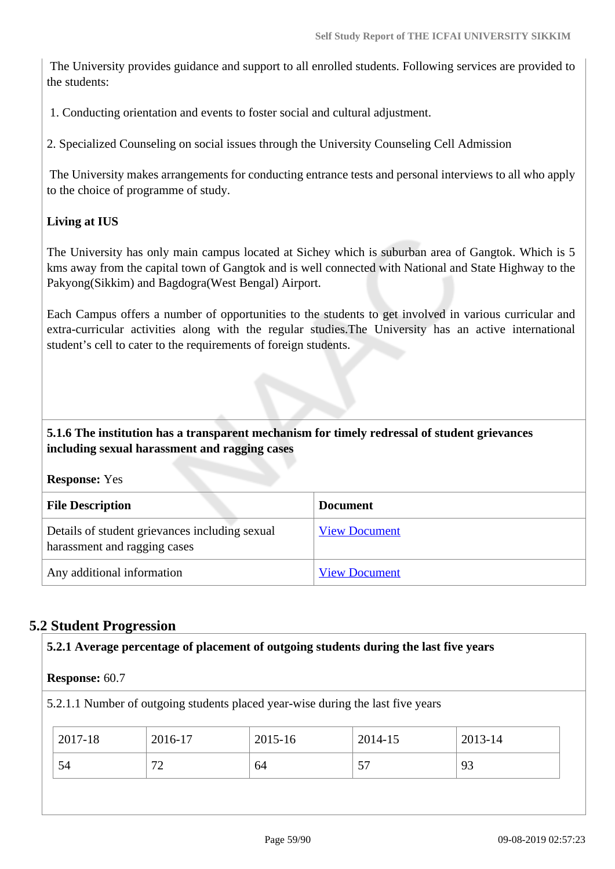The University provides guidance and support to all enrolled students. Following services are provided to the students:

1. Conducting orientation and events to foster social and cultural adjustment.

2. Specialized Counseling on social issues through the University Counseling Cell Admission

 The University makes arrangements for conducting entrance tests and personal interviews to all who apply to the choice of programme of study.

### **Living at IUS**

The University has only main campus located at Sichey which is suburban area of Gangtok. Which is 5 kms away from the capital town of Gangtok and is well connected with National and State Highway to the Pakyong(Sikkim) and Bagdogra(West Bengal) Airport.

Each Campus offers a number of opportunities to the students to get involved in various curricular and extra-curricular activities along with the regular studies.The University has an active international student's cell to cater to the requirements of foreign students.

### **5.1.6 The institution has a transparent mechanism for timely redressal of student grievances including sexual harassment and ragging cases**

**Response:** Yes

| <b>File Description</b>                                                        | <b>Document</b>      |
|--------------------------------------------------------------------------------|----------------------|
| Details of student grievances including sexual<br>harassment and ragging cases | <b>View Document</b> |
| Any additional information                                                     | <b>View Document</b> |

### **5.2 Student Progression**

| <b>Response: 60.7</b> |         |                                                                                 |         |         |
|-----------------------|---------|---------------------------------------------------------------------------------|---------|---------|
|                       |         | 5.2.1.1 Number of outgoing students placed year-wise during the last five years |         |         |
|                       |         |                                                                                 |         |         |
|                       |         |                                                                                 |         |         |
| 2017-18               | 2016-17 | $2015 - 16$                                                                     | 2014-15 | 2013-14 |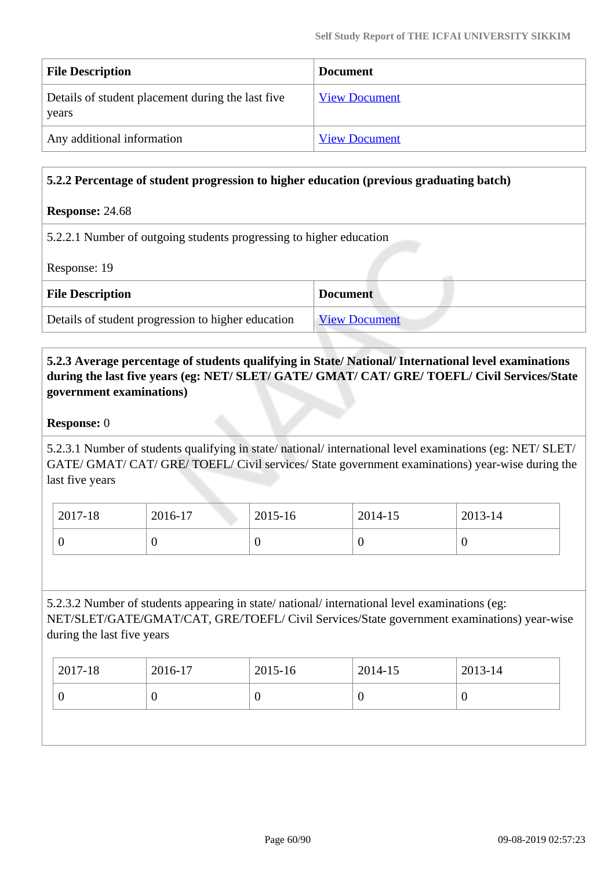| <b>File Description</b>                                    | <b>Document</b>      |
|------------------------------------------------------------|----------------------|
| Details of student placement during the last five<br>years | <b>View Document</b> |
| Any additional information                                 | <b>View Document</b> |

### **5.2.2 Percentage of student progression to higher education (previous graduating batch)**

#### **Response:** 24.68

5.2.2.1 Number of outgoing students progressing to higher education

Response: 19

| <b>File Description</b>                            | <b>Document</b>      |
|----------------------------------------------------|----------------------|
| Details of student progression to higher education | <b>View Document</b> |

 **5.2.3 Average percentage of students qualifying in State/ National/ International level examinations during the last five years (eg: NET/ SLET/ GATE/ GMAT/ CAT/ GRE/ TOEFL/ Civil Services/State government examinations)**

#### **Response:** 0

5.2.3.1 Number of students qualifying in state/ national/ international level examinations (eg: NET/ SLET/ GATE/ GMAT/ CAT/ GRE/ TOEFL/ Civil services/ State government examinations) year-wise during the last five years

| 2017-18 | 2016-17 | 2015-16 | 2014-15 | 2013-14 |
|---------|---------|---------|---------|---------|
|         |         | v       |         | v       |

5.2.3.2 Number of students appearing in state/ national/ international level examinations (eg: NET/SLET/GATE/GMAT/CAT, GRE/TOEFL/ Civil Services/State government examinations) year-wise during the last five years

| U | 2017-18 | 2016-17 | 2015-16 | $2014 - 15$ | $2013 - 14$ |
|---|---------|---------|---------|-------------|-------------|
|   |         |         |         |             |             |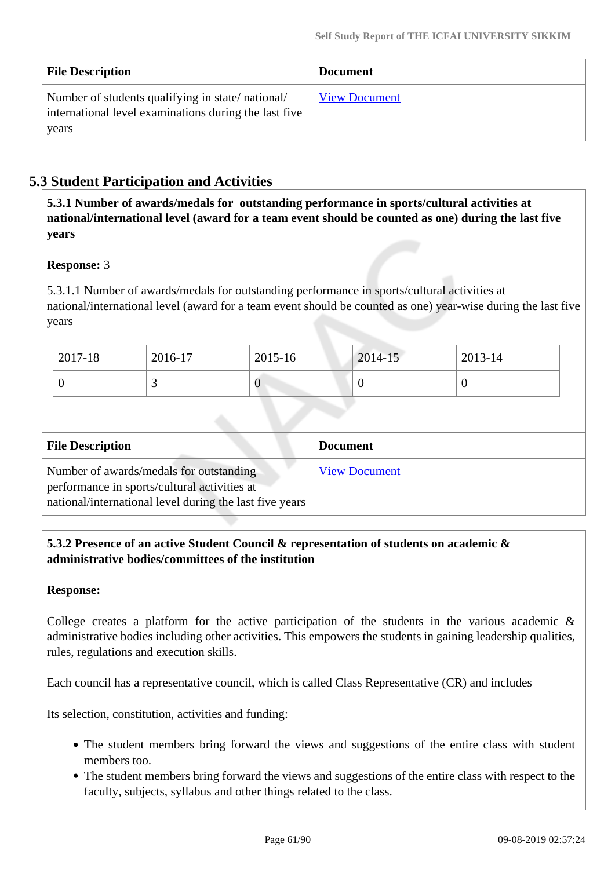| <b>File Description</b>                                                                                            | <b>Document</b>      |
|--------------------------------------------------------------------------------------------------------------------|----------------------|
| Number of students qualifying in state/national/<br>international level examinations during the last five<br>years | <b>View Document</b> |

## **5.3 Student Participation and Activities**

 **5.3.1 Number of awards/medals for outstanding performance in sports/cultural activities at national/international level (award for a team event should be counted as one) during the last five years**

### **Response:** 3

5.3.1.1 Number of awards/medals for outstanding performance in sports/cultural activities at national/international level (award for a team event should be counted as one) year-wise during the last five years

| 2017-18 | 2016-17  | 2015-16     | 2014-15 | $2013 - 14$ |
|---------|----------|-------------|---------|-------------|
|         | <u>ب</u> | $\mathbf 0$ |         | U           |

| <b>File Description</b>                                                                                                                            | <b>Document</b>      |
|----------------------------------------------------------------------------------------------------------------------------------------------------|----------------------|
| Number of awards/medals for outstanding<br>performance in sports/cultural activities at<br>national/international level during the last five years | <b>View Document</b> |

 **5.3.2 Presence of an active Student Council & representation of students on academic & administrative bodies/committees of the institution**

### **Response:**

College creates a platform for the active participation of the students in the various academic  $\&$ administrative bodies including other activities. This empowers the students in gaining leadership qualities, rules, regulations and execution skills.

Each council has a representative council, which is called Class Representative (CR) and includes

Its selection, constitution, activities and funding:

- The student members bring forward the views and suggestions of the entire class with student members too.
- The student members bring forward the views and suggestions of the entire class with respect to the faculty, subjects, syllabus and other things related to the class.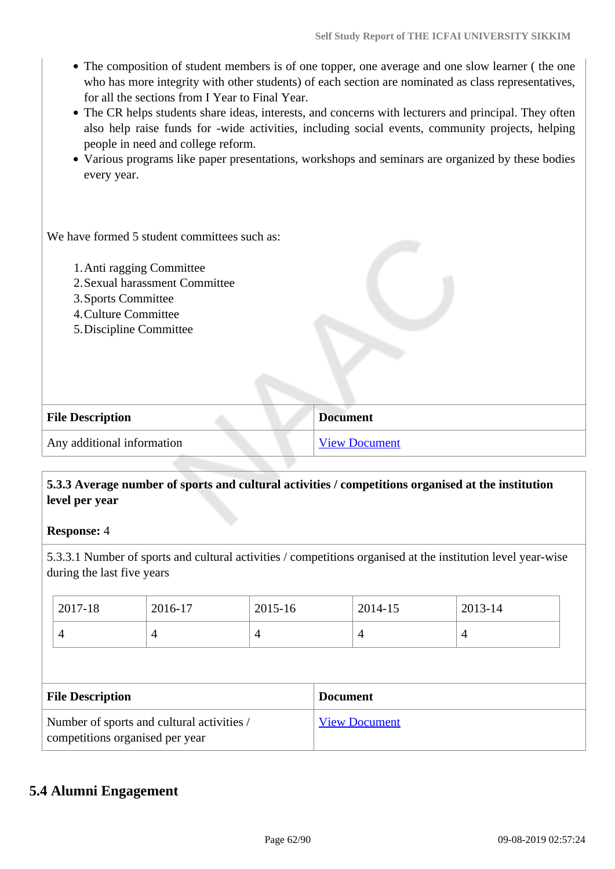- The composition of student members is of one topper, one average and one slow learner (the one who has more integrity with other students) of each section are nominated as class representatives, for all the sections from I Year to Final Year.
- The CR helps students share ideas, interests, and concerns with lecturers and principal. They often also help raise funds for -wide activities, including social events, community projects, helping people in need and college reform.
- Various programs like paper presentations, workshops and seminars are organized by these bodies every year.

We have formed 5 student committees such as:

- 1.Anti ragging Committee
- 2.Sexual harassment Committee
- 3.Sports Committee
- 4.Culture Committee
- 5.Discipline Committee

| <b>File Description</b>    | <b>Document</b> |
|----------------------------|-----------------|
| Any additional information | View Document   |

### **5.3.3 Average number of sports and cultural activities / competitions organised at the institution level per year**

**Response:** 4

5.3.3.1 Number of sports and cultural activities / competitions organised at the institution level year-wise during the last five years

| 2017-18<br>2016-17 |                                                                               | 2015-16 |   | 2014-15              | 2013-14 |   |  |
|--------------------|-------------------------------------------------------------------------------|---------|---|----------------------|---------|---|--|
|                    | 4                                                                             | 4       | 4 |                      | 4       | 4 |  |
|                    |                                                                               |         |   |                      |         |   |  |
|                    | <b>File Description</b>                                                       |         |   | <b>Document</b>      |         |   |  |
|                    | Number of sports and cultural activities /<br>competitions organised per year |         |   | <b>View Document</b> |         |   |  |

## **5.4 Alumni Engagement**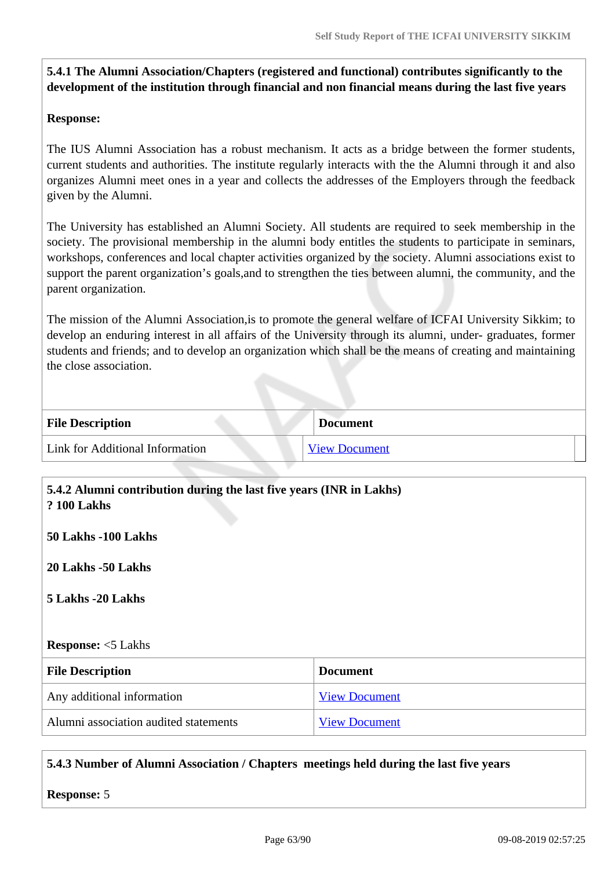## **5.4.1 The Alumni Association/Chapters (registered and functional) contributes significantly to the development of the institution through financial and non financial means during the last five years**

### **Response:**

The IUS Alumni Association has a robust mechanism. It acts as a bridge between the former students, current students and authorities. The institute regularly interacts with the the Alumni through it and also organizes Alumni meet ones in a year and collects the addresses of the Employers through the feedback given by the Alumni.

The University has established an Alumni Society. All students are required to seek membership in the society. The provisional membership in the alumni body entitles the students to participate in seminars, workshops, conferences and local chapter activities organized by the society. Alumni associations exist to support the parent organization's goals,and to strengthen the ties between alumni, the community, and the parent organization.

The mission of the Alumni Association,is to promote the general welfare of ICFAI University Sikkim; to develop an enduring interest in all affairs of the University through its alumni, under- graduates, former students and friends; and to develop an organization which shall be the means of creating and maintaining the close association.

| <b>File Description</b>         | <b>Document</b>      |  |
|---------------------------------|----------------------|--|
| Link for Additional Information | <b>View Document</b> |  |

| 5.4.2 Alumni contribution during the last five years (INR in Lakhs)<br><b>? 100 Lakhs</b> |                      |  |  |  |  |
|-------------------------------------------------------------------------------------------|----------------------|--|--|--|--|
| 50 Lakhs -100 Lakhs                                                                       |                      |  |  |  |  |
| 20 Lakhs -50 Lakhs                                                                        |                      |  |  |  |  |
| 5 Lakhs -20 Lakhs                                                                         |                      |  |  |  |  |
|                                                                                           |                      |  |  |  |  |
| <b>Response:</b> <5 Lakhs                                                                 |                      |  |  |  |  |
| <b>File Description</b>                                                                   | <b>Document</b>      |  |  |  |  |
| Any additional information                                                                | <b>View Document</b> |  |  |  |  |
| Alumni association audited statements                                                     | <b>View Document</b> |  |  |  |  |

### **5.4.3 Number of Alumni Association / Chapters meetings held during the last five years**

**Response:** 5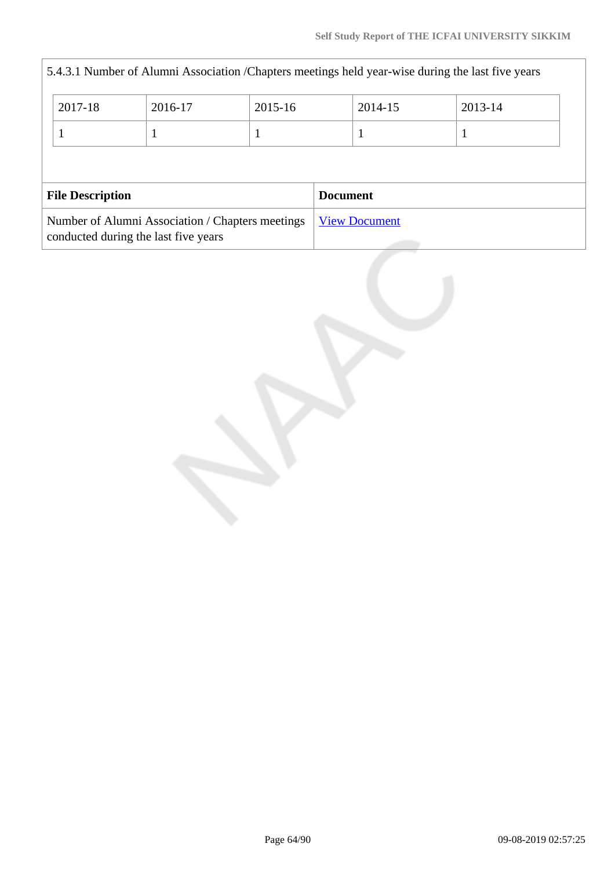| 5.4.3.1 Number of Alumni Association / Chapters meetings held year-wise during the last five years |                                                                                          |  |  |                 |                      |  |  |
|----------------------------------------------------------------------------------------------------|------------------------------------------------------------------------------------------|--|--|-----------------|----------------------|--|--|
|                                                                                                    | 2017-18<br>2016-17<br>2015-16                                                            |  |  | 2014-15         | 2013-14              |  |  |
|                                                                                                    | 1                                                                                        |  |  |                 |                      |  |  |
|                                                                                                    |                                                                                          |  |  |                 |                      |  |  |
|                                                                                                    | <b>File Description</b>                                                                  |  |  | <b>Document</b> |                      |  |  |
|                                                                                                    | Number of Alumni Association / Chapters meetings<br>conducted during the last five years |  |  |                 | <b>View Document</b> |  |  |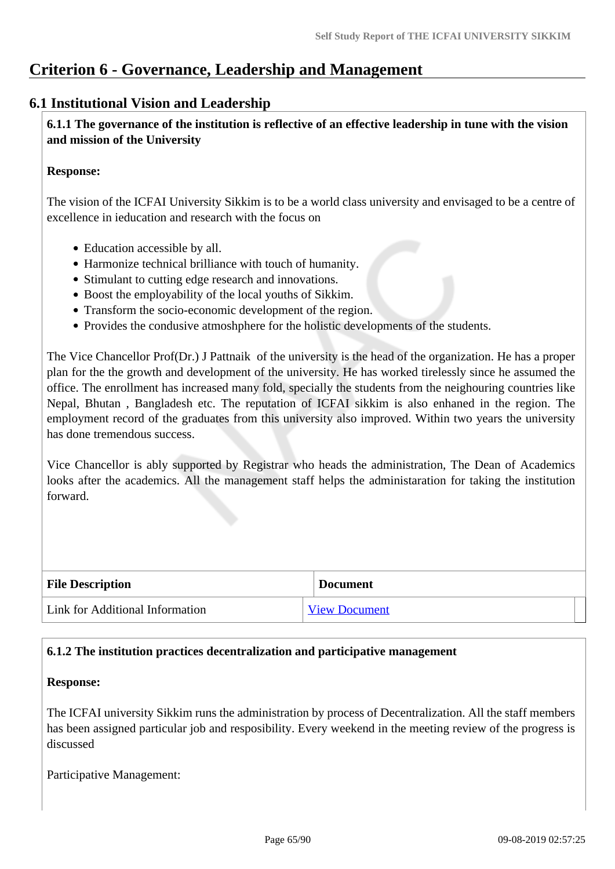## **Criterion 6 - Governance, Leadership and Management**

## **6.1 Institutional Vision and Leadership**

 **6.1.1 The governance of the institution is reflective of an effective leadership in tune with the vision and mission of the University**

### **Response:**

The vision of the ICFAI University Sikkim is to be a world class university and envisaged to be a centre of excellence in ieducation and research with the focus on

- Education accessible by all.
- Harmonize technical brilliance with touch of humanity.
- Stimulant to cutting edge research and innovations.
- Boost the employability of the local youths of Sikkim.
- Transform the socio-economic development of the region.
- Provides the condusive atmoshphere for the holistic developments of the students.

The Vice Chancellor Prof(Dr.) J Pattnaik of the university is the head of the organization. He has a proper plan for the the growth and development of the university. He has worked tirelessly since he assumed the office. The enrollment has increased many fold, specially the students from the neighouring countries like Nepal, Bhutan , Bangladesh etc. The reputation of ICFAI sikkim is also enhaned in the region. The employment record of the graduates from this university also improved. Within two years the university has done tremendous success.

Vice Chancellor is ably supported by Registrar who heads the administration, The Dean of Academics looks after the academics. All the management staff helps the administaration for taking the institution forward.

| <b>File Description</b>         | <b>Document</b>      |
|---------------------------------|----------------------|
| Link for Additional Information | <b>View Document</b> |

### **6.1.2 The institution practices decentralization and participative management**

### **Response:**

The ICFAI university Sikkim runs the administration by process of Decentralization. All the staff members has been assigned particular job and resposibility. Every weekend in the meeting review of the progress is discussed

Participative Management: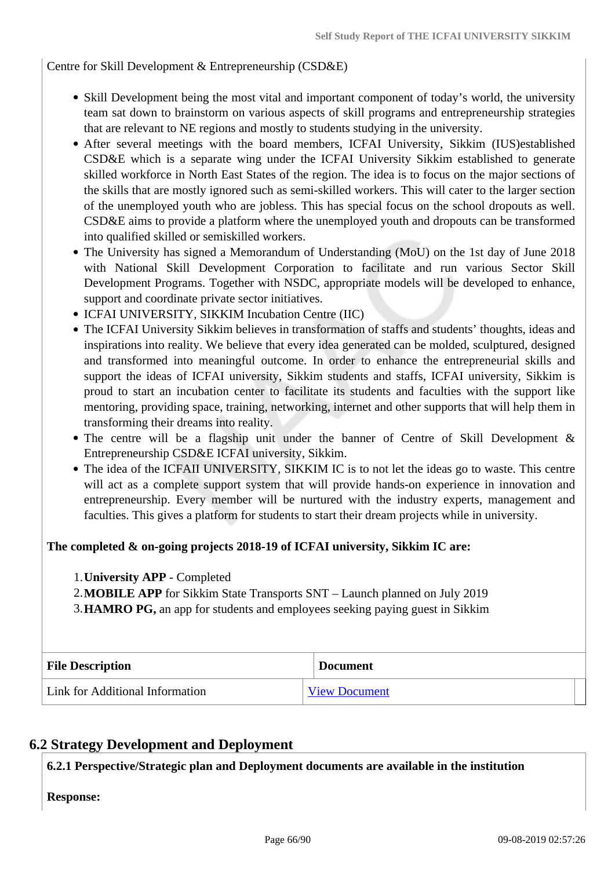Centre for Skill Development & Entrepreneurship (CSD&E)

- Skill Development being the most vital and important component of today's world, the university team sat down to brainstorm on various aspects of skill programs and entrepreneurship strategies that are relevant to NE regions and mostly to students studying in the university.
- After several meetings with the board members, ICFAI University, Sikkim (IUS)established CSD&E which is a separate wing under the ICFAI University Sikkim established to generate skilled workforce in North East States of the region. The idea is to focus on the major sections of the skills that are mostly ignored such as semi-skilled workers. This will cater to the larger section of the unemployed youth who are jobless. This has special focus on the school dropouts as well. CSD&E aims to provide a platform where the unemployed youth and dropouts can be transformed into qualified skilled or semiskilled workers.
- The University has signed a Memorandum of Understanding (MoU) on the 1st day of June 2018 with National Skill Development Corporation to facilitate and run various Sector Skill Development Programs. Together with NSDC, appropriate models will be developed to enhance, support and coordinate private sector initiatives.
- ICFAI UNIVERSITY, SIKKIM Incubation Centre (IIC)
- The ICFAI University Sikkim believes in transformation of staffs and students' thoughts, ideas and inspirations into reality. We believe that every idea generated can be molded, sculptured, designed and transformed into meaningful outcome. In order to enhance the entrepreneurial skills and support the ideas of ICFAI university, Sikkim students and staffs, ICFAI university, Sikkim is proud to start an incubation center to facilitate its students and faculties with the support like mentoring, providing space, training, networking, internet and other supports that will help them in transforming their dreams into reality.
- The centre will be a flagship unit under the banner of Centre of Skill Development & Entrepreneurship CSD&E ICFAI university, Sikkim.
- The idea of the ICFAII UNIVERSITY, SIKKIM IC is to not let the ideas go to waste. This centre will act as a complete support system that will provide hands-on experience in innovation and entrepreneurship. Every member will be nurtured with the industry experts, management and faculties. This gives a platform for students to start their dream projects while in university.

### **The completed & on-going projects 2018-19 of ICFAI university, Sikkim IC are:**

1.**University APP** - Completed

2.**MOBILE APP** for Sikkim State Transports SNT – Launch planned on July 2019

3.**HAMRO PG,** an app for students and employees seeking paying guest in Sikkim

| <b>File Description</b>         | <b>Document</b>      |  |
|---------------------------------|----------------------|--|
| Link for Additional Information | <b>View Document</b> |  |

## **6.2 Strategy Development and Deployment**

**6.2.1 Perspective/Strategic plan and Deployment documents are available in the institution**

**Response:**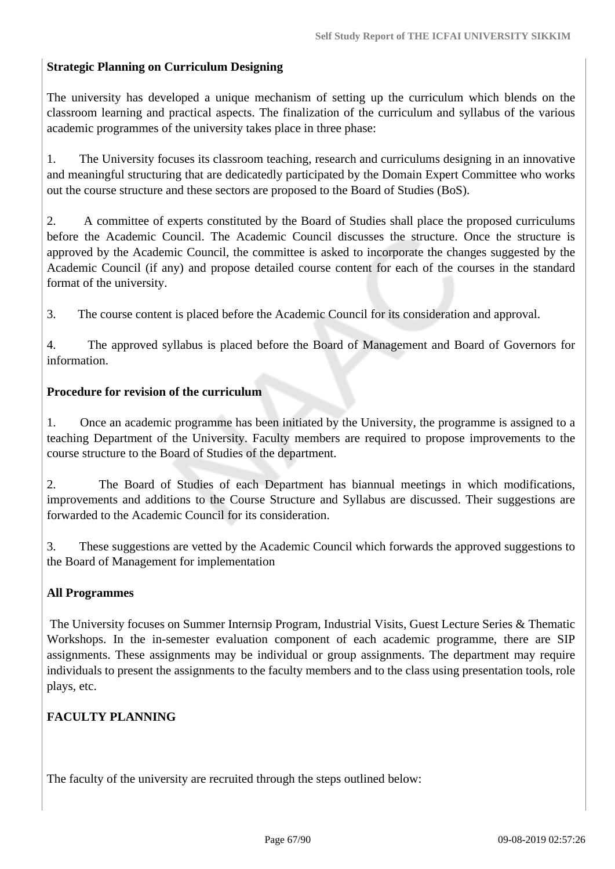### **Strategic Planning on Curriculum Designing**

The university has developed a unique mechanism of setting up the curriculum which blends on the classroom learning and practical aspects. The finalization of the curriculum and syllabus of the various academic programmes of the university takes place in three phase:

1. The University focuses its classroom teaching, research and curriculums designing in an innovative and meaningful structuring that are dedicatedly participated by the Domain Expert Committee who works out the course structure and these sectors are proposed to the Board of Studies (BoS).

2. A committee of experts constituted by the Board of Studies shall place the proposed curriculums before the Academic Council. The Academic Council discusses the structure. Once the structure is approved by the Academic Council, the committee is asked to incorporate the changes suggested by the Academic Council (if any) and propose detailed course content for each of the courses in the standard format of the university.

3. The course content is placed before the Academic Council for its consideration and approval.

4. The approved syllabus is placed before the Board of Management and Board of Governors for information.

### **Procedure for revision of the curriculum**

1. Once an academic programme has been initiated by the University, the programme is assigned to a teaching Department of the University. Faculty members are required to propose improvements to the course structure to the Board of Studies of the department.

2. The Board of Studies of each Department has biannual meetings in which modifications, improvements and additions to the Course Structure and Syllabus are discussed. Their suggestions are forwarded to the Academic Council for its consideration.

3. These suggestions are vetted by the Academic Council which forwards the approved suggestions to the Board of Management for implementation

### **All Programmes**

The University focuses on Summer Internsip Program, Industrial Visits, Guest Lecture Series & Thematic Workshops. In the in-semester evaluation component of each academic programme, there are SIP assignments. These assignments may be individual or group assignments. The department may require individuals to present the assignments to the faculty members and to the class using presentation tools, role plays, etc.

### **FACULTY PLANNING**

The faculty of the university are recruited through the steps outlined below: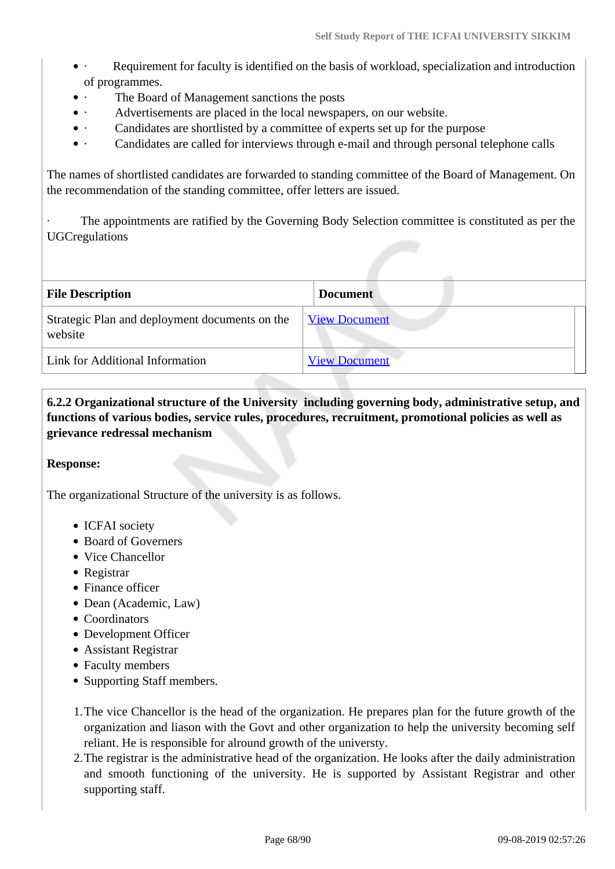- · Requirement for faculty is identified on the basis of workload, specialization and introduction of programmes.
- The Board of Management sanctions the posts
- · Advertisements are placed in the local newspapers, on our website.
- Candidates are shortlisted by a committee of experts set up for the purpose
- · Candidates are called for interviews through e-mail and through personal telephone calls

The names of shortlisted candidates are forwarded to standing committee of the Board of Management. On the recommendation of the standing committee, offer letters are issued.

The appointments are ratified by the Governing Body Selection committee is constituted as per the UGCregulations

| <b>File Description</b>                                   | <b>Document</b>      |  |
|-----------------------------------------------------------|----------------------|--|
| Strategic Plan and deployment documents on the<br>website | <b>View Document</b> |  |
| Link for Additional Information                           | <b>View Document</b> |  |

 **6.2.2 Organizational structure of the University including governing body, administrative setup, and functions of various bodies, service rules, procedures, recruitment, promotional policies as well as grievance redressal mechanism**

### **Response:**

The organizational Structure of the university is as follows.

- ICFAI society
- Board of Governers
- Vice Chancellor
- Registrar
- Finance officer
- Dean (Academic, Law)
- Coordinators
- Development Officer
- Assistant Registrar
- Faculty members
- Supporting Staff members.
- 1.The vice Chancellor is the head of the organization. He prepares plan for the future growth of the organization and liason with the Govt and other organization to help the university becoming self reliant. He is responsible for alround growth of the universty.
- 2.The registrar is the administrative head of the organization. He looks after the daily administration and smooth functioning of the university. He is supported by Assistant Registrar and other supporting staff.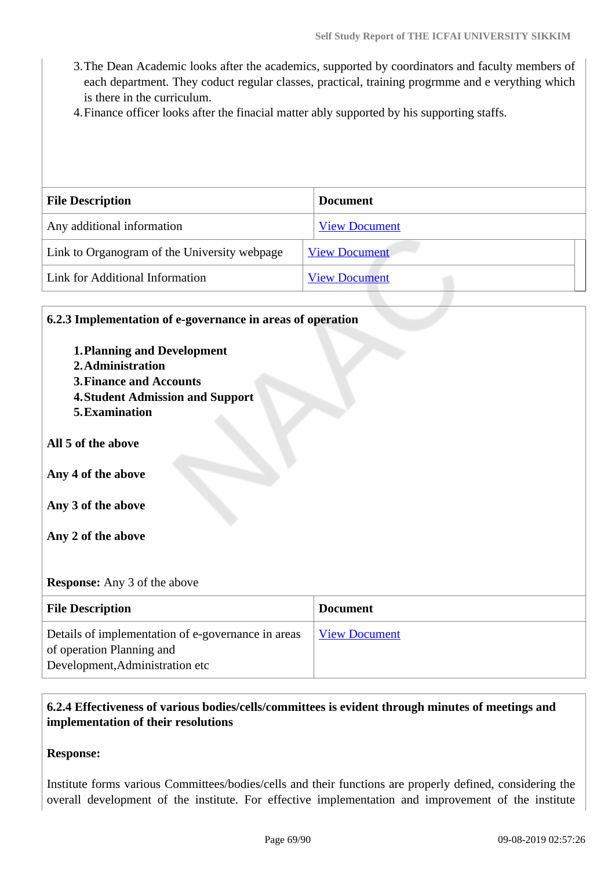- 3.The Dean Academic looks after the academics, supported by coordinators and faculty members of each department. They coduct regular classes, practical, training progrmme and e verything which is there in the curriculum.
- 4.Finance officer looks after the finacial matter ably supported by his supporting staffs.

| <b>File Description</b>                      | <b>Document</b>      |
|----------------------------------------------|----------------------|
| Any additional information                   | <b>View Document</b> |
| Link to Organogram of the University webpage | <b>View Document</b> |
| Link for Additional Information              | <b>View Document</b> |

# **6.2.3 Implementation of e-governance in areas of operation 1.Planning and Development 2.Administration 3.Finance and Accounts 4.Student Admission and Support 5.Examination All 5 of the above Any 4 of the above Any 3 of the above Any 2 of the above Response:** Any 3 of the above **File Description Document** Details of implementation of e-governance in areas of operation Planning and [View Document](https://assessmentonline.naac.gov.in/storage/app/hei/SSR/102249/6.2.3_1565241822_2398.xlsx)

### **6.2.4 Effectiveness of various bodies/cells/committees is evident through minutes of meetings and implementation of their resolutions**

### **Response:**

Development,Administration etc

Institute forms various Committees/bodies/cells and their functions are properly defined, considering the overall development of the institute. For effective implementation and improvement of the institute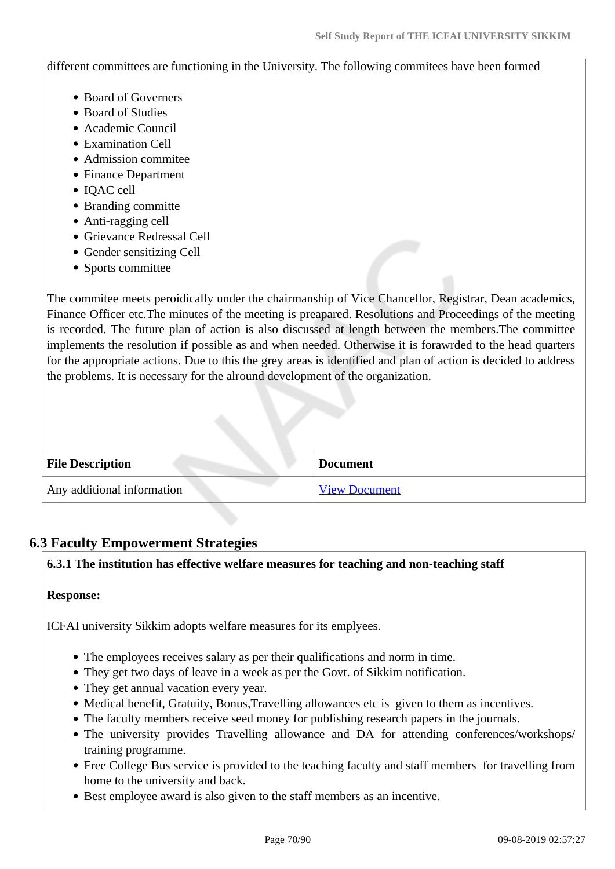different committees are functioning in the University. The following commitees have been formed

- Board of Governers
- Board of Studies
- Academic Council
- Examination Cell
- Admission commitee
- Finance Department
- IOAC cell
- Branding committe
- Anti-ragging cell
- Grievance Redressal Cell
- Gender sensitizing Cell
- Sports committee

The commitee meets peroidically under the chairmanship of Vice Chancellor, Registrar, Dean academics, Finance Officer etc.The minutes of the meeting is preapared. Resolutions and Proceedings of the meeting is recorded. The future plan of action is also discussed at length between the members.The committee implements the resolution if possible as and when needed. Otherwise it is forawrded to the head quarters for the appropriate actions. Due to this the grey areas is identified and plan of action is decided to address the problems. It is necessary for the alround development of the organization.

| <b>File Description</b>    | <b>Document</b>      |
|----------------------------|----------------------|
| Any additional information | <b>View Document</b> |

## **6.3 Faculty Empowerment Strategies**

### **6.3.1 The institution has effective welfare measures for teaching and non-teaching staff**

### **Response:**

ICFAI university Sikkim adopts welfare measures for its emplyees.

- The employees receives salary as per their qualifications and norm in time.
- They get two days of leave in a week as per the Govt. of Sikkim notification.
- They get annual vacation every year.
- Medical benefit, Gratuity, Bonus,Travelling allowances etc is given to them as incentives.
- The faculty members receive seed money for publishing research papers in the journals.
- The university provides Travelling allowance and DA for attending conferences/workshops/ training programme.
- Free College Bus service is provided to the teaching faculty and staff members for travelling from home to the university and back.
- Best employee award is also given to the staff members as an incentive.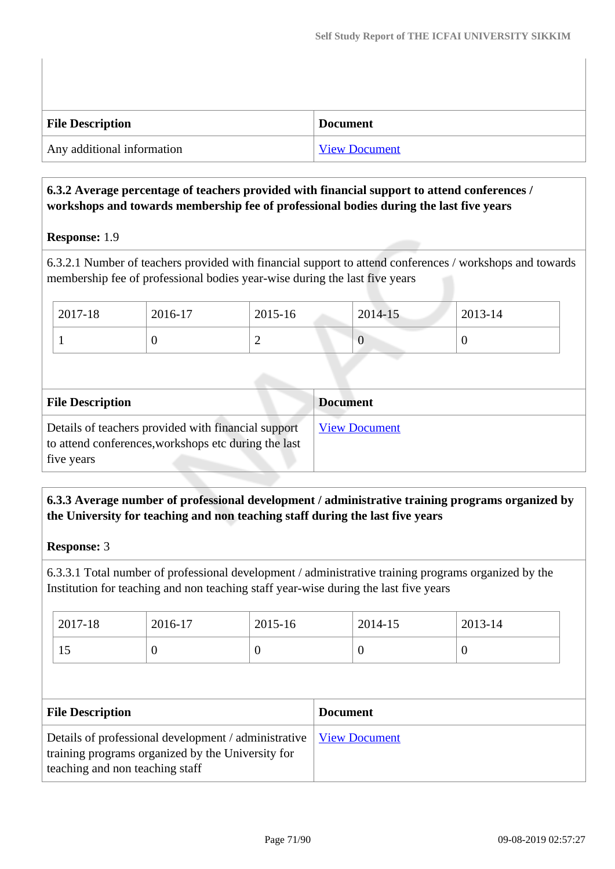| <b>File Description</b>    | <b>Document</b>      |
|----------------------------|----------------------|
| Any additional information | <b>View Document</b> |

## **6.3.2 Average percentage of teachers provided with financial support to attend conferences / workshops and towards membership fee of professional bodies during the last five years**

### **Response:** 1.9

6.3.2.1 Number of teachers provided with financial support to attend conferences / workshops and towards membership fee of professional bodies year-wise during the last five years

| 2017-18 | 2016-17 | 2015-16 | $2014 - 15$     | 2013-14 |
|---------|---------|---------|-----------------|---------|
|         |         | ∽       | $\sqrt{ }$<br>U |         |

| <b>File Description</b>                                                                                                   | <b>Document</b>      |
|---------------------------------------------------------------------------------------------------------------------------|----------------------|
| Details of teachers provided with financial support<br>to attend conferences, workshops etc during the last<br>five years | <b>View Document</b> |

## **6.3.3 Average number of professional development / administrative training programs organized by the University for teaching and non teaching staff during the last five years**

### **Response:** 3

6.3.3.1 Total number of professional development / administrative training programs organized by the Institution for teaching and non teaching staff year-wise during the last five years

| 2017-18 | 2016-17 | 2015-16 | 2014-15 | 2013-14 |
|---------|---------|---------|---------|---------|
| 1J      | ◡       |         |         | ν       |

| <b>File Description</b>                                                                                                                                             | <b>Document</b> |
|---------------------------------------------------------------------------------------------------------------------------------------------------------------------|-----------------|
| Details of professional development / administrative   <u>View Document</u><br>training programs organized by the University for<br>teaching and non teaching staff |                 |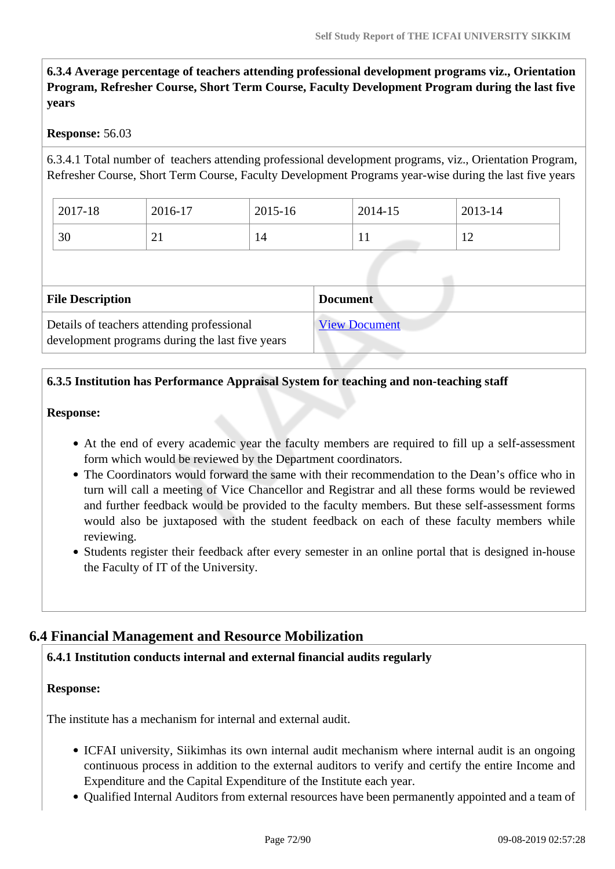**6.3.4 Average percentage of teachers attending professional development programs viz., Orientation Program, Refresher Course, Short Term Course, Faculty Development Program during the last five years**

### **Response:** 56.03

6.3.4.1 Total number of teachers attending professional development programs, viz., Orientation Program, Refresher Course, Short Term Course, Faculty Development Programs year-wise during the last five years

| 2017-18 | 2016-17  | 2015-16 | 2014-15      | 2013-14       |
|---------|----------|---------|--------------|---------------|
| 30      | $\sim$ 1 | 14      | $\mathbf{r}$ | ┸ <del></del> |

| <b>File Description</b>                                                                       | <b>Document</b>      |
|-----------------------------------------------------------------------------------------------|----------------------|
| Details of teachers attending professional<br>development programs during the last five years | <b>View Document</b> |

### **6.3.5 Institution has Performance Appraisal System for teaching and non-teaching staff**

### **Response:**

- At the end of every academic year the faculty members are required to fill up a self-assessment form which would be reviewed by the Department coordinators.
- The Coordinators would forward the same with their recommendation to the Dean's office who in turn will call a meeting of Vice Chancellor and Registrar and all these forms would be reviewed and further feedback would be provided to the faculty members. But these self-assessment forms would also be juxtaposed with the student feedback on each of these faculty members while reviewing.
- Students register their feedback after every semester in an online portal that is designed in-house the Faculty of IT of the University.

## **6.4 Financial Management and Resource Mobilization**

### **6.4.1 Institution conducts internal and external financial audits regularly**

### **Response:**

The institute has a mechanism for internal and external audit.

- ICFAI university, Siikimhas its own internal audit mechanism where internal audit is an ongoing continuous process in addition to the external auditors to verify and certify the entire Income and Expenditure and the Capital Expenditure of the Institute each year.
- Qualified Internal Auditors from external resources have been permanently appointed and a team of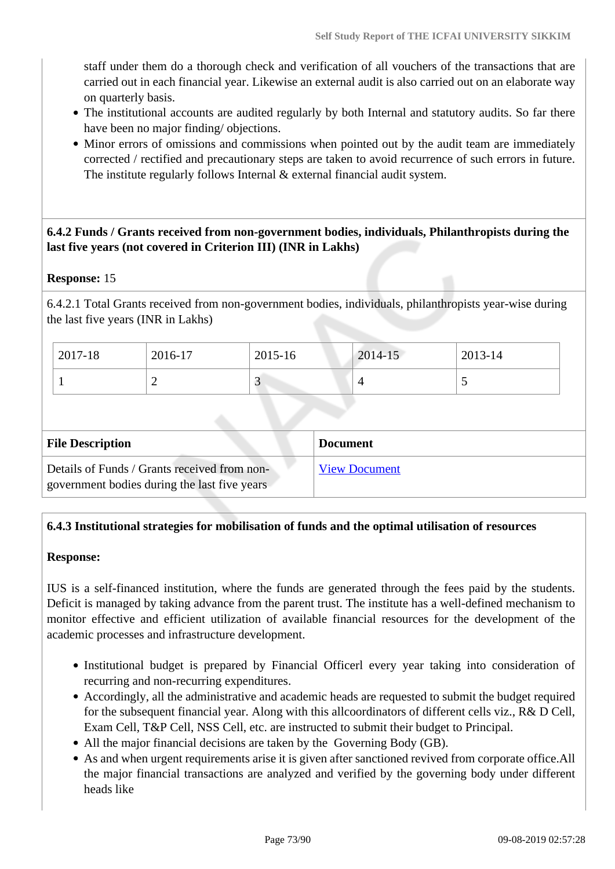staff under them do a thorough check and verification of all vouchers of the transactions that are carried out in each financial year. Likewise an external audit is also carried out on an elaborate way on quarterly basis.

- The institutional accounts are audited regularly by both Internal and statutory audits. So far there have been no major finding/ objections.
- Minor errors of omissions and commissions when pointed out by the audit team are immediately corrected / rectified and precautionary steps are taken to avoid recurrence of such errors in future. The institute regularly follows Internal & external financial audit system.

 **6.4.2 Funds / Grants received from non-government bodies, individuals, Philanthropists during the last five years (not covered in Criterion III) (INR in Lakhs)**

#### **Response:** 15

6.4.2.1 Total Grants received from non-government bodies, individuals, philanthropists year-wise during the last five years (INR in Lakhs)

| 2017-18 | 2016-17   | 2015-16                  | 2014-15 | 2013-14 |
|---------|-----------|--------------------------|---------|---------|
|         | <b>__</b> | $\overline{\phantom{0}}$ |         | ັ       |

| <b>File Description</b>                                                                      | <b>Document</b>      |
|----------------------------------------------------------------------------------------------|----------------------|
| Details of Funds / Grants received from non-<br>government bodies during the last five years | <b>View Document</b> |

#### **6.4.3 Institutional strategies for mobilisation of funds and the optimal utilisation of resources**

#### **Response:**

IUS is a self-financed institution, where the funds are generated through the fees paid by the students. Deficit is managed by taking advance from the parent trust. The institute has a well-defined mechanism to monitor effective and efficient utilization of available financial resources for the development of the academic processes and infrastructure development.

- Institutional budget is prepared by Financial Officerl every year taking into consideration of recurring and non-recurring expenditures.
- Accordingly, all the administrative and academic heads are requested to submit the budget required for the subsequent financial year. Along with this allcoordinators of different cells viz., R& D Cell, Exam Cell, T&P Cell, NSS Cell, etc. are instructed to submit their budget to Principal.
- All the major financial decisions are taken by the Governing Body (GB).
- As and when urgent requirements arise it is given after sanctioned revived from corporate office.All the major financial transactions are analyzed and verified by the governing body under different heads like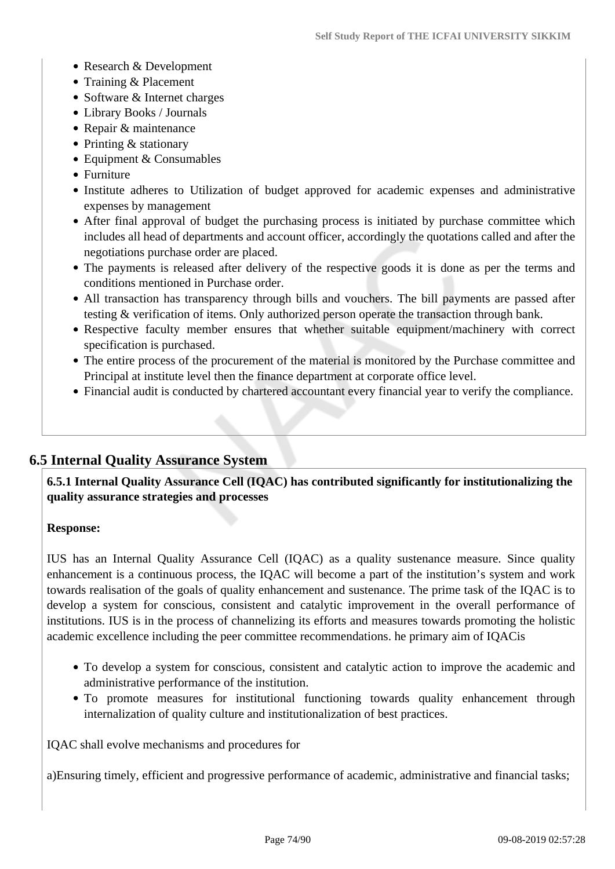- Research & Development
- Training & Placement
- Software & Internet charges
- Library Books / Journals
- Repair & maintenance
- Printing & stationary
- Equipment & Consumables
- Furniture
- Institute adheres to Utilization of budget approved for academic expenses and administrative expenses by management
- After final approval of budget the purchasing process is initiated by purchase committee which includes all head of departments and account officer, accordingly the quotations called and after the negotiations purchase order are placed.
- The payments is released after delivery of the respective goods it is done as per the terms and conditions mentioned in Purchase order.
- All transaction has transparency through bills and vouchers. The bill payments are passed after testing & verification of items. Only authorized person operate the transaction through bank.
- Respective faculty member ensures that whether suitable equipment/machinery with correct specification is purchased.
- The entire process of the procurement of the material is monitored by the Purchase committee and Principal at institute level then the finance department at corporate office level.
- Financial audit is conducted by chartered accountant every financial year to verify the compliance.

# **6.5 Internal Quality Assurance System**

 **6.5.1 Internal Quality Assurance Cell (IQAC) has contributed significantly for institutionalizing the quality assurance strategies and processes**

#### **Response:**

IUS has an Internal Quality Assurance Cell (IQAC) as a quality sustenance measure. Since quality enhancement is a continuous process, the IQAC will become a part of the institution's system and work towards realisation of the goals of quality enhancement and sustenance. The prime task of the IQAC is to develop a system for conscious, consistent and catalytic improvement in the overall performance of institutions. IUS is in the process of channelizing its efforts and measures towards promoting the holistic academic excellence including the peer committee recommendations. he primary aim of IQACis

- To develop a system for conscious, consistent and catalytic action to improve the academic and administrative performance of the institution.
- To promote measures for institutional functioning towards quality enhancement through internalization of quality culture and institutionalization of best practices.

IQAC shall evolve mechanisms and procedures for

a)Ensuring timely, efficient and progressive performance of academic, administrative and financial tasks;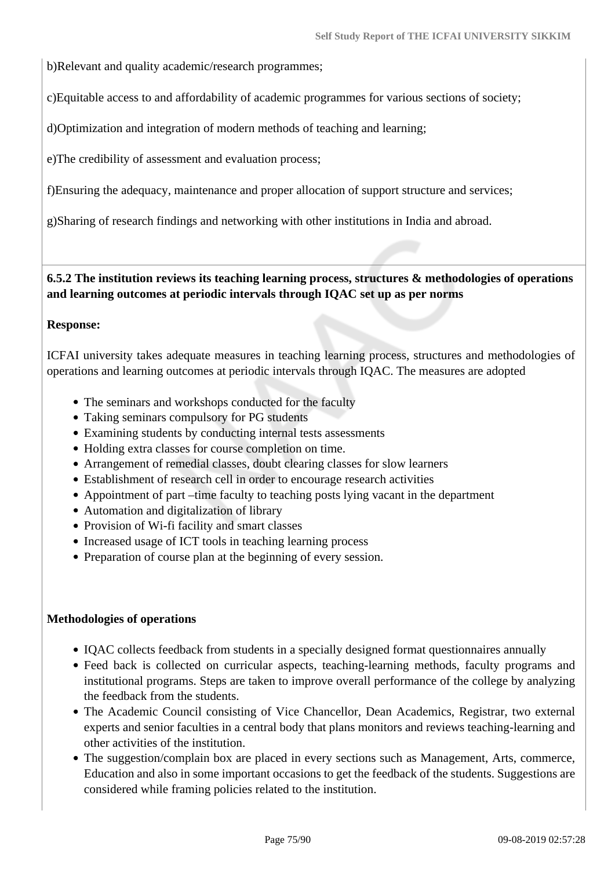b)Relevant and quality academic/research programmes;

c)Equitable access to and affordability of academic programmes for various sections of society;

d)Optimization and integration of modern methods of teaching and learning;

e)The credibility of assessment and evaluation process;

f)Ensuring the adequacy, maintenance and proper allocation of support structure and services;

g)Sharing of research findings and networking with other institutions in India and abroad.

### **6.5.2 The institution reviews its teaching learning process, structures & methodologies of operations and learning outcomes at periodic intervals through IQAC set up as per norms**

#### **Response:**

ICFAI university takes adequate measures in teaching learning process, structures and methodologies of operations and learning outcomes at periodic intervals through IQAC. The measures are adopted

- The seminars and workshops conducted for the faculty
- Taking seminars compulsory for PG students
- Examining students by conducting internal tests assessments
- Holding extra classes for course completion on time.
- Arrangement of remedial classes, doubt clearing classes for slow learners
- Establishment of research cell in order to encourage research activities
- Appointment of part –time faculty to teaching posts lying vacant in the department
- Automation and digitalization of library
- Provision of Wi-fi facility and smart classes
- Increased usage of ICT tools in teaching learning process
- Preparation of course plan at the beginning of every session.

#### **Methodologies of operations**

- IQAC collects feedback from students in a specially designed format questionnaires annually
- Feed back is collected on curricular aspects, teaching-learning methods, faculty programs and institutional programs. Steps are taken to improve overall performance of the college by analyzing the feedback from the students.
- The Academic Council consisting of Vice Chancellor, Dean Academics, Registrar, two external experts and senior faculties in a central body that plans monitors and reviews teaching-learning and other activities of the institution.
- The suggestion/complain box are placed in every sections such as Management, Arts, commerce, Education and also in some important occasions to get the feedback of the students. Suggestions are considered while framing policies related to the institution.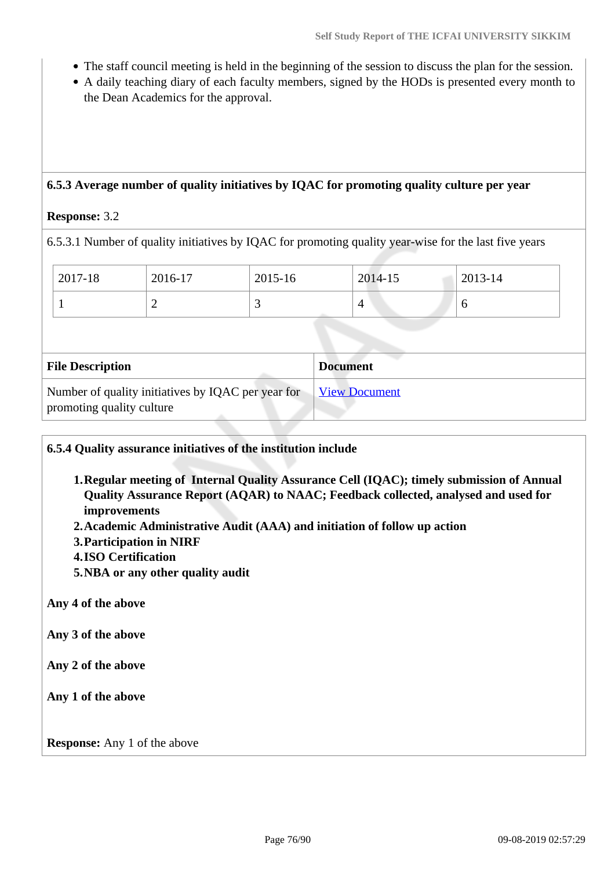- The staff council meeting is held in the beginning of the session to discuss the plan for the session.
- A daily teaching diary of each faculty members, signed by the HODs is presented every month to the Dean Academics for the approval.

## **6.5.3 Average number of quality initiatives by IQAC for promoting quality culture per year**

#### **Response:** 3.2

6.5.3.1 Number of quality initiatives by IQAC for promoting quality year-wise for the last five years

| $^{\circ}$ 2017-18 | 2016-17 | 2015-16 | 2014-15 | 2013-14 |
|--------------------|---------|---------|---------|---------|
|                    | ∸       | ັ       |         | U       |

| <b>File Description</b>                                                         | <b>Document</b>      |
|---------------------------------------------------------------------------------|----------------------|
| Number of quality initiatives by IQAC per year for<br>promoting quality culture | <b>View Document</b> |

#### **6.5.4 Quality assurance initiatives of the institution include**

- **1.Regular meeting of Internal Quality Assurance Cell (IQAC); timely submission of Annual Quality Assurance Report (AQAR) to NAAC; Feedback collected, analysed and used for improvements**
- **2.Academic Administrative Audit (AAA) and initiation of follow up action**
- **3.Participation in NIRF**
- **4.ISO Certification**
- **5.NBA or any other quality audit**

**Any 4 of the above**

**Any 3 of the above**

**Any 2 of the above**

**Any 1 of the above**

**Response:** Any 1 of the above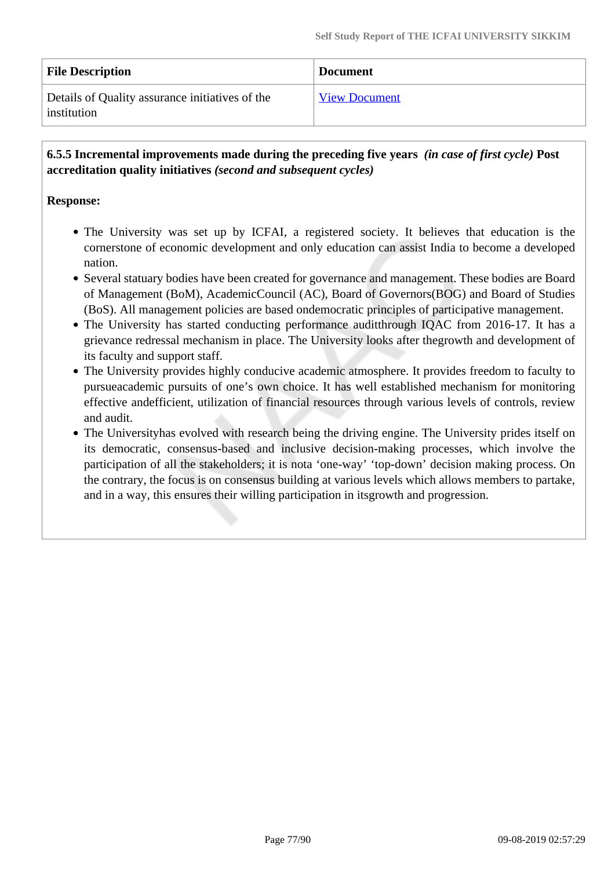| <b>File Description</b>                                        | <b>Document</b>      |
|----------------------------------------------------------------|----------------------|
| Details of Quality assurance initiatives of the<br>institution | <b>View Document</b> |

 **6.5.5 Incremental improvements made during the preceding five years** *(in case of first cycle)* **Post accreditation quality initiatives** *(second and subsequent cycles)*

#### **Response:**

- The University was set up by ICFAI, a registered society. It believes that education is the cornerstone of economic development and only education can assist India to become a developed nation.
- Several statuary bodies have been created for governance and management. These bodies are Board of Management (BoM), AcademicCouncil (AC), Board of Governors(BOG) and Board of Studies (BoS). All management policies are based ondemocratic principles of participative management.
- The University has started conducting performance auditthrough IQAC from 2016-17. It has a grievance redressal mechanism in place. The University looks after thegrowth and development of its faculty and support staff.
- The University provides highly conducive academic atmosphere. It provides freedom to faculty to pursueacademic pursuits of one's own choice. It has well established mechanism for monitoring effective andefficient, utilization of financial resources through various levels of controls, review and audit.
- The Universityhas evolved with research being the driving engine. The University prides itself on its democratic, consensus-based and inclusive decision-making processes, which involve the participation of all the stakeholders; it is nota 'one-way' 'top-down' decision making process. On the contrary, the focus is on consensus building at various levels which allows members to partake, and in a way, this ensures their willing participation in itsgrowth and progression.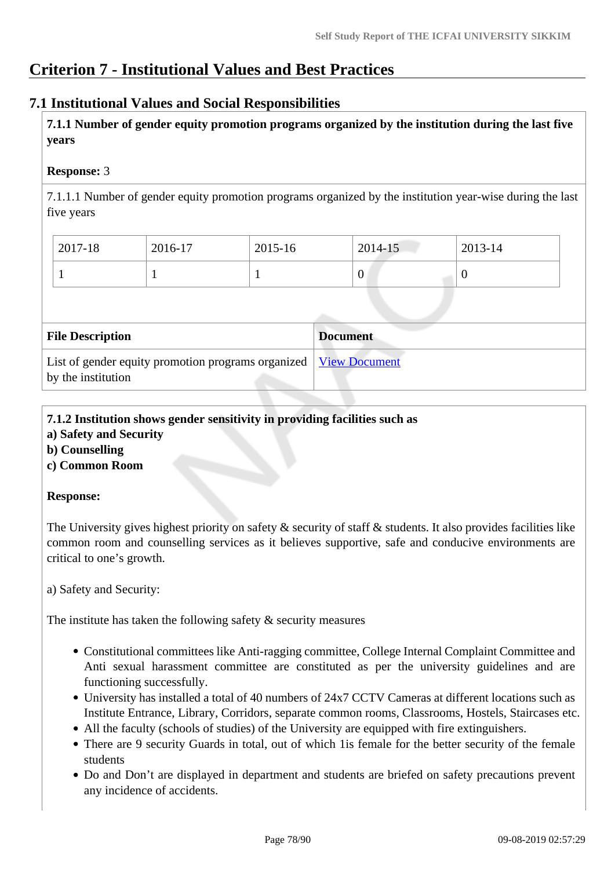# **Criterion 7 - Institutional Values and Best Practices**

# **7.1 Institutional Values and Social Responsibilities**

 **7.1.1 Number of gender equity promotion programs organized by the institution during the last five years** 

#### **Response:** 3

7.1.1.1 Number of gender equity promotion programs organized by the institution year-wise during the last five years

| 2017-18 | 2016-17 | 2015-16 | 2014-15 | 2013-14 |
|---------|---------|---------|---------|---------|
|         |         |         | v       |         |

| <b>File Description</b>                                                                  | <b>Document</b> |
|------------------------------------------------------------------------------------------|-----------------|
| List of gender equity promotion programs organized   View Document<br>by the institution |                 |

# **7.1.2 Institution shows gender sensitivity in providing facilities such as**

- **a) Safety and Security**
- **b) Counselling**
- **c) Common Room**

#### **Response:**

The University gives highest priority on safety  $\&$  security of staff  $\&$  students. It also provides facilities like common room and counselling services as it believes supportive, safe and conducive environments are critical to one's growth.

a) Safety and Security:

The institute has taken the following safety  $\&$  security measures

- Constitutional committees like Anti-ragging committee, College Internal Complaint Committee and Anti sexual harassment committee are constituted as per the university guidelines and are functioning successfully.
- University has installed a total of 40 numbers of 24x7 CCTV Cameras at different locations such as Institute Entrance, Library, Corridors, separate common rooms, Classrooms, Hostels, Staircases etc.
- All the faculty (schools of studies) of the University are equipped with fire extinguishers.
- There are 9 security Guards in total, out of which 1 is female for the better security of the female students
- Do and Don't are displayed in department and students are briefed on safety precautions prevent any incidence of accidents.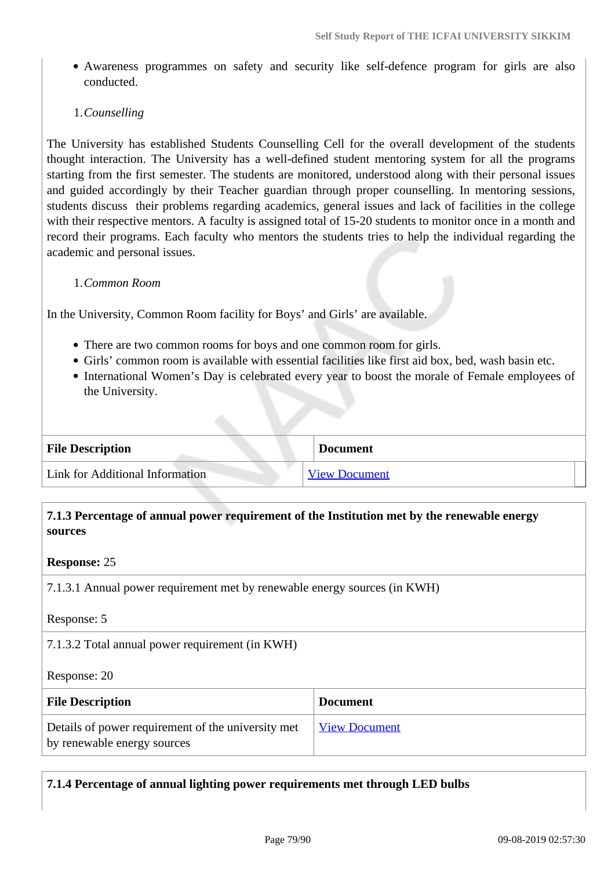Awareness programmes on safety and security like self-defence program for girls are also conducted.

#### 1.*Counselling*

The University has established Students Counselling Cell for the overall development of the students thought interaction. The University has a well-defined student mentoring system for all the programs starting from the first semester. The students are monitored, understood along with their personal issues and guided accordingly by their Teacher guardian through proper counselling. In mentoring sessions, students discuss their problems regarding academics, general issues and lack of facilities in the college with their respective mentors. A faculty is assigned total of 15-20 students to monitor once in a month and record their programs. Each faculty who mentors the students tries to help the individual regarding the academic and personal issues.

#### 1.*Common Room*

In the University, Common Room facility for Boys' and Girls' are available.

- There are two common rooms for boys and one common room for girls.
- Girls' common room is available with essential facilities like first aid box, bed, wash basin etc.
- International Women's Day is celebrated every year to boost the morale of Female employees of the University.

| <b>File Description</b>         | <b>Document</b>      |
|---------------------------------|----------------------|
| Link for Additional Information | <b>View Document</b> |

## **7.1.3 Percentage of annual power requirement of the Institution met by the renewable energy sources**

#### **Response:** 25

7.1.3.1 Annual power requirement met by renewable energy sources (in KWH)

Response: 5

7.1.3.2 Total annual power requirement (in KWH)

Response: 20

| <b>File Description</b>                                                           | <b>Document</b>      |
|-----------------------------------------------------------------------------------|----------------------|
| Details of power requirement of the university met<br>by renewable energy sources | <b>View Document</b> |

**7.1.4 Percentage of annual lighting power requirements met through LED bulbs**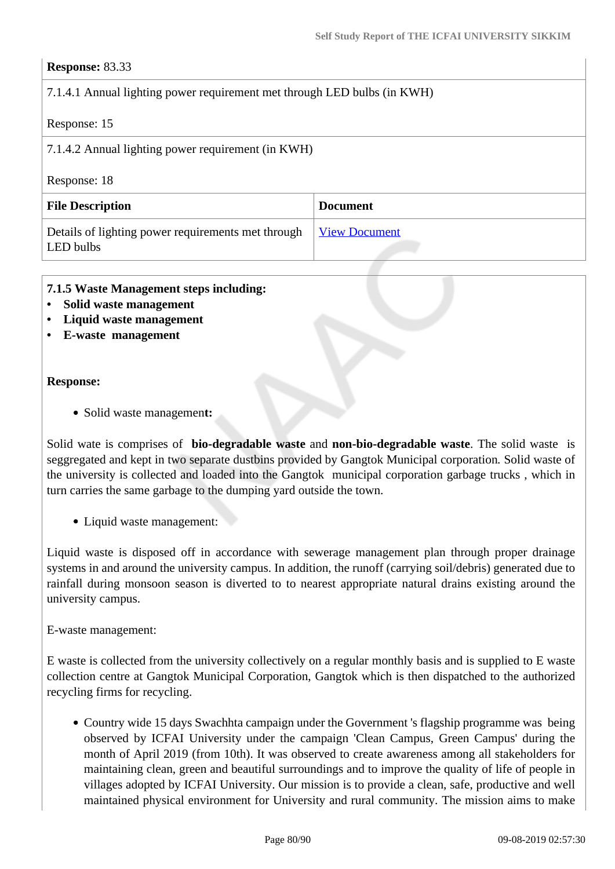## **Response:** 83.33

# 7.1.4.1 Annual lighting power requirement met through LED bulbs (in KWH)

### Response: 15

7.1.4.2 Annual lighting power requirement (in KWH)

#### Response: 18

| <b>File Description</b>                                         | <b>Document</b>      |
|-----------------------------------------------------------------|----------------------|
| Details of lighting power requirements met through<br>LED bulbs | <u>View Document</u> |

#### **7.1.5 Waste Management steps including:**

- **Solid waste management**
- **Liquid waste management**
- **E-waste management**

#### **Response:**

Solid waste managemen**t:** 

Solid wate is comprises of **bio-degradable waste** and **non-bio-degradable waste**. The solid waste is seggregated and kept in two separate dustbins provided by Gangtok Municipal corporation*.* Solid waste of the university is collected and loaded into the Gangtok municipal corporation garbage trucks , which in turn carries the same garbage to the dumping yard outside the town.

• Liquid waste management:

Liquid waste is disposed off in accordance with sewerage management plan through proper drainage systems in and around the university campus. In addition, the runoff (carrying soil/debris) generated due to rainfall during monsoon season is diverted to to nearest appropriate natural drains existing around the university campus.

E-waste management:

E waste is collected from the university collectively on a regular monthly basis and is supplied to E waste collection centre at Gangtok Municipal Corporation, Gangtok which is then dispatched to the authorized recycling firms for recycling.

• Country wide 15 days Swachhta campaign under the Government 's flagship programme was being observed by ICFAI University under the campaign 'Clean Campus, Green Campus' during the month of April 2019 (from 10th). It was observed to create awareness among all stakeholders for maintaining clean, green and beautiful surroundings and to improve the quality of life of people in villages adopted by ICFAI University. Our mission is to provide a clean, safe, productive and well maintained physical environment for University and rural community. The mission aims to make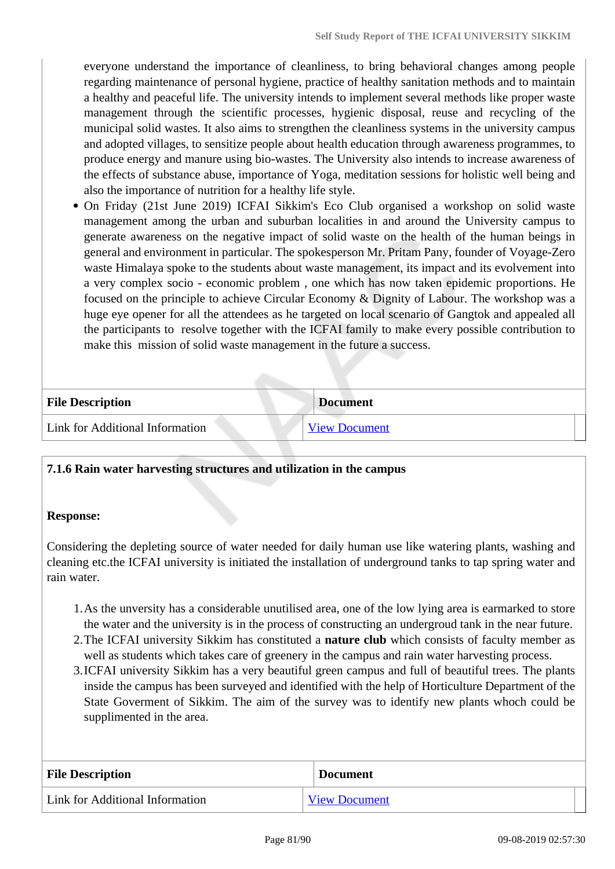everyone understand the importance of cleanliness, to bring behavioral changes among people regarding maintenance of personal hygiene, practice of healthy sanitation methods and to maintain a healthy and peaceful life. The university intends to implement several methods like proper waste management through the scientific processes, hygienic disposal, reuse and recycling of the municipal solid wastes. It also aims to strengthen the cleanliness systems in the university campus and adopted villages, to sensitize people about health education through awareness programmes, to produce energy and manure using bio-wastes. The University also intends to increase awareness of the effects of substance abuse, importance of Yoga, meditation sessions for holistic well being and also the importance of nutrition for a healthy life style.

On Friday (21st June 2019) ICFAI Sikkim's Eco Club organised a workshop on solid waste management among the urban and suburban localities in and around the University campus to generate awareness on the negative impact of solid waste on the health of the human beings in general and environment in particular. The spokesperson Mr. Pritam Pany, founder of Voyage-Zero waste Himalaya spoke to the students about waste management, its impact and its evolvement into a very complex socio - economic problem , one which has now taken epidemic proportions. He focused on the principle to achieve Circular Economy & Dignity of Labour. The workshop was a huge eye opener for all the attendees as he targeted on local scenario of Gangtok and appealed all the participants to resolve together with the ICFAI family to make every possible contribution to make this mission of solid waste management in the future a success.

| <b>File Description</b>         | <b>Document</b> |
|---------------------------------|-----------------|
| Link for Additional Information | View Document   |

#### **7.1.6 Rain water harvesting structures and utilization in the campus**

#### **Response:**

Considering the depleting source of water needed for daily human use like watering plants, washing and cleaning etc.the ICFAI university is initiated the installation of underground tanks to tap spring water and rain water.

- 1.As the unversity has a considerable unutilised area, one of the low lying area is earmarked to store the water and the university is in the process of constructing an undergroud tank in the near future.
- 2.The ICFAI university Sikkim has constituted a **nature club** which consists of faculty member as well as students which takes care of greenery in the campus and rain water harvesting process.
- 3.ICFAI university Sikkim has a very beautiful green campus and full of beautiful trees. The plants inside the campus has been surveyed and identified with the help of Horticulture Department of the State Goverment of Sikkim. The aim of the survey was to identify new plants whoch could be supplimented in the area.

| <b>File Description</b>         | <b>Document</b>      |
|---------------------------------|----------------------|
| Link for Additional Information | <b>View Document</b> |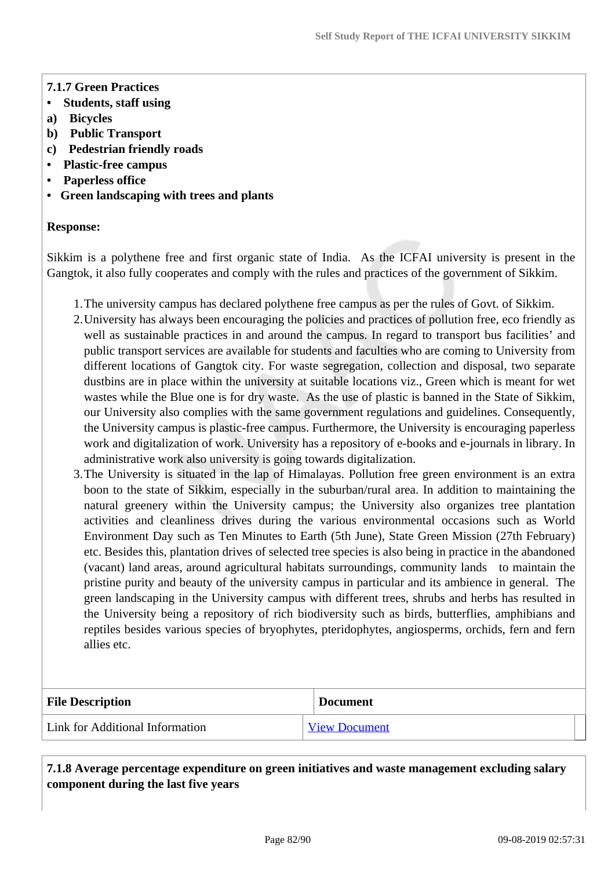#### **7.1.7 Green Practices**

- **Students, staff using**
- **a) Bicycles**
- **b) Public Transport**
- **c) Pedestrian friendly roads**
- **Plastic-free campus**
- **Paperless office**
- **Green landscaping with trees and plants**

#### **Response:**

Sikkim is a polythene free and first organic state of India. As the ICFAI university is present in the Gangtok, it also fully cooperates and comply with the rules and practices of the government of Sikkim.

- 1.The university campus has declared polythene free campus as per the rules of Govt. of Sikkim.
- 2.University has always been encouraging the policies and practices of pollution free, eco friendly as well as sustainable practices in and around the campus. In regard to transport bus facilities' and public transport services are available for students and faculties who are coming to University from different locations of Gangtok city. For waste segregation, collection and disposal, two separate dustbins are in place within the university at suitable locations viz., Green which is meant for wet wastes while the Blue one is for dry waste. As the use of plastic is banned in the State of Sikkim, our University also complies with the same government regulations and guidelines. Consequently, the University campus is plastic-free campus. Furthermore, the University is encouraging paperless work and digitalization of work. University has a repository of e-books and e-journals in library. In administrative work also university is going towards digitalization.
- 3.The University is situated in the lap of Himalayas. Pollution free green environment is an extra boon to the state of Sikkim, especially in the suburban/rural area. In addition to maintaining the natural greenery within the University campus; the University also organizes tree plantation activities and cleanliness drives during the various environmental occasions such as World Environment Day such as Ten Minutes to Earth (5th June), State Green Mission (27th February) etc. Besides this, plantation drives of selected tree species is also being in practice in the abandoned (vacant) land areas, around agricultural habitats surroundings, community lands to maintain the pristine purity and beauty of the university campus in particular and its ambience in general. The green landscaping in the University campus with different trees, shrubs and herbs has resulted in the University being a repository of rich biodiversity such as birds, butterflies, amphibians and reptiles besides various species of bryophytes, pteridophytes, angiosperms, orchids, fern and fern allies etc.

| <b>File Description</b>         | <b>Document</b>      |
|---------------------------------|----------------------|
| Link for Additional Information | <b>View Document</b> |

 **7.1.8 Average percentage expenditure on green initiatives and waste management excluding salary component during the last five years**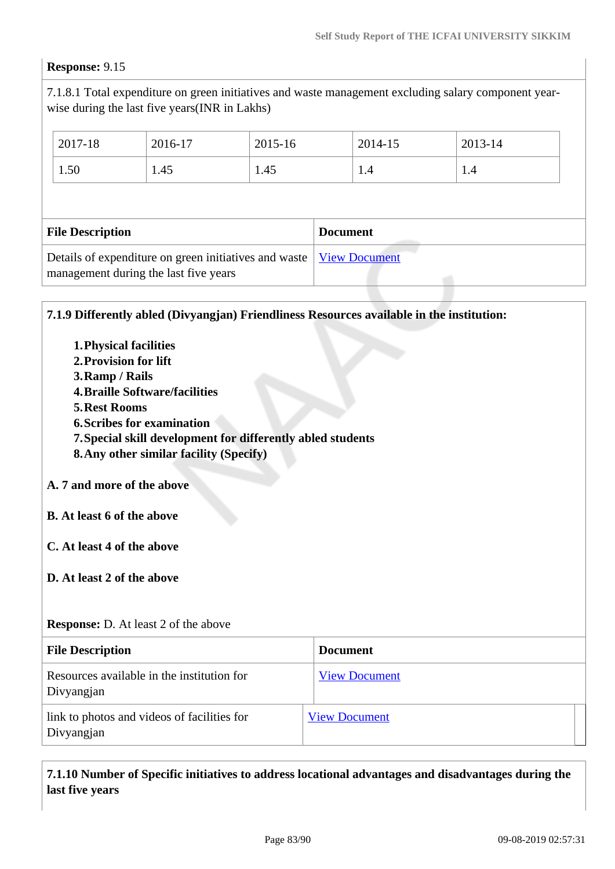# **Response:** 9.15

Divyangjan

7.1.8.1 Total expenditure on green initiatives and waste management excluding salary component yearwise during the last five years(INR in Lakhs)

|                         | 2017-18 | 2016-17 | 2015-16         |  | 2014-15 | 2013-14 |  |
|-------------------------|---------|---------|-----------------|--|---------|---------|--|
|                         | 1.50    | 1.45    | 1.45            |  | 1.4     | 1.4     |  |
|                         |         |         |                 |  |         |         |  |
| <b>File Description</b> |         |         | <b>Document</b> |  |         |         |  |
|                         |         |         |                 |  |         |         |  |

| 7.1.9 Differently abled (Divyangjan) Friendliness Resources available in the institution:                                                                                                                                                                                                                                                                                                  |                      |
|--------------------------------------------------------------------------------------------------------------------------------------------------------------------------------------------------------------------------------------------------------------------------------------------------------------------------------------------------------------------------------------------|----------------------|
| <b>1. Physical facilities</b><br>2. Provision for lift<br>3. Ramp / Rails<br><b>4. Braille Software/facilities</b><br><b>5. Rest Rooms</b><br><b>6. Scribes for examination</b><br>7. Special skill development for differently abled students<br>8. Any other similar facility (Specify)<br>A. 7 and more of the above<br><b>B.</b> At least 6 of the above<br>C. At least 4 of the above |                      |
| D. At least 2 of the above<br><b>Response:</b> D. At least 2 of the above                                                                                                                                                                                                                                                                                                                  |                      |
| <b>File Description</b>                                                                                                                                                                                                                                                                                                                                                                    | <b>Document</b>      |
| Resources available in the institution for<br>Divyangjan                                                                                                                                                                                                                                                                                                                                   | <b>View Document</b> |
| link to photos and videos of facilities for                                                                                                                                                                                                                                                                                                                                                | <b>View Document</b> |

 **7.1.10 Number of Specific initiatives to address locational advantages and disadvantages during the last five years**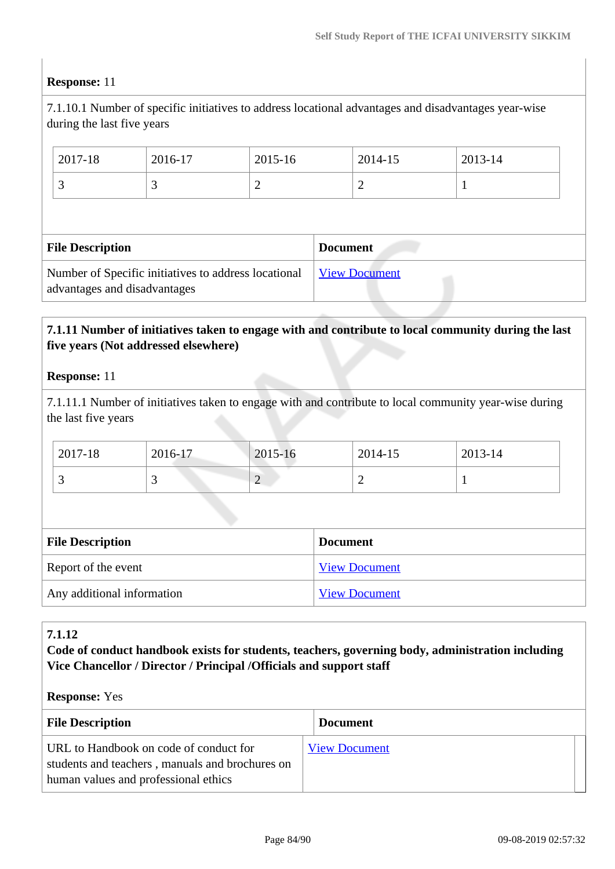#### **Response:** 11

7.1.10.1 Number of specific initiatives to address locational advantages and disadvantages year-wise during the last five years

| 2017-18                                                                              | 2016-17 | 2015-16 |                 | 2014-15              | 2013-14 |  |
|--------------------------------------------------------------------------------------|---------|---------|-----------------|----------------------|---------|--|
| 3                                                                                    |         |         |                 | 2                    |         |  |
|                                                                                      |         |         |                 |                      |         |  |
| <b>File Description</b>                                                              |         |         | <b>Document</b> |                      |         |  |
| Number of Specific initiatives to address locational<br>advantages and disadvantages |         |         |                 | <b>View Document</b> |         |  |

### **7.1.11 Number of initiatives taken to engage with and contribute to local community during the last five years (Not addressed elsewhere)**

#### **Response:** 11

7.1.11.1 Number of initiatives taken to engage with and contribute to local community year-wise during the last five years

| 2017-18 | 2016-17 | 2015-16                  | 2014-15 | 2013-14 |
|---------|---------|--------------------------|---------|---------|
|         |         | $\overline{\phantom{0}}$ | -       |         |

| <b>File Description</b>    | <b>Document</b>      |
|----------------------------|----------------------|
| Report of the event        | <b>View Document</b> |
| Any additional information | <b>View Document</b> |

#### **7.1.12**

**Code of conduct handbook exists for students, teachers, governing body, administration including Vice Chancellor / Director / Principal /Officials and support staff**

#### **Response:** Yes

| <b>File Description</b>                                                                                                           | <b>Document</b>      |
|-----------------------------------------------------------------------------------------------------------------------------------|----------------------|
| URL to Handbook on code of conduct for<br>students and teachers, manuals and brochures on<br>human values and professional ethics | <b>View Document</b> |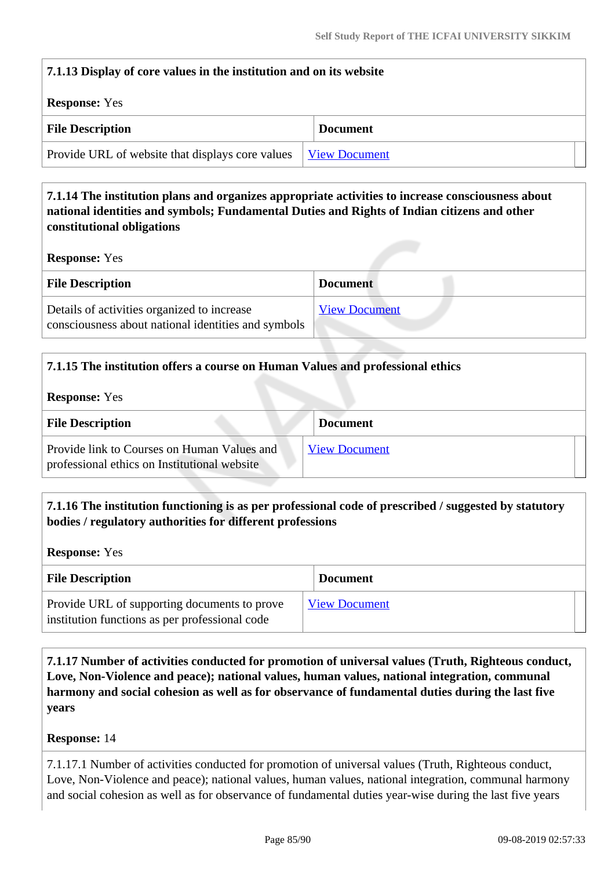| 7.1.13 Display of core values in the institution and on its website      |                 |  |
|--------------------------------------------------------------------------|-----------------|--|
| <b>Response:</b> Yes                                                     |                 |  |
| <b>File Description</b>                                                  | <b>Document</b> |  |
| Provide URL of website that displays core values<br><b>View Document</b> |                 |  |

# **7.1.14 The institution plans and organizes appropriate activities to increase consciousness about national identities and symbols; Fundamental Duties and Rights of Indian citizens and other constitutional obligations**

**Response:** Yes

| <b>File Description</b>                                                                            | <b>Document</b>      |
|----------------------------------------------------------------------------------------------------|----------------------|
| Details of activities organized to increase<br>consciousness about national identities and symbols | <b>View Document</b> |

# **7.1.15 The institution offers a course on Human Values and professional ethics Response:** Yes **File Description Document** Provide link to Courses on Human Values and professional ethics on Institutional website [View Document](www.iusikkim.edu.in)

# **7.1.16 The institution functioning is as per professional code of prescribed / suggested by statutory bodies / regulatory authorities for different professions**

**Response:** Yes

| <b>File Description</b>                                                                        | <b>Document</b>      |
|------------------------------------------------------------------------------------------------|----------------------|
| Provide URL of supporting documents to prove<br>institution functions as per professional code | <b>View Document</b> |

 **7.1.17 Number of activities conducted for promotion of universal values (Truth, Righteous conduct, Love, Non-Violence and peace); national values, human values, national integration, communal harmony and social cohesion as well as for observance of fundamental duties during the last five years**

#### **Response:** 14

7.1.17.1 Number of activities conducted for promotion of universal values (Truth, Righteous conduct, Love, Non-Violence and peace); national values, human values, national integration, communal harmony and social cohesion as well as for observance of fundamental duties year-wise during the last five years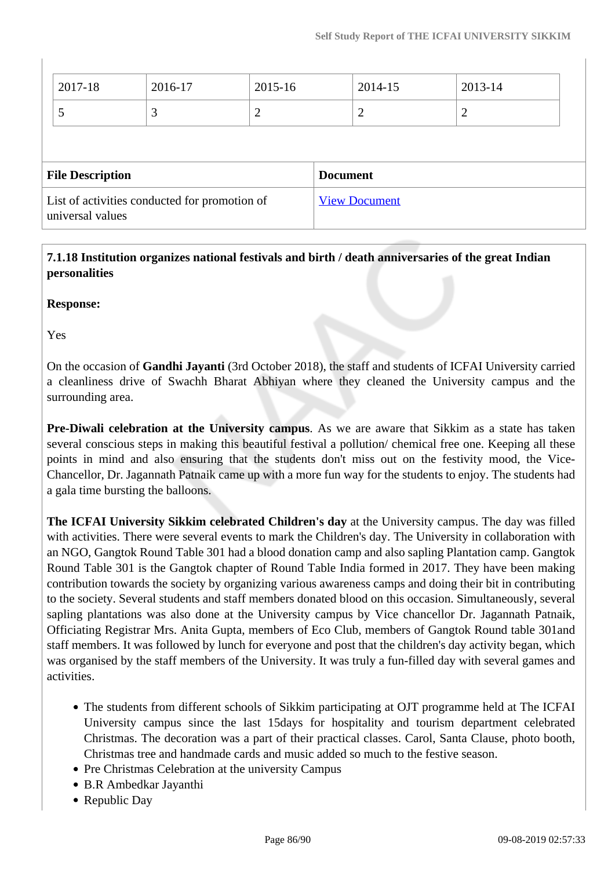| 2017-18                                                           | 2016-17 | 2015-16 |                 | 2014-15              | 2013-14        |  |
|-------------------------------------------------------------------|---------|---------|-----------------|----------------------|----------------|--|
|                                                                   | 3       | 2       |                 | 2                    | $\overline{2}$ |  |
|                                                                   |         |         |                 |                      |                |  |
| <b>File Description</b>                                           |         |         | <b>Document</b> |                      |                |  |
| List of activities conducted for promotion of<br>universal values |         |         |                 | <b>View Document</b> |                |  |

 **7.1.18 Institution organizes national festivals and birth / death anniversaries of the great Indian personalities**

**Response:** 

Yes

On the occasion of **Gandhi Jayanti** (3rd October 2018), the staff and students of ICFAI University carried a cleanliness drive of Swachh Bharat Abhiyan where they cleaned the University campus and the surrounding area.

**Pre-Diwali celebration at the University campus**. As we are aware that Sikkim as a state has taken several conscious steps in making this beautiful festival a pollution/ chemical free one. Keeping all these points in mind and also ensuring that the students don't miss out on the festivity mood, the Vice-Chancellor, Dr. Jagannath Patnaik came up with a more fun way for the students to enjoy. The students had a gala time bursting the balloons.

**The ICFAI University Sikkim celebrated Children's day** at the University campus. The day was filled with activities. There were several events to mark the Children's day. The University in collaboration with an NGO, Gangtok Round Table 301 had a blood donation camp and also sapling Plantation camp. Gangtok Round Table 301 is the Gangtok chapter of Round Table India formed in 2017. They have been making contribution towards the society by organizing various awareness camps and doing their bit in contributing to the society. Several students and staff members donated blood on this occasion. Simultaneously, several sapling plantations was also done at the University campus by Vice chancellor Dr. Jagannath Patnaik, Officiating Registrar Mrs. Anita Gupta, members of Eco Club, members of Gangtok Round table 301and staff members. It was followed by lunch for everyone and post that the children's day activity began, which was organised by the staff members of the University. It was truly a fun-filled day with several games and activities.

- The students from different schools of Sikkim participating at OJT programme held at The ICFAI University campus since the last 15days for hospitality and tourism department celebrated Christmas. The decoration was a part of their practical classes. Carol, Santa Clause, photo booth, Christmas tree and handmade cards and music added so much to the festive season.
- Pre Christmas Celebration at the university Campus
- B.R Ambedkar Jayanthi
- Republic Day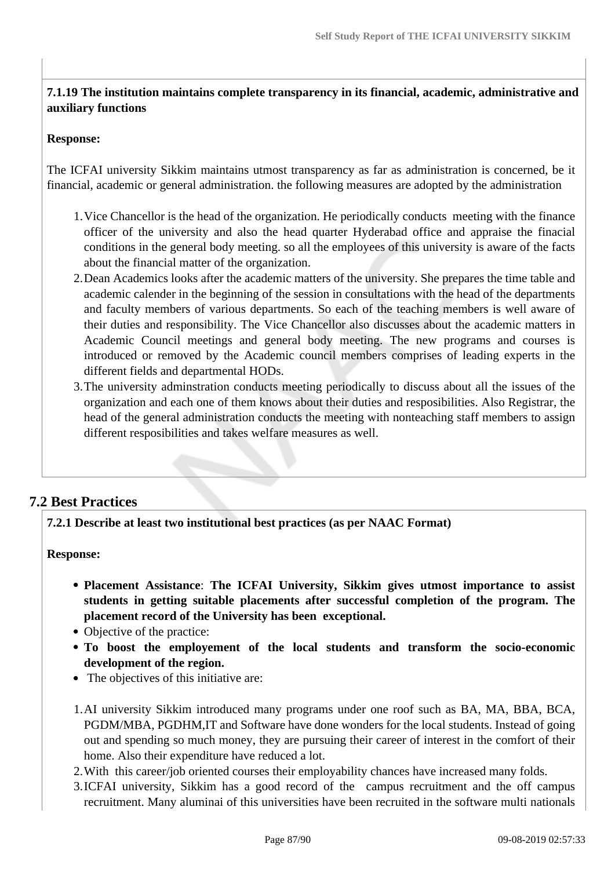# **7.1.19 The institution maintains complete transparency in its financial, academic, administrative and auxiliary functions**

#### **Response:**

The ICFAI university Sikkim maintains utmost transparency as far as administration is concerned, be it financial, academic or general administration. the following measures are adopted by the administration

- 1.Vice Chancellor is the head of the organization. He periodically conducts meeting with the finance officer of the university and also the head quarter Hyderabad office and appraise the finacial conditions in the general body meeting. so all the employees of this university is aware of the facts about the financial matter of the organization.
- 2.Dean Academics looks after the academic matters of the university. She prepares the time table and academic calender in the beginning of the session in consultations with the head of the departments and faculty members of various departments. So each of the teaching members is well aware of their duties and responsibility. The Vice Chancellor also discusses about the academic matters in Academic Council meetings and general body meeting. The new programs and courses is introduced or removed by the Academic council members comprises of leading experts in the different fields and departmental HODs.
- 3.The university adminstration conducts meeting periodically to discuss about all the issues of the organization and each one of them knows about their duties and resposibilities. Also Registrar, the head of the general administration conducts the meeting with nonteaching staff members to assign different resposibilities and takes welfare measures as well.

# **7.2 Best Practices**

**7.2.1 Describe at least two institutional best practices (as per NAAC Format)**

**Response:** 

- **Placement Assistance**: **The ICFAI University, Sikkim gives utmost importance to assist students in getting suitable placements after successful completion of the program. The placement record of the University has been exceptional.**
- Objective of the practice:
- **To boost the employement of the local students and transform the socio-economic development of the region.**
- The objectives of this initiative are:
- 1.AI university Sikkim introduced many programs under one roof such as BA, MA, BBA, BCA, PGDM/MBA, PGDHM,IT and Software have done wonders for the local students. Instead of going out and spending so much money, they are pursuing their career of interest in the comfort of their home. Also their expenditure have reduced a lot.
- 2.With this career/job oriented courses their employability chances have increased many folds.
- 3.ICFAI university, Sikkim has a good record of the campus recruitment and the off campus recruitment. Many aluminai of this universities have been recruited in the software multi nationals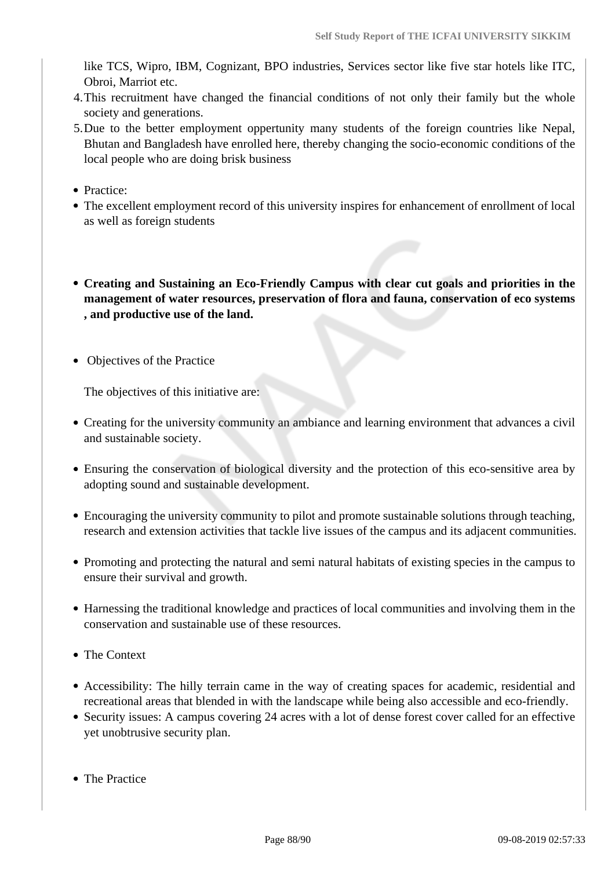like TCS, Wipro, IBM, Cognizant, BPO industries, Services sector like five star hotels like ITC, Obroi, Marriot etc.

- 4.This recruitment have changed the financial conditions of not only their family but the whole society and generations.
- 5.Due to the better employment oppertunity many students of the foreign countries like Nepal, Bhutan and Bangladesh have enrolled here, thereby changing the socio-economic conditions of the local people who are doing brisk business
- Practice:
- The excellent employment record of this university inspires for enhancement of enrollment of local as well as foreign students
- **Creating and Sustaining an Eco-Friendly Campus with clear cut goals and priorities in the management of water resources, preservation of flora and fauna, conservation of eco systems , and productive use of the land.**
- Objectives of the Practice

The objectives of this initiative are:

- Creating for the university community an ambiance and learning environment that advances a civil and sustainable society.
- Ensuring the conservation of biological diversity and the protection of this eco-sensitive area by adopting sound and sustainable development.
- Encouraging the university community to pilot and promote sustainable solutions through teaching, research and extension activities that tackle live issues of the campus and its adjacent communities.
- Promoting and protecting the natural and semi natural habitats of existing species in the campus to ensure their survival and growth.
- Harnessing the traditional knowledge and practices of local communities and involving them in the conservation and sustainable use of these resources.
- The Context
- Accessibility: The hilly terrain came in the way of creating spaces for academic, residential and recreational areas that blended in with the landscape while being also accessible and eco-friendly.
- Security issues: A campus covering 24 acres with a lot of dense forest cover called for an effective yet unobtrusive security plan.
- The Practice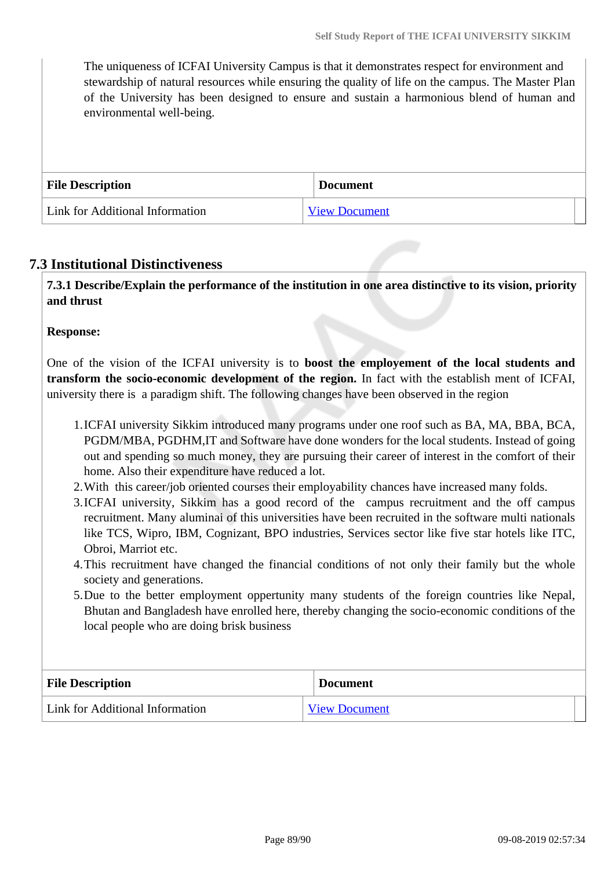The uniqueness of ICFAI University Campus is that it demonstrates respect for environment and stewardship of natural resources while ensuring the quality of life on the campus. The Master Plan of the University has been designed to ensure and sustain a harmonious blend of human and environmental well-being.

| <b>File Description</b>         | <b>Document</b>      |
|---------------------------------|----------------------|
| Link for Additional Information | <b>View Document</b> |

## **7.3 Institutional Distinctiveness**

 **7.3.1 Describe/Explain the performance of the institution in one area distinctive to its vision, priority and thrust**

#### **Response:**

One of the vision of the ICFAI university is to **boost the employement of the local students and transform the socio-economic development of the region.** In fact with the establish ment of ICFAI, university there is a paradigm shift. The following changes have been observed in the region

- 1.ICFAI university Sikkim introduced many programs under one roof such as BA, MA, BBA, BCA, PGDM/MBA, PGDHM,IT and Software have done wonders for the local students. Instead of going out and spending so much money, they are pursuing their career of interest in the comfort of their home. Also their expenditure have reduced a lot.
- 2.With this career/job oriented courses their employability chances have increased many folds.
- 3.ICFAI university, Sikkim has a good record of the campus recruitment and the off campus recruitment. Many aluminai of this universities have been recruited in the software multi nationals like TCS, Wipro, IBM, Cognizant, BPO industries, Services sector like five star hotels like ITC, Obroi, Marriot etc.
- 4.This recruitment have changed the financial conditions of not only their family but the whole society and generations.
- 5.Due to the better employment oppertunity many students of the foreign countries like Nepal, Bhutan and Bangladesh have enrolled here, thereby changing the socio-economic conditions of the local people who are doing brisk business

| <b>File Description</b>         | <b>Document</b>      |
|---------------------------------|----------------------|
| Link for Additional Information | <b>View Document</b> |